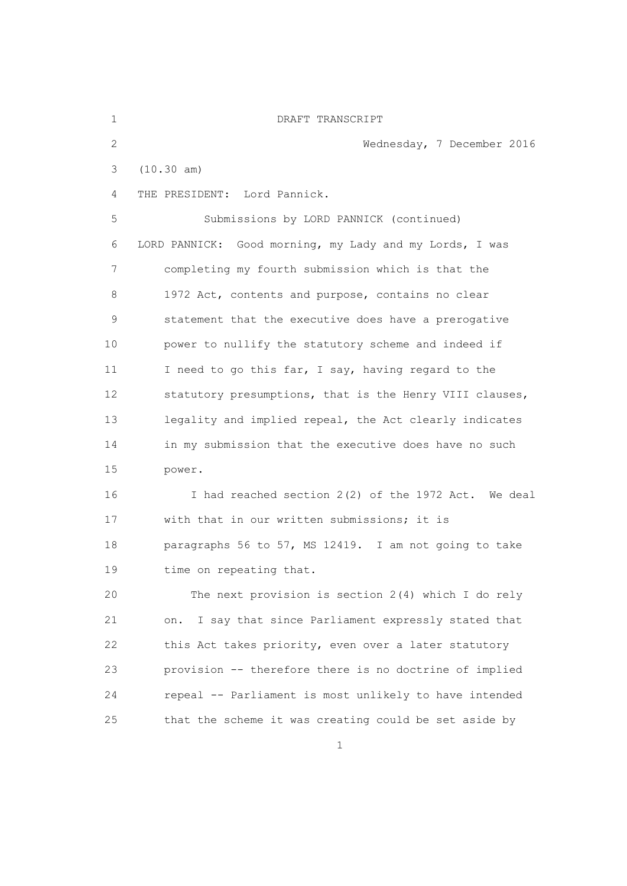| $\mathbf 1$     | DRAFT TRANSCRIPT                                         |
|-----------------|----------------------------------------------------------|
| $\overline{2}$  | Wednesday, 7 December 2016                               |
| 3               | (10.30 am)                                               |
| 4               | THE PRESIDENT: Lord Pannick.                             |
| 5               | Submissions by LORD PANNICK (continued)                  |
| 6               | LORD PANNICK: Good morning, my Lady and my Lords, I was  |
| 7               | completing my fourth submission which is that the        |
| 8               | 1972 Act, contents and purpose, contains no clear        |
| 9               | statement that the executive does have a prerogative     |
| 10              | power to nullify the statutory scheme and indeed if      |
| 11              | I need to go this far, I say, having regard to the       |
| 12 <sup>°</sup> | statutory presumptions, that is the Henry VIII clauses,  |
| 13              | legality and implied repeal, the Act clearly indicates   |
| 14              | in my submission that the executive does have no such    |
| 15              | power.                                                   |
| 16              | I had reached section 2(2) of the 1972 Act. We deal      |
| 17              | with that in our written submissions; it is              |
| 18              | paragraphs 56 to 57, MS 12419. I am not going to take    |
| 19              | time on repeating that.                                  |
| 20              | The next provision is section 2(4) which I do rely       |
| 21              | I say that since Parliament expressly stated that<br>on. |
| 22              | this Act takes priority, even over a later statutory     |
| 23              | provision -- therefore there is no doctrine of implied   |
| 24              | repeal -- Parliament is most unlikely to have intended   |
| 25              | that the scheme it was creating could be set aside by    |
|                 | $\mathbf{1}$                                             |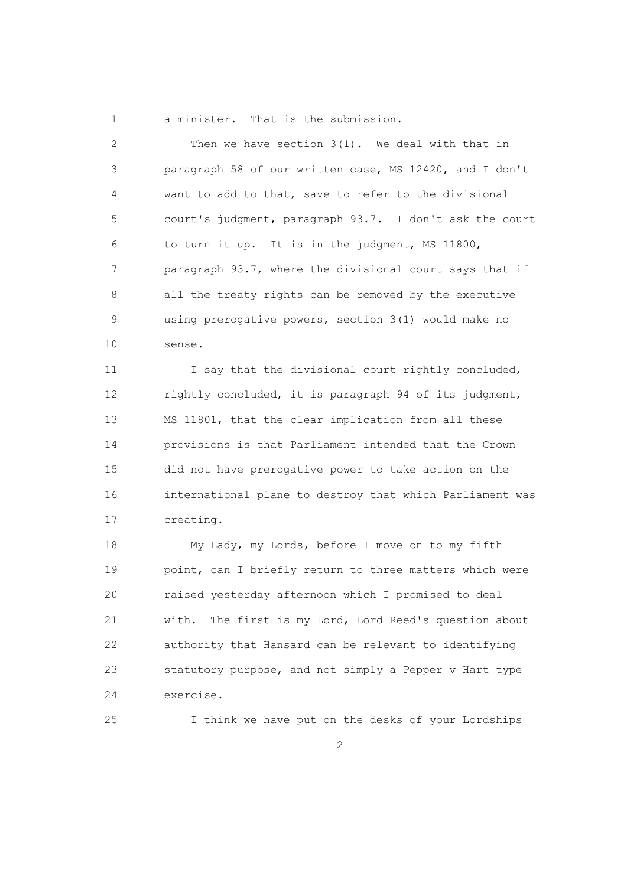1 a minister. That is the submission.

 2 Then we have section 3(1). We deal with that in 3 paragraph 58 of our written case, MS 12420, and I don't 4 want to add to that, save to refer to the divisional 5 court's judgment, paragraph 93.7. I don't ask the court 6 to turn it up. It is in the judgment, MS 11800, 7 paragraph 93.7, where the divisional court says that if 8 all the treaty rights can be removed by the executive 9 using prerogative powers, section 3(1) would make no 10 sense.

11 I say that the divisional court rightly concluded, 12 rightly concluded, it is paragraph 94 of its judgment, 13 MS 11801, that the clear implication from all these 14 provisions is that Parliament intended that the Crown 15 did not have prerogative power to take action on the 16 international plane to destroy that which Parliament was 17 creating.

 18 My Lady, my Lords, before I move on to my fifth 19 point, can I briefly return to three matters which were 20 raised yesterday afternoon which I promised to deal 21 with. The first is my Lord, Lord Reed's question about 22 authority that Hansard can be relevant to identifying 23 statutory purpose, and not simply a Pepper v Hart type 24 exercise.

25 I think we have put on the desks of your Lordships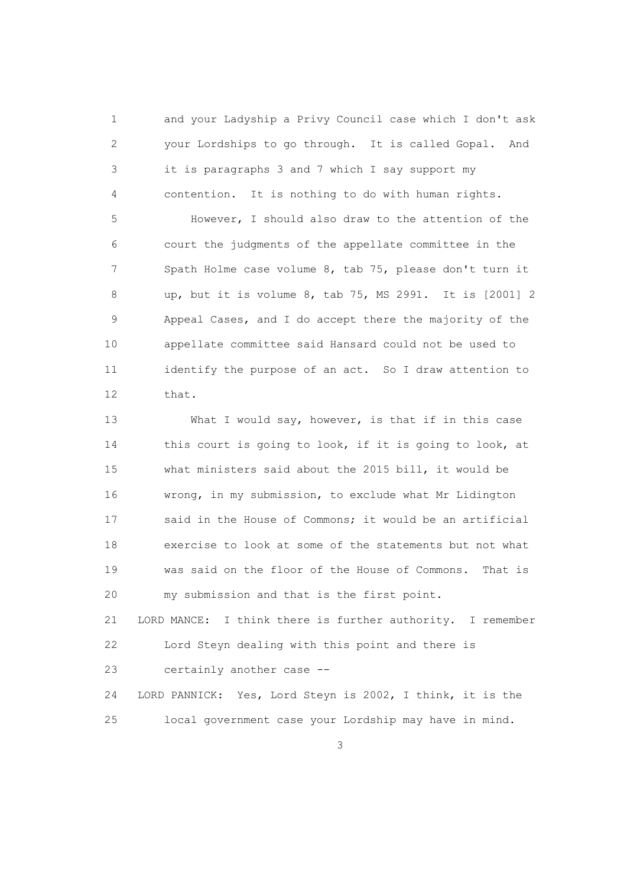1 and your Ladyship a Privy Council case which I don't ask 2 your Lordships to go through. It is called Gopal. And 3 it is paragraphs 3 and 7 which I say support my 4 contention. It is nothing to do with human rights.

 5 However, I should also draw to the attention of the 6 court the judgments of the appellate committee in the 7 Spath Holme case volume 8, tab 75, please don't turn it 8 up, but it is volume 8, tab 75, MS 2991. It is [2001] 2 9 Appeal Cases, and I do accept there the majority of the 10 appellate committee said Hansard could not be used to 11 identify the purpose of an act. So I draw attention to 12 that.

13 What I would say, however, is that if in this case 14 this court is going to look, if it is going to look, at 15 what ministers said about the 2015 bill, it would be 16 wrong, in my submission, to exclude what Mr Lidington 17 said in the House of Commons; it would be an artificial 18 exercise to look at some of the statements but not what 19 was said on the floor of the House of Commons. That is 20 my submission and that is the first point.

 21 LORD MANCE: I think there is further authority. I remember 22 Lord Steyn dealing with this point and there is

23 certainly another case --

 24 LORD PANNICK: Yes, Lord Steyn is 2002, I think, it is the 25 local government case your Lordship may have in mind.

 $\sim$  3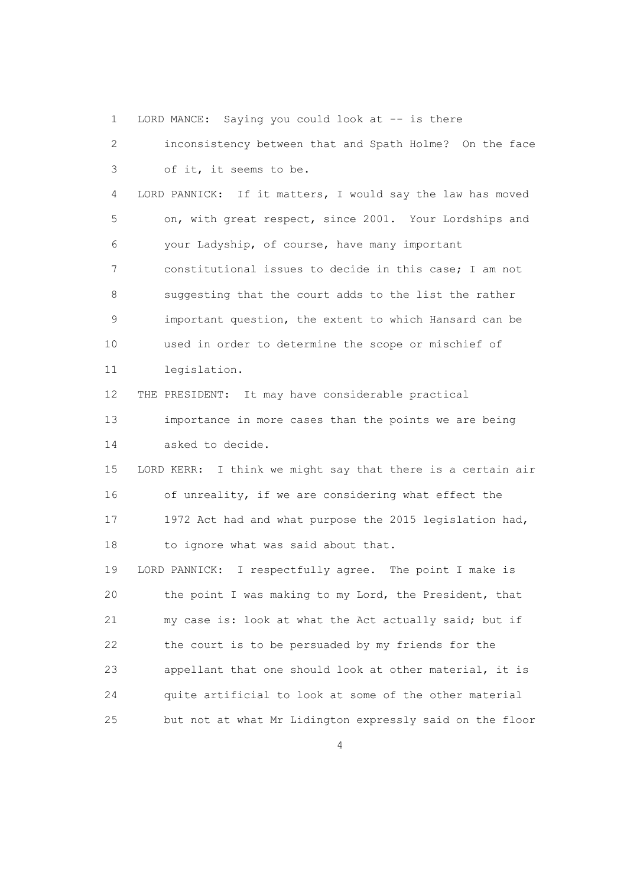1 LORD MANCE: Saying you could look at -- is there

 2 inconsistency between that and Spath Holme? On the face 3 of it, it seems to be. 4 LORD PANNICK: If it matters, I would say the law has moved 5 on, with great respect, since 2001. Your Lordships and 6 your Ladyship, of course, have many important 7 constitutional issues to decide in this case; I am not 8 suggesting that the court adds to the list the rather 9 important question, the extent to which Hansard can be 10 used in order to determine the scope or mischief of 11 legislation. 12 THE PRESIDENT: It may have considerable practical 13 importance in more cases than the points we are being 14 asked to decide. 15 LORD KERR: I think we might say that there is a certain air 16 of unreality, if we are considering what effect the 17 1972 Act had and what purpose the 2015 legislation had, 18 to ignore what was said about that. 19 LORD PANNICK: I respectfully agree. The point I make is 20 the point I was making to my Lord, the President, that 21 my case is: look at what the Act actually said; but if 22 the court is to be persuaded by my friends for the 23 appellant that one should look at other material, it is 24 quite artificial to look at some of the other material 25 but not at what Mr Lidington expressly said on the floor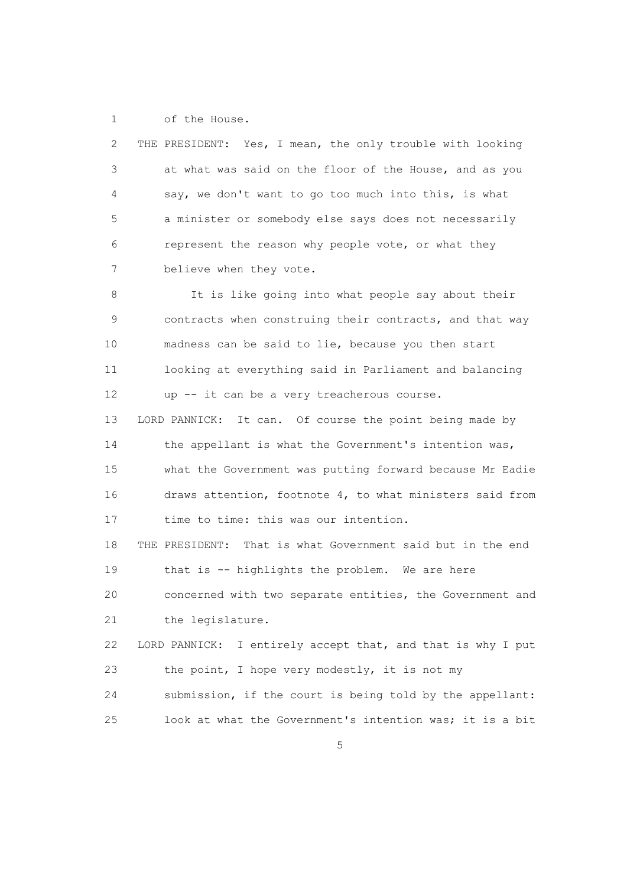1 of the House.

 2 THE PRESIDENT: Yes, I mean, the only trouble with looking 3 at what was said on the floor of the House, and as you 4 say, we don't want to go too much into this, is what 5 a minister or somebody else says does not necessarily 6 represent the reason why people vote, or what they 7 believe when they vote.

8 It is like going into what people say about their 9 contracts when construing their contracts, and that way 10 madness can be said to lie, because you then start 11 looking at everything said in Parliament and balancing 12 up -- it can be a very treacherous course.

 13 LORD PANNICK: It can. Of course the point being made by 14 the appellant is what the Government's intention was, 15 what the Government was putting forward because Mr Eadie 16 draws attention, footnote 4, to what ministers said from 17 time to time: this was our intention.

 18 THE PRESIDENT: That is what Government said but in the end 19 that is -- highlights the problem. We are here 20 concerned with two separate entities, the Government and

21 the legislature.

 22 LORD PANNICK: I entirely accept that, and that is why I put 23 the point, I hope very modestly, it is not my 24 submission, if the court is being told by the appellant: 25 look at what the Government's intention was; it is a bit

<u>5</u>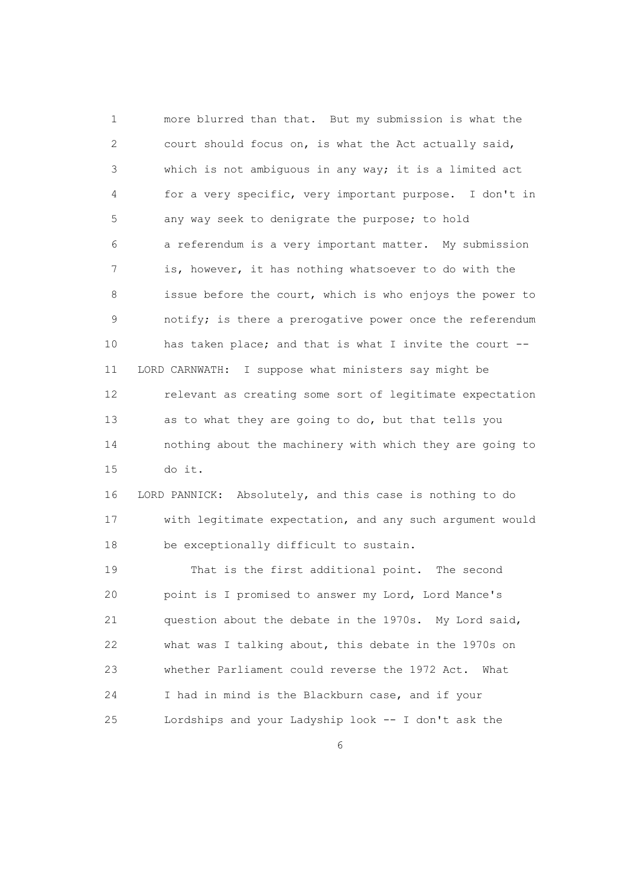1 more blurred than that. But my submission is what the 2 court should focus on, is what the Act actually said, 3 which is not ambiguous in any way; it is a limited act 4 for a very specific, very important purpose. I don't in 5 any way seek to denigrate the purpose; to hold 6 a referendum is a very important matter. My submission 7 is, however, it has nothing whatsoever to do with the 8 issue before the court, which is who enjoys the power to 9 notify; is there a prerogative power once the referendum 10 has taken place; and that is what I invite the court -- 11 LORD CARNWATH: I suppose what ministers say might be 12 relevant as creating some sort of legitimate expectation 13 as to what they are going to do, but that tells you 14 nothing about the machinery with which they are going to 15 do it.

 16 LORD PANNICK: Absolutely, and this case is nothing to do 17 with legitimate expectation, and any such argument would 18 be exceptionally difficult to sustain.

 19 That is the first additional point. The second 20 point is I promised to answer my Lord, Lord Mance's 21 question about the debate in the 1970s. My Lord said, 22 what was I talking about, this debate in the 1970s on 23 whether Parliament could reverse the 1972 Act. What 24 I had in mind is the Blackburn case, and if your 25 Lordships and your Ladyship look -- I don't ask the

 $\sim$  6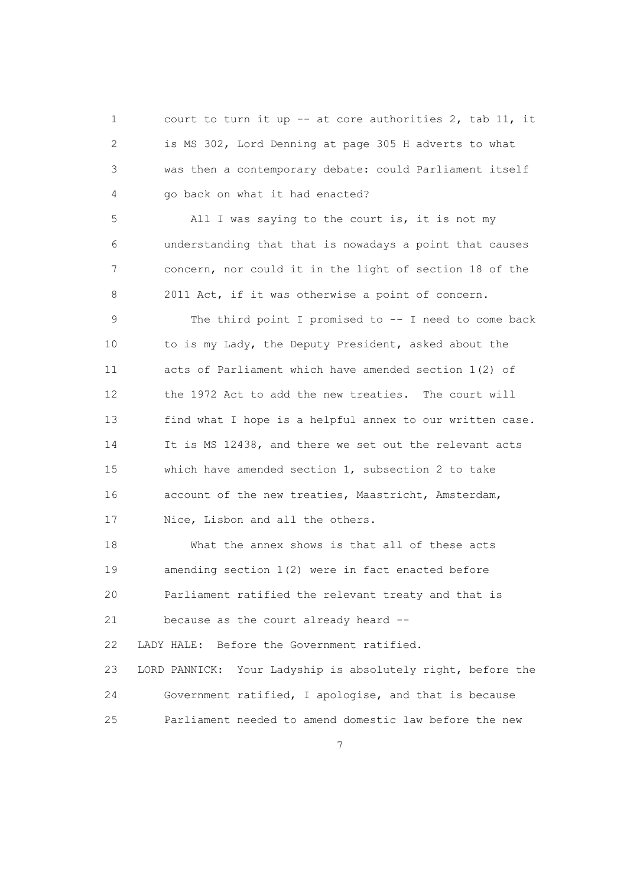1 court to turn it up -- at core authorities 2, tab 11, it 2 is MS 302, Lord Denning at page 305 H adverts to what 3 was then a contemporary debate: could Parliament itself 4 go back on what it had enacted?

 5 All I was saying to the court is, it is not my 6 understanding that that is nowadays a point that causes 7 concern, nor could it in the light of section 18 of the 8 2011 Act, if it was otherwise a point of concern.

9 The third point I promised to -- I need to come back 10 to is my Lady, the Deputy President, asked about the 11 acts of Parliament which have amended section 1(2) of 12 the 1972 Act to add the new treaties. The court will 13 find what I hope is a helpful annex to our written case. 14 It is MS 12438, and there we set out the relevant acts 15 which have amended section 1, subsection 2 to take 16 account of the new treaties, Maastricht, Amsterdam, 17 Nice, Lisbon and all the others.

 18 What the annex shows is that all of these acts 19 amending section 1(2) were in fact enacted before 20 Parliament ratified the relevant treaty and that is 21 because as the court already heard -- 22 LADY HALE: Before the Government ratified.

 23 LORD PANNICK: Your Ladyship is absolutely right, before the 24 Government ratified, I apologise, and that is because 25 Parliament needed to amend domestic law before the new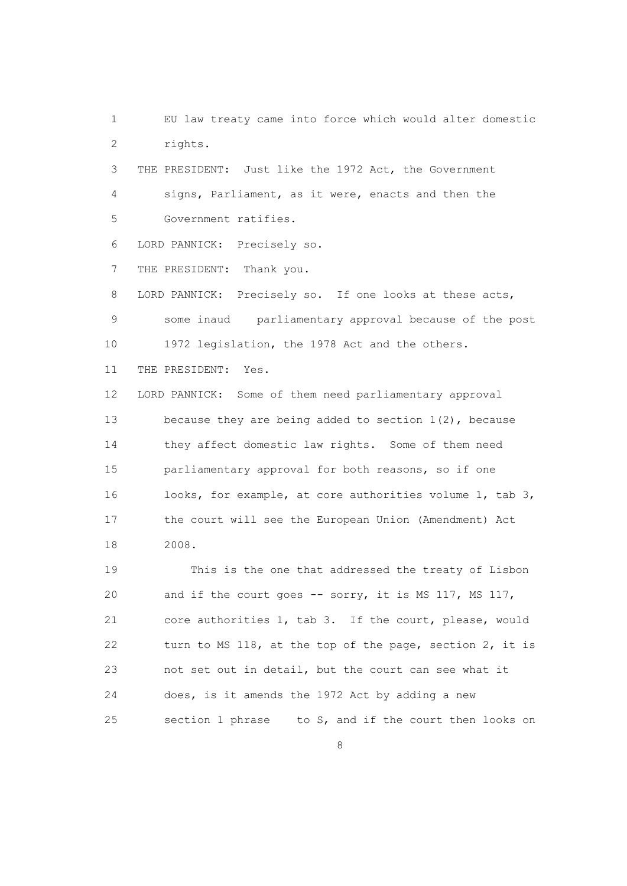1 EU law treaty came into force which would alter domestic 2 rights.

 3 THE PRESIDENT: Just like the 1972 Act, the Government 4 signs, Parliament, as it were, enacts and then the 5 Government ratifies.

6 LORD PANNICK: Precisely so.

7 THE PRESIDENT: Thank you.

 8 LORD PANNICK: Precisely so. If one looks at these acts, 9 some inaud parliamentary approval because of the post 10 1972 legislation, the 1978 Act and the others.

11 THE PRESIDENT: Yes.

 12 LORD PANNICK: Some of them need parliamentary approval 13 because they are being added to section 1(2), because 14 they affect domestic law rights. Some of them need 15 parliamentary approval for both reasons, so if one 16 looks, for example, at core authorities volume 1, tab 3, 17 the court will see the European Union (Amendment) Act 18 2008.

 19 This is the one that addressed the treaty of Lisbon 20 and if the court goes -- sorry, it is MS 117, MS 117, 21 core authorities 1, tab 3. If the court, please, would 22 turn to MS 118, at the top of the page, section 2, it is 23 not set out in detail, but the court can see what it 24 does, is it amends the 1972 Act by adding a new 25 section 1 phrase to S, and if the court then looks on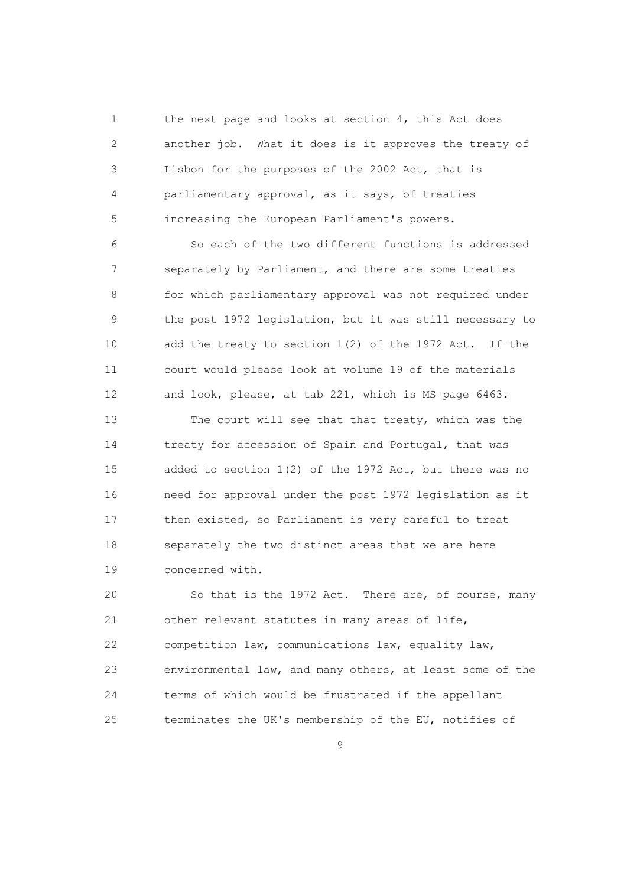1 the next page and looks at section 4, this Act does 2 another job. What it does is it approves the treaty of 3 Lisbon for the purposes of the 2002 Act, that is 4 parliamentary approval, as it says, of treaties 5 increasing the European Parliament's powers.

 6 So each of the two different functions is addressed 7 separately by Parliament, and there are some treaties 8 for which parliamentary approval was not required under 9 the post 1972 legislation, but it was still necessary to 10 add the treaty to section 1(2) of the 1972 Act. If the 11 court would please look at volume 19 of the materials 12 and look, please, at tab 221, which is MS page 6463.

 13 The court will see that that treaty, which was the 14 treaty for accession of Spain and Portugal, that was 15 added to section 1(2) of the 1972 Act, but there was no 16 need for approval under the post 1972 legislation as it 17 then existed, so Parliament is very careful to treat 18 separately the two distinct areas that we are here 19 concerned with.

 20 So that is the 1972 Act. There are, of course, many 21 other relevant statutes in many areas of life, 22 competition law, communications law, equality law, 23 environmental law, and many others, at least some of the 24 terms of which would be frustrated if the appellant 25 terminates the UK's membership of the EU, notifies of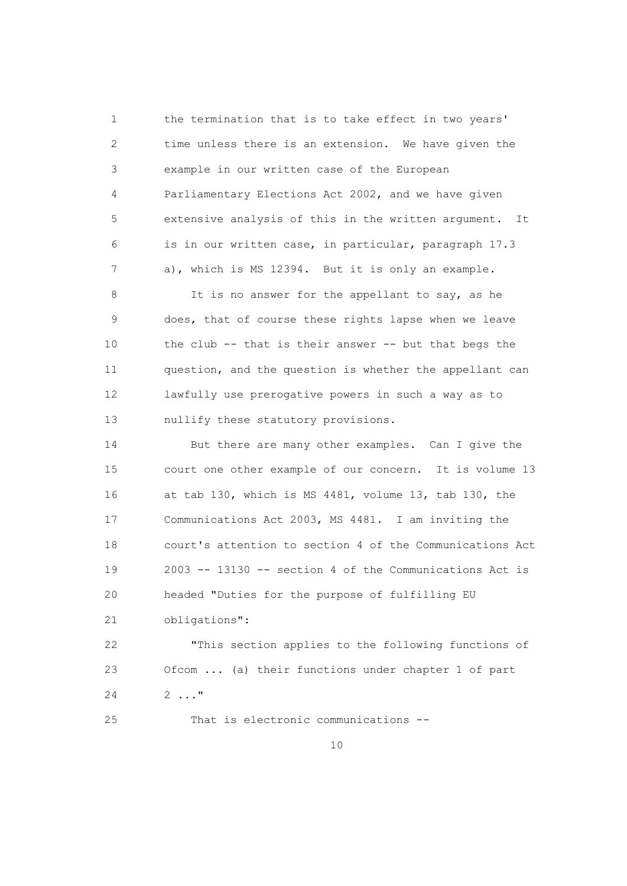1 the termination that is to take effect in two years' 2 time unless there is an extension. We have given the 3 example in our written case of the European 4 Parliamentary Elections Act 2002, and we have given 5 extensive analysis of this in the written argument. It 6 is in our written case, in particular, paragraph 17.3 7 a), which is MS 12394. But it is only an example.

 8 It is no answer for the appellant to say, as he 9 does, that of course these rights lapse when we leave 10 the club -- that is their answer -- but that begs the 11 question, and the question is whether the appellant can 12 lawfully use prerogative powers in such a way as to 13 nullify these statutory provisions.

 14 But there are many other examples. Can I give the 15 court one other example of our concern. It is volume 13 16 at tab 130, which is MS 4481, volume 13, tab 130, the 17 Communications Act 2003, MS 4481. I am inviting the 18 court's attention to section 4 of the Communications Act 19 2003 -- 13130 -- section 4 of the Communications Act is 20 headed "Duties for the purpose of fulfilling EU 21 obligations":

 22 "This section applies to the following functions of 23 Ofcom ... (a) their functions under chapter 1 of part  $24$  2 ..."

25 That is electronic communications --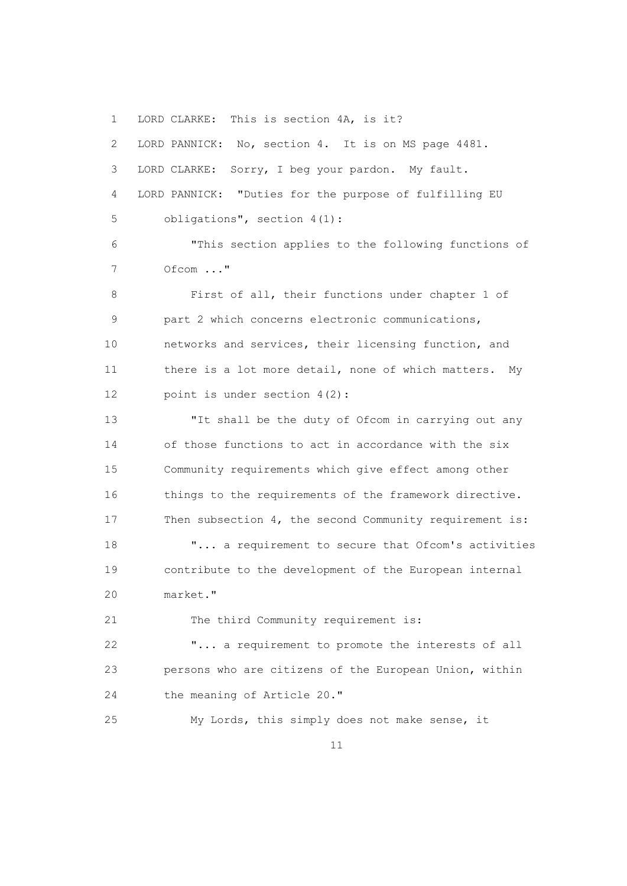1 LORD CLARKE: This is section 4A, is it?

 2 LORD PANNICK: No, section 4. It is on MS page 4481. 3 LORD CLARKE: Sorry, I beg your pardon. My fault. 4 LORD PANNICK: "Duties for the purpose of fulfilling EU 5 obligations", section 4(1): 6 "This section applies to the following functions of 7 Ofcom ..." 8 First of all, their functions under chapter 1 of 9 part 2 which concerns electronic communications, 10 networks and services, their licensing function, and 11 there is a lot more detail, none of which matters. My 12 point is under section 4(2): 13 "It shall be the duty of Ofcom in carrying out any 14 of those functions to act in accordance with the six 15 Community requirements which give effect among other 16 things to the requirements of the framework directive. 17 Then subsection 4, the second Community requirement is: 18 **"...** a requirement to secure that Ofcom's activities 19 contribute to the development of the European internal 20 market." 21 The third Community requirement is: 22 "... a requirement to promote the interests of all 23 persons who are citizens of the European Union, within 24 the meaning of Article 20." 25 My Lords, this simply does not make sense, it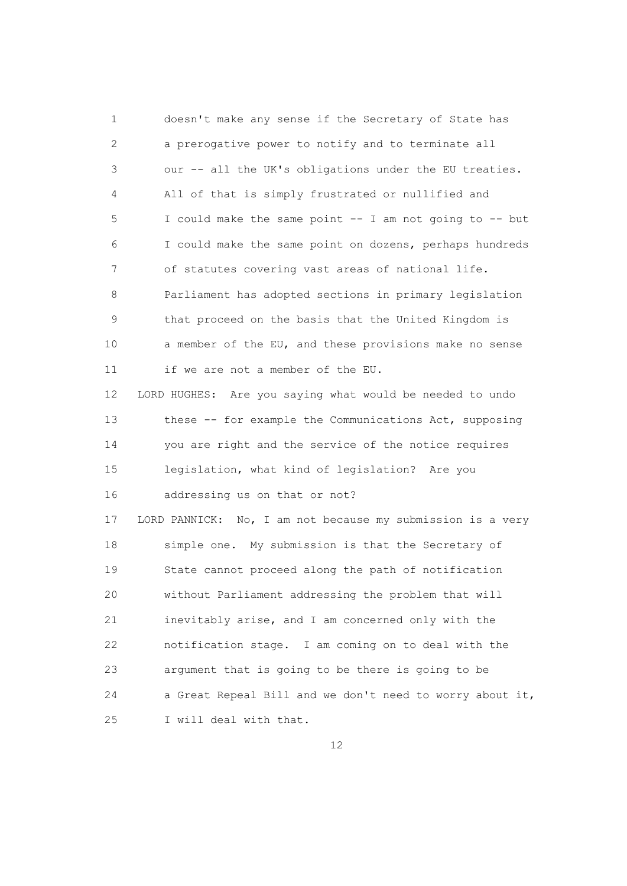1 doesn't make any sense if the Secretary of State has 2 a prerogative power to notify and to terminate all 3 our -- all the UK's obligations under the EU treaties. 4 All of that is simply frustrated or nullified and 5 I could make the same point -- I am not going to -- but 6 I could make the same point on dozens, perhaps hundreds 7 of statutes covering vast areas of national life. 8 Parliament has adopted sections in primary legislation 9 that proceed on the basis that the United Kingdom is 10 a member of the EU, and these provisions make no sense 11 if we are not a member of the EU. 12 LORD HUGHES: Are you saying what would be needed to undo 13 these -- for example the Communications Act, supposing 14 you are right and the service of the notice requires 15 legislation, what kind of legislation? Are you 16 addressing us on that or not? 17 LORD PANNICK: No, I am not because my submission is a very 18 simple one. My submission is that the Secretary of 19 State cannot proceed along the path of notification 20 without Parliament addressing the problem that will 21 inevitably arise, and I am concerned only with the 22 notification stage. I am coming on to deal with the 23 argument that is going to be there is going to be 24 a Great Repeal Bill and we don't need to worry about it, 25 I will deal with that.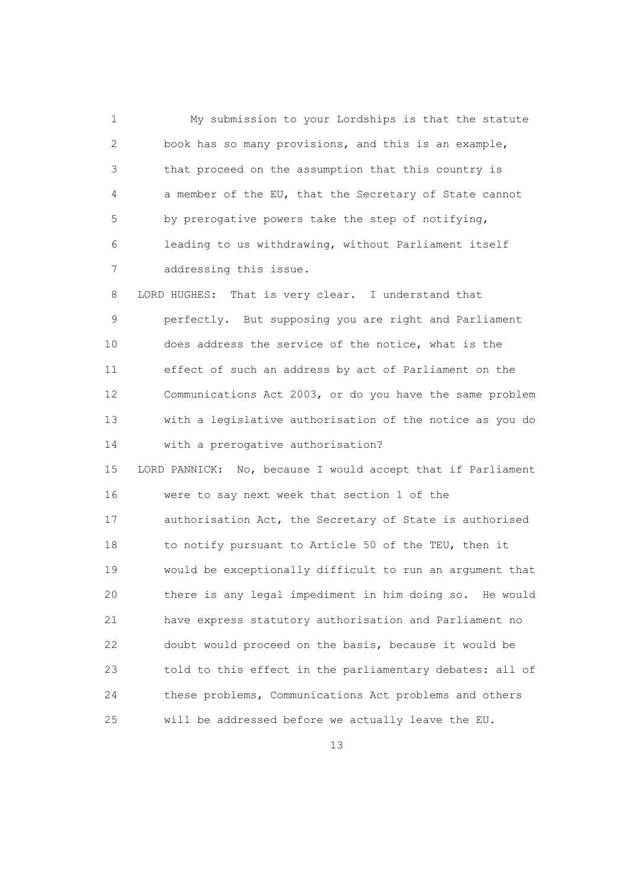1 My submission to your Lordships is that the statute 2 book has so many provisions, and this is an example, 3 that proceed on the assumption that this country is 4 a member of the EU, that the Secretary of State cannot 5 by prerogative powers take the step of notifying, 6 leading to us withdrawing, without Parliament itself 7 addressing this issue.

 8 LORD HUGHES: That is very clear. I understand that 9 perfectly. But supposing you are right and Parliament 10 does address the service of the notice, what is the 11 effect of such an address by act of Parliament on the 12 Communications Act 2003, or do you have the same problem 13 with a legislative authorisation of the notice as you do 14 with a prerogative authorisation?

 15 LORD PANNICK: No, because I would accept that if Parliament 16 were to say next week that section 1 of the 17 authorisation Act, the Secretary of State is authorised 18 to notify pursuant to Article 50 of the TEU, then it 19 would be exceptionally difficult to run an argument that 20 there is any legal impediment in him doing so. He would 21 have express statutory authorisation and Parliament no 22 doubt would proceed on the basis, because it would be 23 told to this effect in the parliamentary debates: all of 24 these problems, Communications Act problems and others 25 will be addressed before we actually leave the EU.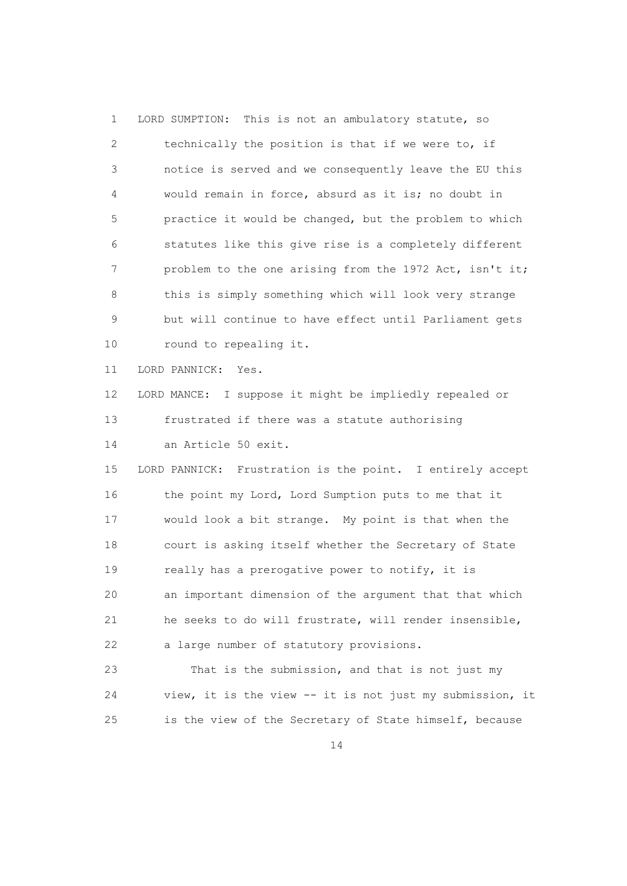| $\mathbf 1$ | This is not an ambulatory statute, so<br>LORD SUMPTION:   |
|-------------|-----------------------------------------------------------|
| 2           | technically the position is that if we were to, if        |
| 3           | notice is served and we consequently leave the EU this    |
| 4           | would remain in force, absurd as it is; no doubt in       |
| 5           | practice it would be changed, but the problem to which    |
| 6           | statutes like this give rise is a completely different    |
| 7           | problem to the one arising from the 1972 Act, isn't it;   |
| 8           | this is simply something which will look very strange     |
| 9           | but will continue to have effect until Parliament gets    |
| 10          | round to repealing it.                                    |
| 11          | LORD PANNICK:<br>Yes.                                     |
| 12          | LORD MANCE: I suppose it might be impliedly repealed or   |
| 13          | frustrated if there was a statute authorising             |
| 14          | an Article 50 exit.                                       |
| 15          | LORD PANNICK: Frustration is the point. I entirely accept |
| 16          | the point my Lord, Lord Sumption puts to me that it       |
| 17          | would look a bit strange. My point is that when the       |
| 18          | court is asking itself whether the Secretary of State     |
| 19          | really has a prerogative power to notify, it is           |
| 20          | an important dimension of the argument that that which    |
| 21          | he seeks to do will frustrate, will render insensible,    |
| 22          | a large number of statutory provisions.                   |
| 23          | That is the submission, and that is not just my           |

 24 view, it is the view -- it is not just my submission, it 25 is the view of the Secretary of State himself, because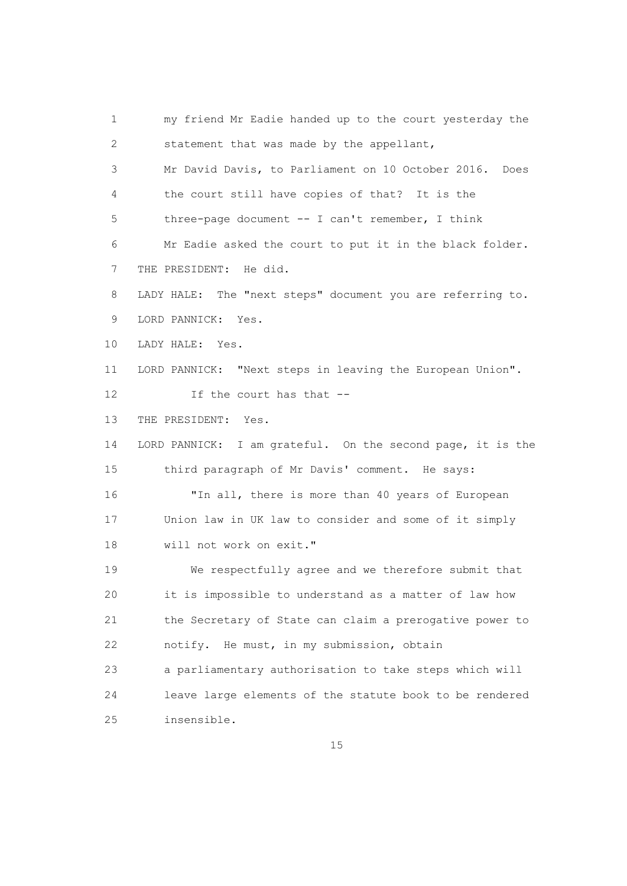1 my friend Mr Eadie handed up to the court yesterday the 2 statement that was made by the appellant, 3 Mr David Davis, to Parliament on 10 October 2016. Does 4 the court still have copies of that? It is the 5 three-page document -- I can't remember, I think 6 Mr Eadie asked the court to put it in the black folder. 7 THE PRESIDENT: He did. 8 LADY HALE: The "next steps" document you are referring to. 9 LORD PANNICK: Yes. 10 LADY HALE: Yes. 11 LORD PANNICK: "Next steps in leaving the European Union". 12 If the court has that -- 13 THE PRESIDENT: Yes. 14 LORD PANNICK: I am grateful. On the second page, it is the 15 third paragraph of Mr Davis' comment. He says: 16 "In all, there is more than 40 years of European 17 Union law in UK law to consider and some of it simply 18 will not work on exit." 19 We respectfully agree and we therefore submit that 20 it is impossible to understand as a matter of law how 21 the Secretary of State can claim a prerogative power to 22 notify. He must, in my submission, obtain 23 a parliamentary authorisation to take steps which will 24 leave large elements of the statute book to be rendered 25 insensible.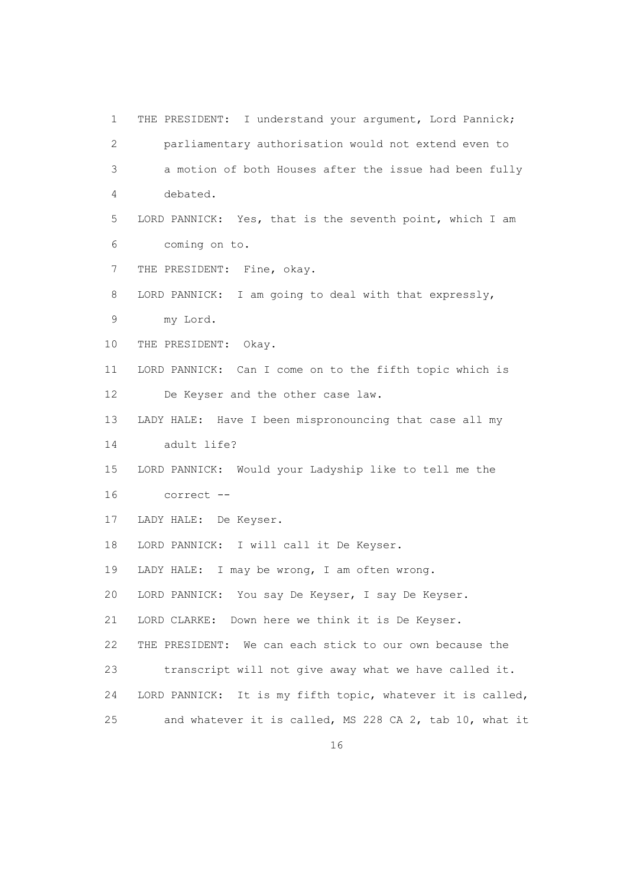1 THE PRESIDENT: I understand your argument, Lord Pannick; 2 parliamentary authorisation would not extend even to 3 a motion of both Houses after the issue had been fully 4 debated. 5 LORD PANNICK: Yes, that is the seventh point, which I am 6 coming on to. 7 THE PRESIDENT: Fine, okay. 8 LORD PANNICK: I am going to deal with that expressly, 9 my Lord. 10 THE PRESIDENT: Okay. 11 LORD PANNICK: Can I come on to the fifth topic which is 12 De Keyser and the other case law. 13 LADY HALE: Have I been mispronouncing that case all my 14 adult life? 15 LORD PANNICK: Would your Ladyship like to tell me the 16 correct -- 17 LADY HALE: De Keyser. 18 LORD PANNICK: I will call it De Keyser. 19 LADY HALE: I may be wrong, I am often wrong. 20 LORD PANNICK: You say De Keyser, I say De Keyser. 21 LORD CLARKE: Down here we think it is De Keyser. 22 THE PRESIDENT: We can each stick to our own because the 23 transcript will not give away what we have called it. 24 LORD PANNICK: It is my fifth topic, whatever it is called, 25 and whatever it is called, MS 228 CA 2, tab 10, what it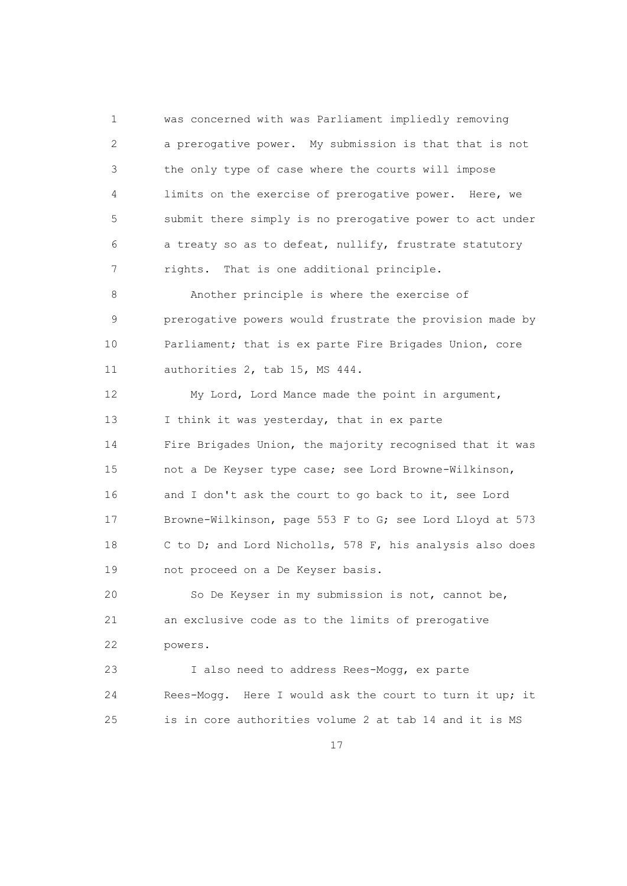1 was concerned with was Parliament impliedly removing 2 a prerogative power. My submission is that that is not 3 the only type of case where the courts will impose 4 limits on the exercise of prerogative power. Here, we 5 submit there simply is no prerogative power to act under 6 a treaty so as to defeat, nullify, frustrate statutory 7 rights. That is one additional principle.

 8 Another principle is where the exercise of 9 prerogative powers would frustrate the provision made by 10 Parliament; that is ex parte Fire Brigades Union, core 11 authorities 2, tab 15, MS 444.

 12 My Lord, Lord Mance made the point in argument, 13 I think it was yesterday, that in ex parte 14 Fire Brigades Union, the majority recognised that it was 15 not a De Keyser type case; see Lord Browne-Wilkinson, 16 and I don't ask the court to go back to it, see Lord 17 Browne-Wilkinson, page 553 F to G; see Lord Lloyd at 573 18 C to D; and Lord Nicholls, 578 F, his analysis also does 19 not proceed on a De Keyser basis.

 20 So De Keyser in my submission is not, cannot be, 21 an exclusive code as to the limits of prerogative 22 powers.

 23 I also need to address Rees-Mogg, ex parte 24 Rees-Mogg. Here I would ask the court to turn it up; it 25 is in core authorities volume 2 at tab 14 and it is MS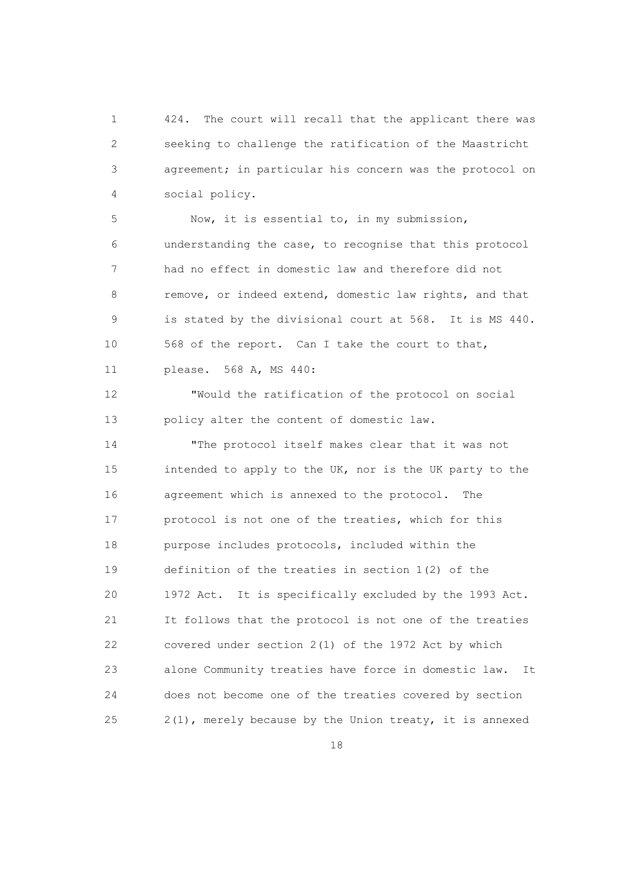1 424. The court will recall that the applicant there was 2 seeking to challenge the ratification of the Maastricht 3 agreement; in particular his concern was the protocol on 4 social policy.

 5 Now, it is essential to, in my submission, 6 understanding the case, to recognise that this protocol 7 had no effect in domestic law and therefore did not 8 remove, or indeed extend, domestic law rights, and that 9 is stated by the divisional court at 568. It is MS 440. 10 568 of the report. Can I take the court to that, 11 please. 568 A, MS 440:

 12 "Would the ratification of the protocol on social 13 policy alter the content of domestic law.

 14 "The protocol itself makes clear that it was not 15 intended to apply to the UK, nor is the UK party to the 16 agreement which is annexed to the protocol. The 17 protocol is not one of the treaties, which for this 18 purpose includes protocols, included within the 19 definition of the treaties in section 1(2) of the 20 1972 Act. It is specifically excluded by the 1993 Act. 21 It follows that the protocol is not one of the treaties 22 covered under section 2(1) of the 1972 Act by which 23 alone Community treaties have force in domestic law. It 24 does not become one of the treaties covered by section 25 2(1), merely because by the Union treaty, it is annexed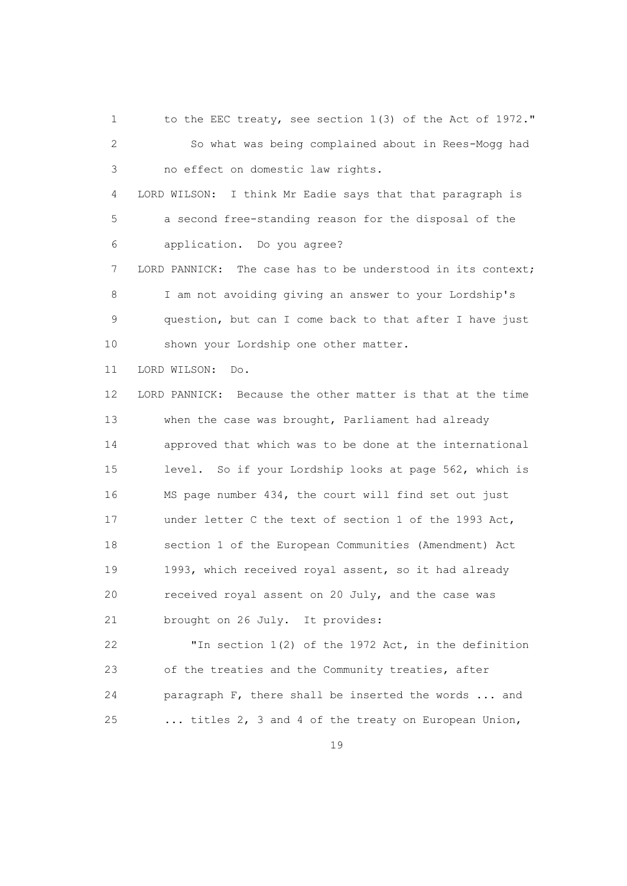1 to the EEC treaty, see section 1(3) of the Act of 1972." 2 So what was being complained about in Rees-Mogg had 3 no effect on domestic law rights. 4 LORD WILSON: I think Mr Eadie says that that paragraph is 5 a second free-standing reason for the disposal of the 6 application. Do you agree? 7 LORD PANNICK: The case has to be understood in its context; 8 I am not avoiding giving an answer to your Lordship's 9 question, but can I come back to that after I have just 10 shown your Lordship one other matter. 11 LORD WILSON: Do. 12 LORD PANNICK: Because the other matter is that at the time 13 when the case was brought, Parliament had already 14 approved that which was to be done at the international 15 level. So if your Lordship looks at page 562, which is 16 MS page number 434, the court will find set out just 17 under letter C the text of section 1 of the 1993 Act, 18 section 1 of the European Communities (Amendment) Act 19 1993, which received royal assent, so it had already 20 received royal assent on 20 July, and the case was 21 brought on 26 July. It provides: 22 "In section 1(2) of the 1972 Act, in the definition 23 of the treaties and the Community treaties, after 24 paragraph F, there shall be inserted the words ... and 25 ... titles 2, 3 and 4 of the treaty on European Union,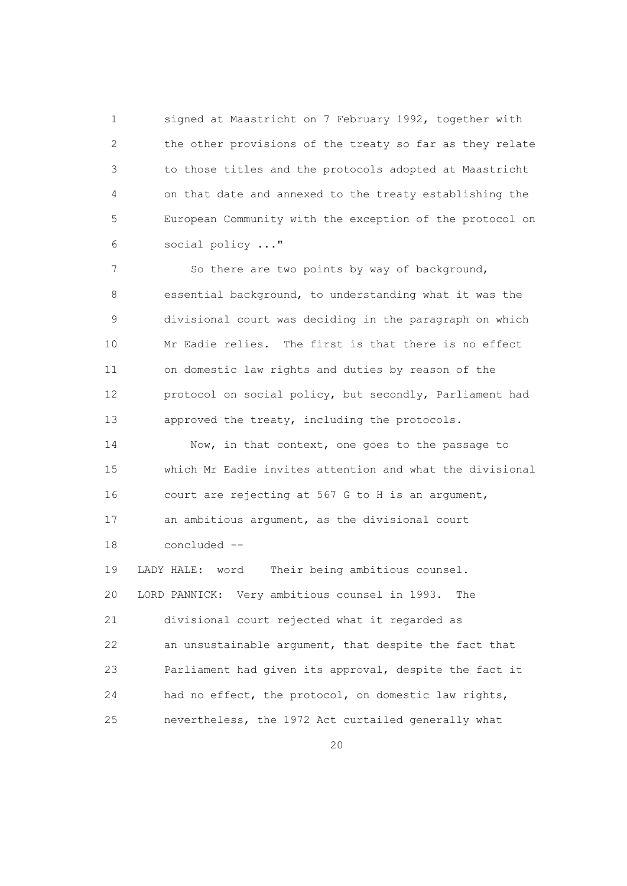1 signed at Maastricht on 7 February 1992, together with 2 the other provisions of the treaty so far as they relate 3 to those titles and the protocols adopted at Maastricht 4 on that date and annexed to the treaty establishing the 5 European Community with the exception of the protocol on 6 social policy ..."

 7 So there are two points by way of background, 8 essential background, to understanding what it was the 9 divisional court was deciding in the paragraph on which 10 Mr Eadie relies. The first is that there is no effect 11 on domestic law rights and duties by reason of the 12 protocol on social policy, but secondly, Parliament had 13 approved the treaty, including the protocols.

14 Now, in that context, one goes to the passage to 15 which Mr Eadie invites attention and what the divisional 16 court are rejecting at 567 G to H is an argument, 17 an ambitious argument, as the divisional court 18 concluded --

 19 LADY HALE: word Their being ambitious counsel. 20 LORD PANNICK: Very ambitious counsel in 1993. The 21 divisional court rejected what it regarded as 22 an unsustainable argument, that despite the fact that 23 Parliament had given its approval, despite the fact it 24 had no effect, the protocol, on domestic law rights, 25 nevertheless, the 1972 Act curtailed generally what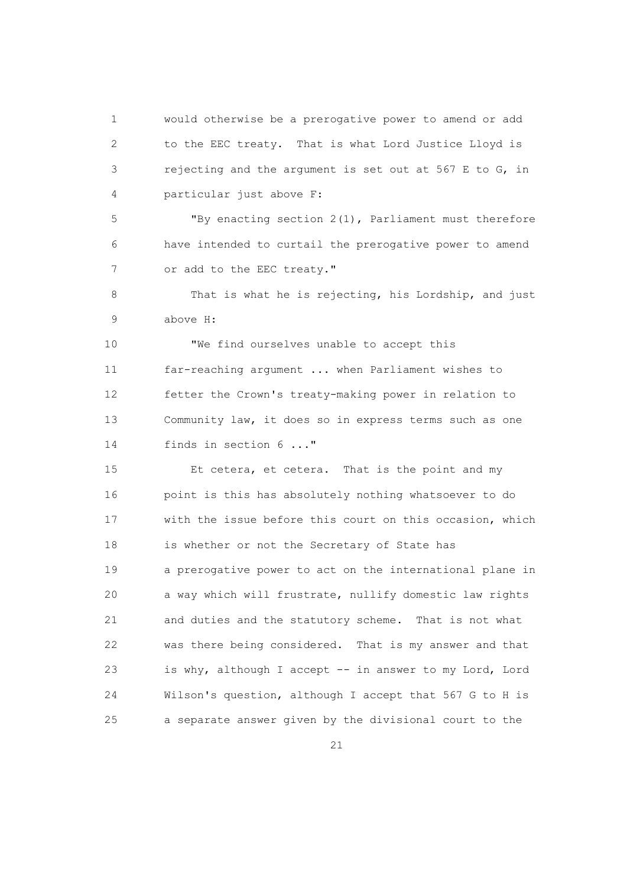1 would otherwise be a prerogative power to amend or add 2 to the EEC treaty. That is what Lord Justice Lloyd is 3 rejecting and the argument is set out at 567 E to G, in 4 particular just above F:

 5 "By enacting section 2(1), Parliament must therefore 6 have intended to curtail the prerogative power to amend 7 or add to the EEC treaty."

 8 That is what he is rejecting, his Lordship, and just 9 above H:

 10 "We find ourselves unable to accept this 11 far-reaching argument ... when Parliament wishes to 12 fetter the Crown's treaty-making power in relation to 13 Community law, it does so in express terms such as one 14 finds in section 6 ..."

 15 Et cetera, et cetera. That is the point and my 16 point is this has absolutely nothing whatsoever to do 17 with the issue before this court on this occasion, which 18 is whether or not the Secretary of State has 19 a prerogative power to act on the international plane in 20 a way which will frustrate, nullify domestic law rights 21 and duties and the statutory scheme. That is not what 22 was there being considered. That is my answer and that 23 is why, although I accept -- in answer to my Lord, Lord 24 Wilson's question, although I accept that 567 G to H is 25 a separate answer given by the divisional court to the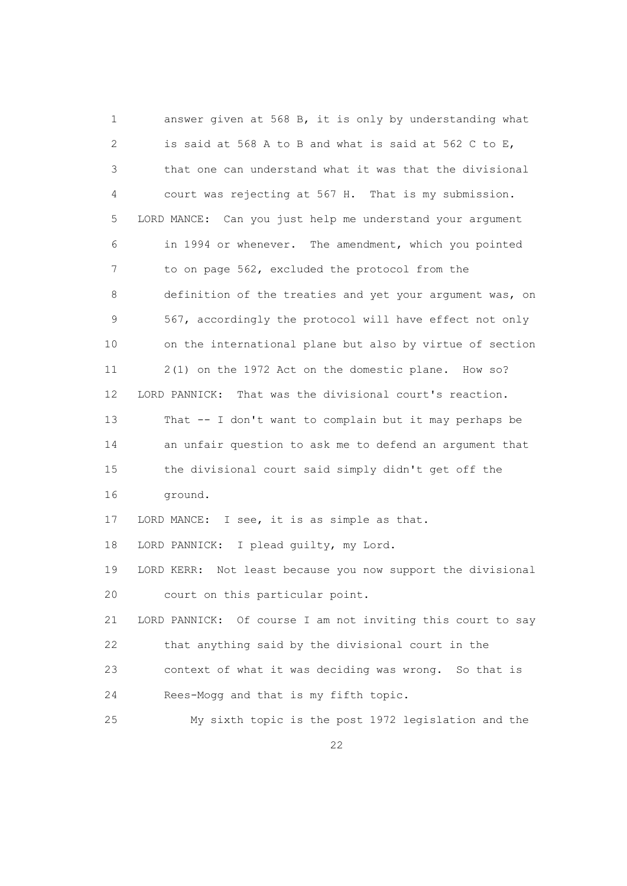1 answer given at 568 B, it is only by understanding what 2 is said at 568 A to B and what is said at 562 C to E, 3 that one can understand what it was that the divisional 4 court was rejecting at 567 H. That is my submission. 5 LORD MANCE: Can you just help me understand your argument 6 in 1994 or whenever. The amendment, which you pointed 7 to on page 562, excluded the protocol from the 8 definition of the treaties and yet your argument was, on 9 567, accordingly the protocol will have effect not only 10 on the international plane but also by virtue of section 11 2(1) on the 1972 Act on the domestic plane. How so? 12 LORD PANNICK: That was the divisional court's reaction. 13 That -- I don't want to complain but it may perhaps be 14 an unfair question to ask me to defend an argument that 15 the divisional court said simply didn't get off the 16 ground. 17 LORD MANCE: I see, it is as simple as that. 18 LORD PANNICK: I plead guilty, my Lord. 19 LORD KERR: Not least because you now support the divisional 20 court on this particular point. 21 LORD PANNICK: Of course I am not inviting this court to say 22 that anything said by the divisional court in the 23 context of what it was deciding was wrong. So that is 24 Rees-Mogg and that is my fifth topic. 25 My sixth topic is the post 1972 legislation and the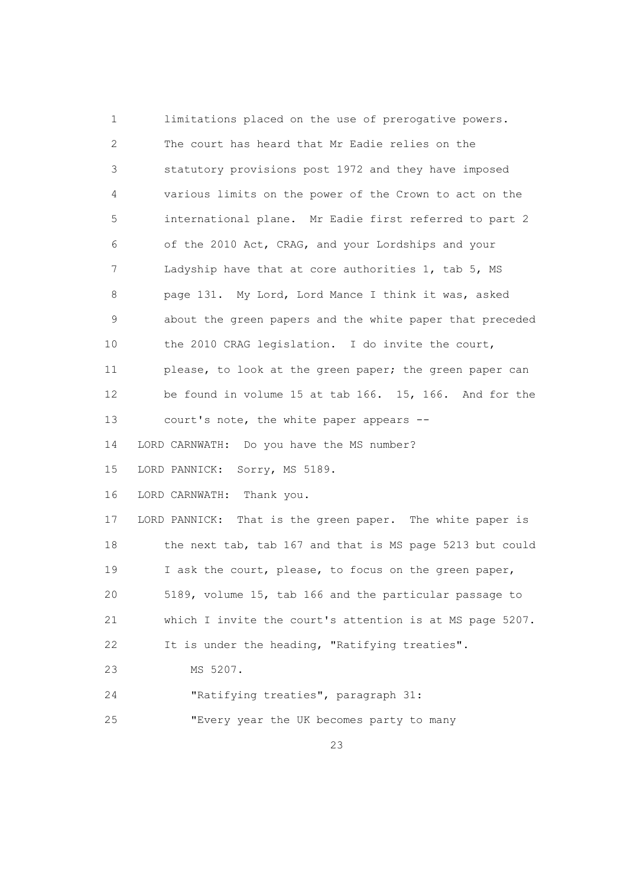1 limitations placed on the use of prerogative powers. 2 The court has heard that Mr Eadie relies on the 3 statutory provisions post 1972 and they have imposed 4 various limits on the power of the Crown to act on the 5 international plane. Mr Eadie first referred to part 2 6 of the 2010 Act, CRAG, and your Lordships and your 7 Ladyship have that at core authorities 1, tab 5, MS 8 page 131. My Lord, Lord Mance I think it was, asked 9 about the green papers and the white paper that preceded 10 the 2010 CRAG legislation. I do invite the court, 11 please, to look at the green paper; the green paper can 12 be found in volume 15 at tab 166. 15, 166. And for the 13 court's note, the white paper appears -- 14 LORD CARNWATH: Do you have the MS number? 15 LORD PANNICK: Sorry, MS 5189. 16 LORD CARNWATH: Thank you. 17 LORD PANNICK: That is the green paper. The white paper is 18 the next tab, tab 167 and that is MS page 5213 but could 19 I ask the court, please, to focus on the green paper, 20 5189, volume 15, tab 166 and the particular passage to 21 which I invite the court's attention is at MS page 5207. 22 It is under the heading, "Ratifying treaties". 23 MS 5207. 24 "Ratifying treaties", paragraph 31: 25 "Every year the UK becomes party to many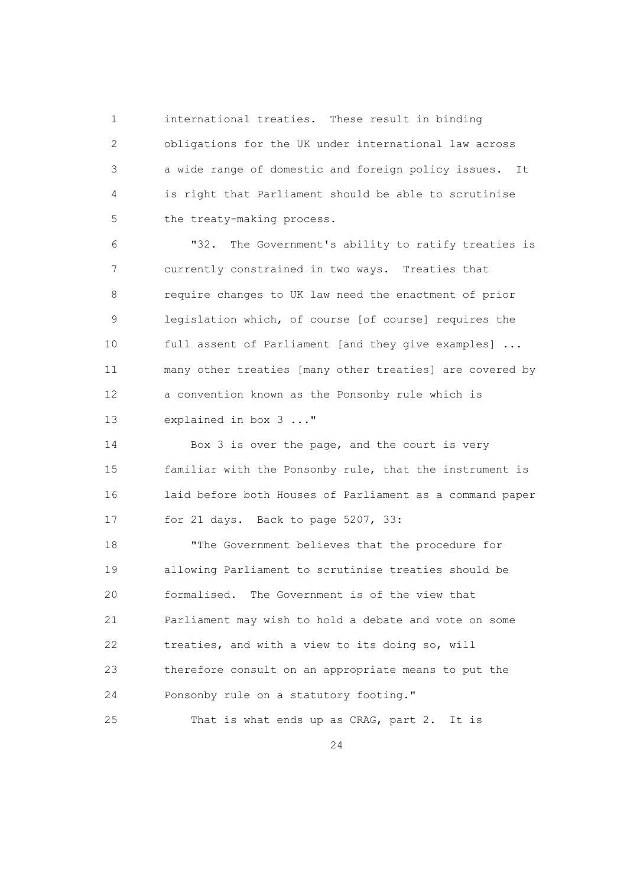1 international treaties. These result in binding 2 obligations for the UK under international law across 3 a wide range of domestic and foreign policy issues. It 4 is right that Parliament should be able to scrutinise 5 the treaty-making process.

 6 "32. The Government's ability to ratify treaties is 7 currently constrained in two ways. Treaties that 8 require changes to UK law need the enactment of prior 9 legislation which, of course [of course] requires the 10 full assent of Parliament [and they give examples] ... 11 many other treaties [many other treaties] are covered by 12 a convention known as the Ponsonby rule which is 13 explained in box 3 ..."

 14 Box 3 is over the page, and the court is very 15 familiar with the Ponsonby rule, that the instrument is 16 laid before both Houses of Parliament as a command paper 17 for 21 days. Back to page 5207, 33:

 18 "The Government believes that the procedure for 19 allowing Parliament to scrutinise treaties should be 20 formalised. The Government is of the view that 21 Parliament may wish to hold a debate and vote on some 22 treaties, and with a view to its doing so, will 23 therefore consult on an appropriate means to put the 24 Ponsonby rule on a statutory footing."

25 That is what ends up as CRAG, part 2. It is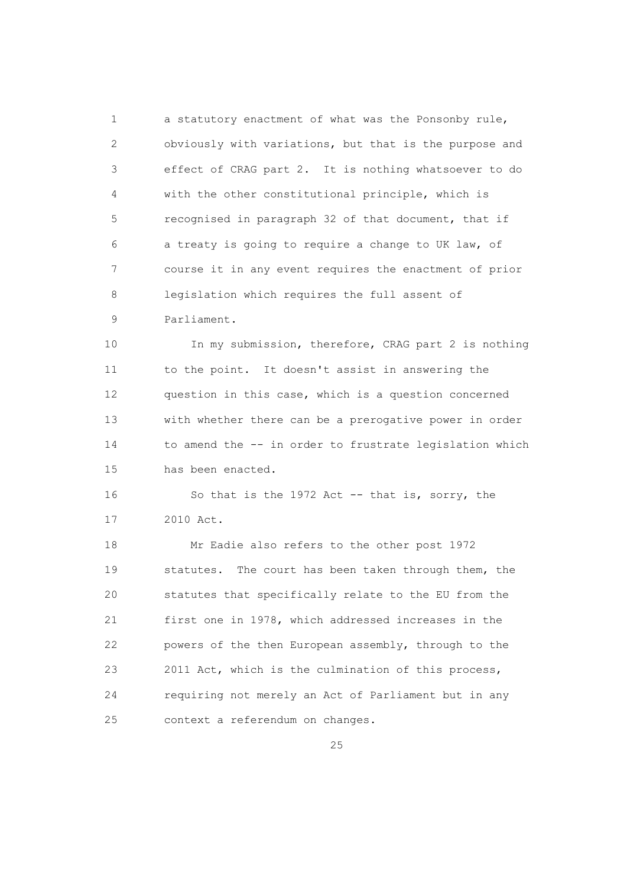1 a statutory enactment of what was the Ponsonby rule, 2 obviously with variations, but that is the purpose and 3 effect of CRAG part 2. It is nothing whatsoever to do 4 with the other constitutional principle, which is 5 recognised in paragraph 32 of that document, that if 6 a treaty is going to require a change to UK law, of 7 course it in any event requires the enactment of prior 8 legislation which requires the full assent of 9 Parliament.

 10 In my submission, therefore, CRAG part 2 is nothing 11 to the point. It doesn't assist in answering the 12 question in this case, which is a question concerned 13 with whether there can be a prerogative power in order 14 to amend the -- in order to frustrate legislation which 15 has been enacted.

 16 So that is the 1972 Act -- that is, sorry, the 17 2010 Act.

 18 Mr Eadie also refers to the other post 1972 19 statutes. The court has been taken through them, the 20 statutes that specifically relate to the EU from the 21 first one in 1978, which addressed increases in the 22 powers of the then European assembly, through to the 23 2011 Act, which is the culmination of this process, 24 requiring not merely an Act of Parliament but in any 25 context a referendum on changes.

<u>25</u>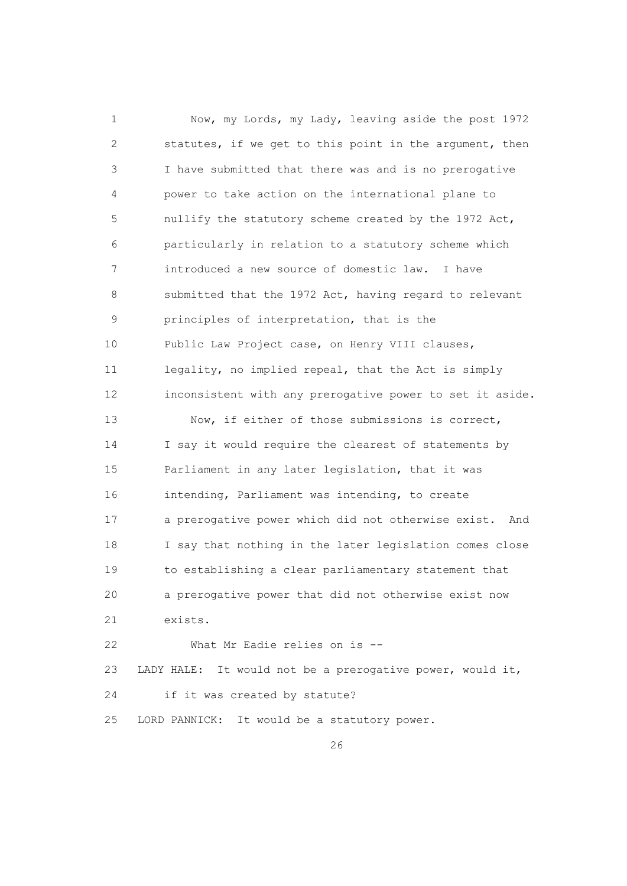1 Now, my Lords, my Lady, leaving aside the post 1972 2 statutes, if we get to this point in the argument, then 3 I have submitted that there was and is no prerogative 4 power to take action on the international plane to 5 nullify the statutory scheme created by the 1972 Act, 6 particularly in relation to a statutory scheme which 7 introduced a new source of domestic law. I have 8 submitted that the 1972 Act, having regard to relevant 9 principles of interpretation, that is the 10 Public Law Project case, on Henry VIII clauses, 11 legality, no implied repeal, that the Act is simply 12 inconsistent with any prerogative power to set it aside. 13 Now, if either of those submissions is correct, 14 I say it would require the clearest of statements by 15 Parliament in any later legislation, that it was 16 intending, Parliament was intending, to create 17 a prerogative power which did not otherwise exist. And 18 I say that nothing in the later legislation comes close 19 to establishing a clear parliamentary statement that 20 a prerogative power that did not otherwise exist now 21 exists. 22 What Mr Eadie relies on is --

 23 LADY HALE: It would not be a prerogative power, would it, 24 if it was created by statute?

25 LORD PANNICK: It would be a statutory power.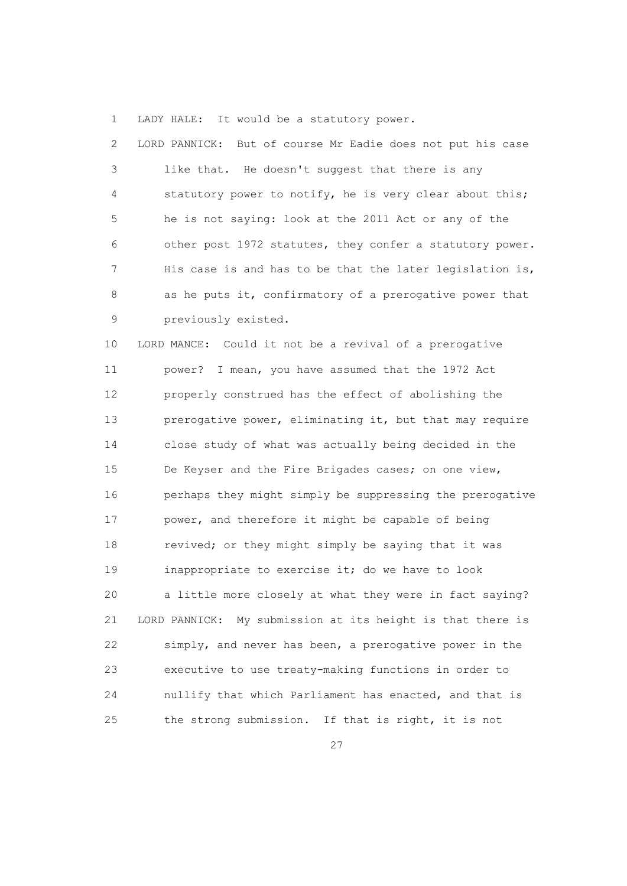1 LADY HALE: It would be a statutory power.

 2 LORD PANNICK: But of course Mr Eadie does not put his case 3 like that. He doesn't suggest that there is any 4 statutory power to notify, he is very clear about this; 5 he is not saying: look at the 2011 Act or any of the 6 other post 1972 statutes, they confer a statutory power. 7 His case is and has to be that the later legislation is, 8 as he puts it, confirmatory of a prerogative power that 9 previously existed.

 10 LORD MANCE: Could it not be a revival of a prerogative 11 power? I mean, you have assumed that the 1972 Act 12 properly construed has the effect of abolishing the 13 prerogative power, eliminating it, but that may require 14 close study of what was actually being decided in the 15 De Keyser and the Fire Brigades cases; on one view, 16 perhaps they might simply be suppressing the prerogative 17 power, and therefore it might be capable of being 18 revived; or they might simply be saying that it was 19 inappropriate to exercise it; do we have to look 20 a little more closely at what they were in fact saying? 21 LORD PANNICK: My submission at its height is that there is 22 simply, and never has been, a prerogative power in the 23 executive to use treaty-making functions in order to 24 nullify that which Parliament has enacted, and that is 25 the strong submission. If that is right, it is not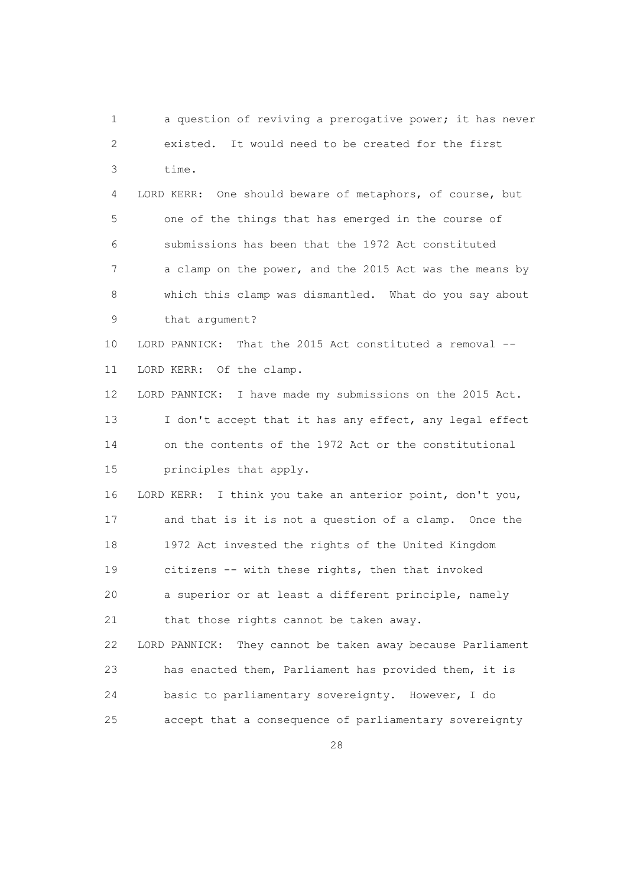1 a question of reviving a prerogative power; it has never 2 existed. It would need to be created for the first 3 time. 4 LORD KERR: One should beware of metaphors, of course, but 5 one of the things that has emerged in the course of 6 submissions has been that the 1972 Act constituted 7 a clamp on the power, and the 2015 Act was the means by 8 which this clamp was dismantled. What do you say about 9 that argument? 10 LORD PANNICK: That the 2015 Act constituted a removal -- 11 LORD KERR: Of the clamp. 12 LORD PANNICK: I have made my submissions on the 2015 Act. 13 I don't accept that it has any effect, any legal effect 14 on the contents of the 1972 Act or the constitutional 15 principles that apply. 16 LORD KERR: I think you take an anterior point, don't you, 17 and that is it is not a question of a clamp. Once the 18 1972 Act invested the rights of the United Kingdom 19 citizens -- with these rights, then that invoked 20 a superior or at least a different principle, namely 21 that those rights cannot be taken away. 22 LORD PANNICK: They cannot be taken away because Parliament 23 has enacted them, Parliament has provided them, it is 24 basic to parliamentary sovereignty. However, I do 25 accept that a consequence of parliamentary sovereignty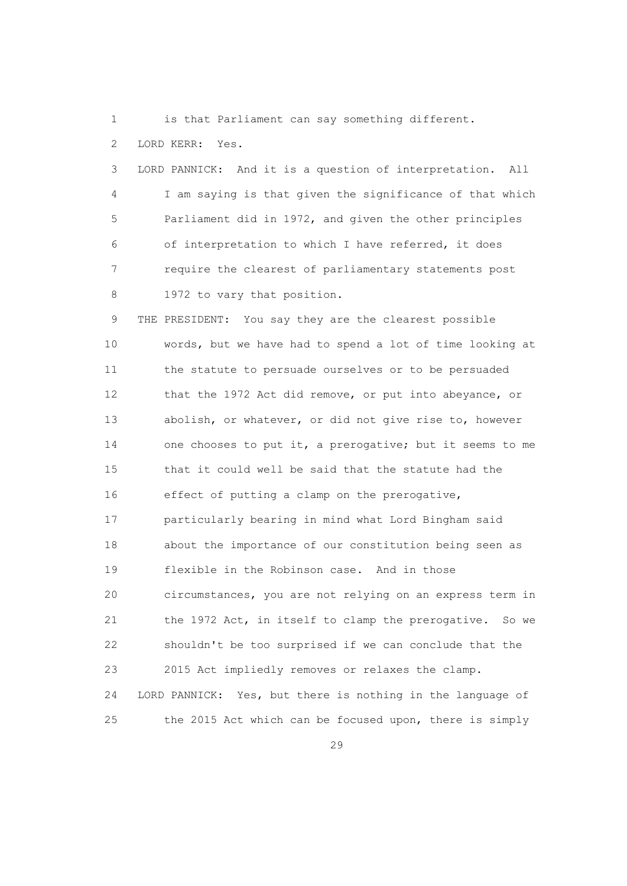1 is that Parliament can say something different.

2 LORD KERR: Yes.

 3 LORD PANNICK: And it is a question of interpretation. All 4 I am saying is that given the significance of that which 5 Parliament did in 1972, and given the other principles 6 of interpretation to which I have referred, it does 7 require the clearest of parliamentary statements post 8 1972 to vary that position.

 9 THE PRESIDENT: You say they are the clearest possible 10 words, but we have had to spend a lot of time looking at 11 the statute to persuade ourselves or to be persuaded 12 that the 1972 Act did remove, or put into abeyance, or 13 abolish, or whatever, or did not give rise to, however 14 one chooses to put it, a prerogative; but it seems to me 15 that it could well be said that the statute had the 16 effect of putting a clamp on the prerogative, 17 particularly bearing in mind what Lord Bingham said 18 about the importance of our constitution being seen as 19 flexible in the Robinson case. And in those 20 circumstances, you are not relying on an express term in 21 the 1972 Act, in itself to clamp the prerogative. So we 22 shouldn't be too surprised if we can conclude that the 23 2015 Act impliedly removes or relaxes the clamp. 24 LORD PANNICK: Yes, but there is nothing in the language of 25 the 2015 Act which can be focused upon, there is simply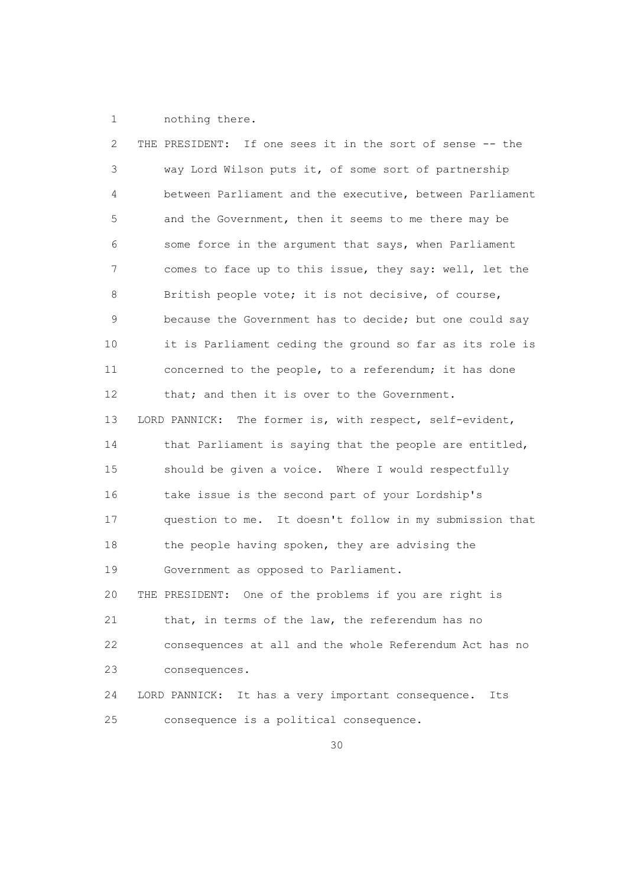1 nothing there.

| 2  | If one sees it in the sort of sense -- the<br>THE PRESIDENT: |
|----|--------------------------------------------------------------|
| 3  | way Lord Wilson puts it, of some sort of partnership         |
| 4  | between Parliament and the executive, between Parliament     |
| 5  | and the Government, then it seems to me there may be         |
| 6  | some force in the argument that says, when Parliament        |
| 7  | comes to face up to this issue, they say: well, let the      |
| 8  | British people vote; it is not decisive, of course,          |
| 9  | because the Government has to decide; but one could say      |
| 10 | it is Parliament ceding the ground so far as its role is     |
| 11 | concerned to the people, to a referendum; it has done        |
| 12 | that; and then it is over to the Government.                 |
| 13 | LORD PANNICK:<br>The former is, with respect, self-evident,  |
| 14 | that Parliament is saying that the people are entitled,      |
| 15 | should be given a voice. Where I would respectfully          |
| 16 | take issue is the second part of your Lordship's             |
| 17 | question to me. It doesn't follow in my submission that      |
| 18 | the people having spoken, they are advising the              |
| 19 | Government as opposed to Parliament.                         |
| 20 | One of the problems if you are right is<br>THE PRESIDENT:    |
| 21 | that, in terms of the law, the referendum has no             |
| 22 | consequences at all and the whole Referendum Act has no      |
| 23 | consequences.                                                |
| 24 | It has a very important consequence.<br>LORD PANNICK:<br>Its |
| 25 | consequence is a political consequence.                      |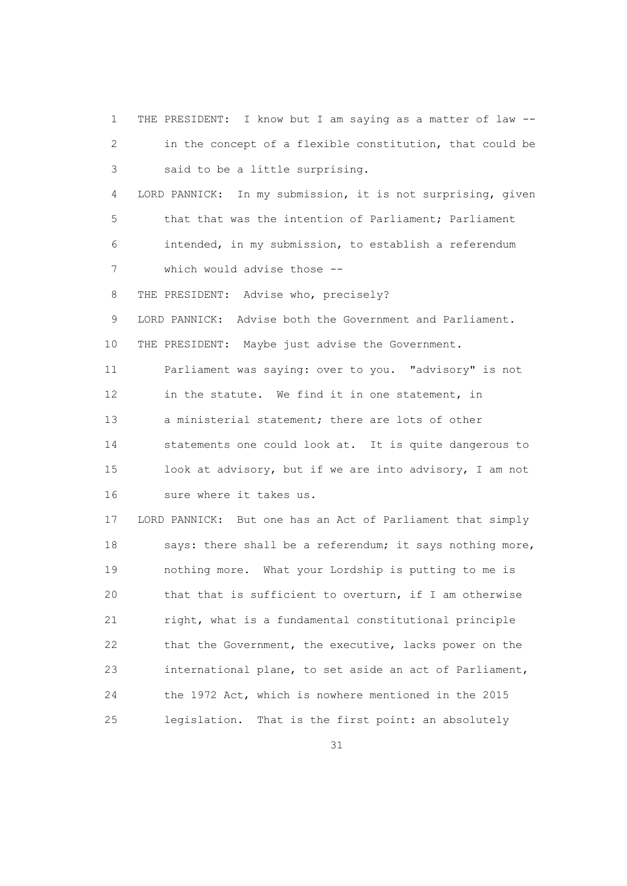1 THE PRESIDENT: I know but I am saying as a matter of law -- 2 in the concept of a flexible constitution, that could be 3 said to be a little surprising. 4 LORD PANNICK: In my submission, it is not surprising, given 5 that that was the intention of Parliament; Parliament 6 intended, in my submission, to establish a referendum 7 which would advise those -- 8 THE PRESIDENT: Advise who, precisely? 9 LORD PANNICK: Advise both the Government and Parliament. 10 THE PRESIDENT: Maybe just advise the Government. 11 Parliament was saying: over to you. "advisory" is not 12 in the statute. We find it in one statement, in 13 a ministerial statement; there are lots of other 14 statements one could look at. It is quite dangerous to 15 look at advisory, but if we are into advisory, I am not 16 sure where it takes us. 17 LORD PANNICK: But one has an Act of Parliament that simply 18 says: there shall be a referendum; it says nothing more, 19 nothing more. What your Lordship is putting to me is 20 that that is sufficient to overturn, if I am otherwise 21 right, what is a fundamental constitutional principle 22 that the Government, the executive, lacks power on the 23 international plane, to set aside an act of Parliament, 24 the 1972 Act, which is nowhere mentioned in the 2015 25 legislation. That is the first point: an absolutely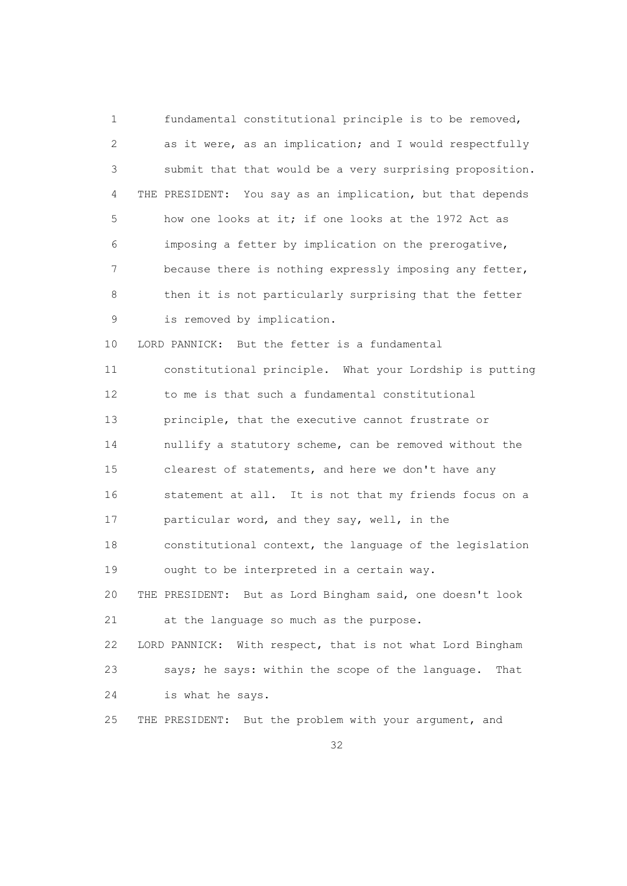1 fundamental constitutional principle is to be removed, 2 as it were, as an implication; and I would respectfully 3 submit that that would be a very surprising proposition. 4 THE PRESIDENT: You say as an implication, but that depends 5 how one looks at it; if one looks at the 1972 Act as 6 imposing a fetter by implication on the prerogative, 7 because there is nothing expressly imposing any fetter, 8 then it is not particularly surprising that the fetter 9 is removed by implication. 10 LORD PANNICK: But the fetter is a fundamental 11 constitutional principle. What your Lordship is putting 12 to me is that such a fundamental constitutional 13 principle, that the executive cannot frustrate or 14 nullify a statutory scheme, can be removed without the 15 clearest of statements, and here we don't have any 16 statement at all. It is not that my friends focus on a 17 particular word, and they say, well, in the 18 constitutional context, the language of the legislation 19 ought to be interpreted in a certain way. 20 THE PRESIDENT: But as Lord Bingham said, one doesn't look 21 at the language so much as the purpose. 22 LORD PANNICK: With respect, that is not what Lord Bingham 23 says; he says: within the scope of the language. That 24 is what he says. 25 THE PRESIDENT: But the problem with your argument, and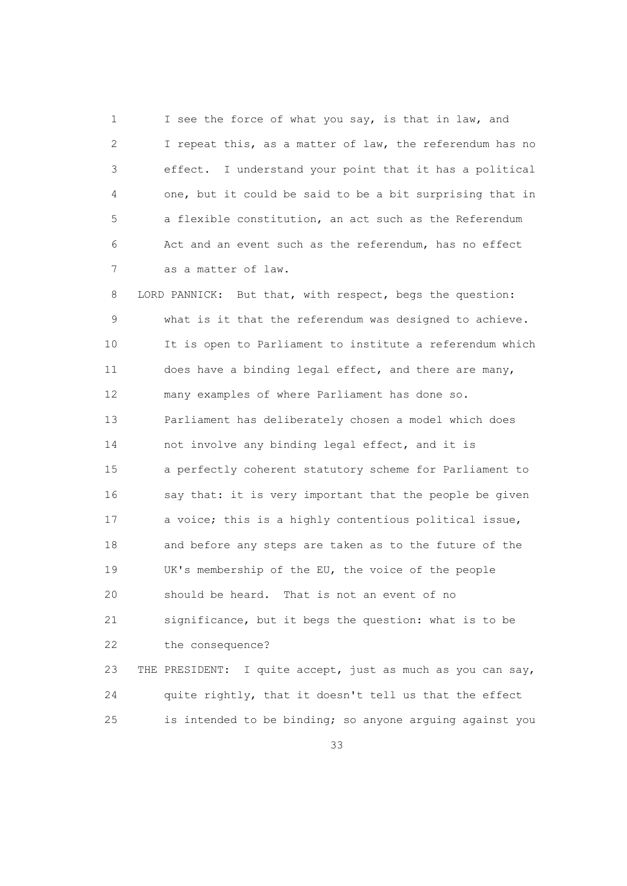1 I see the force of what you say, is that in law, and 2 I repeat this, as a matter of law, the referendum has no 3 effect. I understand your point that it has a political 4 one, but it could be said to be a bit surprising that in 5 a flexible constitution, an act such as the Referendum 6 Act and an event such as the referendum, has no effect 7 as a matter of law.

 8 LORD PANNICK: But that, with respect, begs the question: 9 what is it that the referendum was designed to achieve. 10 It is open to Parliament to institute a referendum which 11 does have a binding legal effect, and there are many, 12 many examples of where Parliament has done so. 13 Parliament has deliberately chosen a model which does 14 not involve any binding legal effect, and it is 15 a perfectly coherent statutory scheme for Parliament to 16 say that: it is very important that the people be given 17 a voice; this is a highly contentious political issue, 18 and before any steps are taken as to the future of the 19 UK's membership of the EU, the voice of the people 20 should be heard. That is not an event of no 21 significance, but it begs the question: what is to be 22 the consequence? 23 THE PRESIDENT: I quite accept, just as much as you can say,

 24 quite rightly, that it doesn't tell us that the effect 25 is intended to be binding; so anyone arguing against you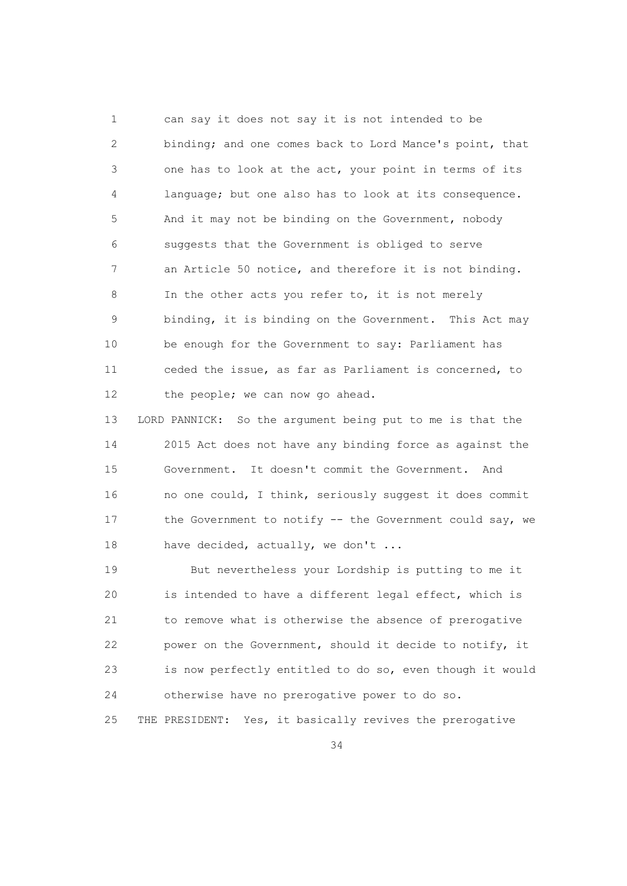1 can say it does not say it is not intended to be 2 binding; and one comes back to Lord Mance's point, that 3 one has to look at the act, your point in terms of its 4 language; but one also has to look at its consequence. 5 And it may not be binding on the Government, nobody 6 suggests that the Government is obliged to serve 7 an Article 50 notice, and therefore it is not binding. 8 In the other acts you refer to, it is not merely 9 binding, it is binding on the Government. This Act may 10 be enough for the Government to say: Parliament has 11 ceded the issue, as far as Parliament is concerned, to 12 the people; we can now go ahead.

 13 LORD PANNICK: So the argument being put to me is that the 14 2015 Act does not have any binding force as against the 15 Government. It doesn't commit the Government. And 16 no one could, I think, seriously suggest it does commit 17 the Government to notify -- the Government could say, we 18 have decided, actually, we don't ...

 19 But nevertheless your Lordship is putting to me it 20 is intended to have a different legal effect, which is 21 to remove what is otherwise the absence of prerogative 22 power on the Government, should it decide to notify, it 23 is now perfectly entitled to do so, even though it would 24 otherwise have no prerogative power to do so. 25 THE PRESIDENT: Yes, it basically revives the prerogative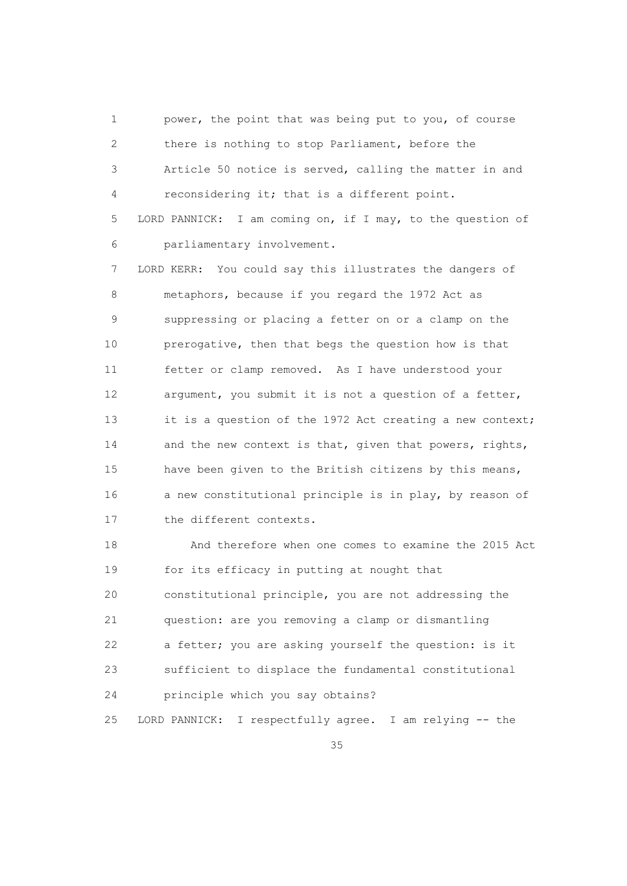1 power, the point that was being put to you, of course 2 there is nothing to stop Parliament, before the 3 Article 50 notice is served, calling the matter in and 4 reconsidering it; that is a different point. 5 LORD PANNICK: I am coming on, if I may, to the question of

6 parliamentary involvement.

 7 LORD KERR: You could say this illustrates the dangers of 8 metaphors, because if you regard the 1972 Act as 9 suppressing or placing a fetter on or a clamp on the 10 prerogative, then that begs the question how is that 11 fetter or clamp removed. As I have understood your 12 argument, you submit it is not a question of a fetter, 13 it is a question of the 1972 Act creating a new context; 14 and the new context is that, given that powers, rights, 15 have been given to the British citizens by this means, 16 a new constitutional principle is in play, by reason of 17 the different contexts.

 18 And therefore when one comes to examine the 2015 Act 19 for its efficacy in putting at nought that 20 constitutional principle, you are not addressing the 21 question: are you removing a clamp or dismantling 22 a fetter; you are asking yourself the question: is it 23 sufficient to displace the fundamental constitutional 24 principle which you say obtains? 25 LORD PANNICK: I respectfully agree. I am relying -- the

<u>35 and 2012 and 2013</u>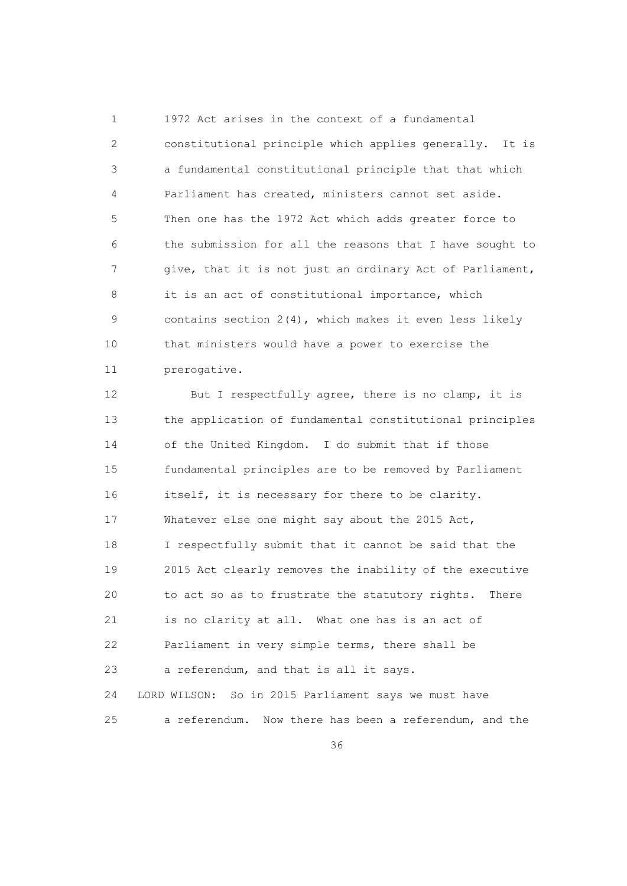1 1972 Act arises in the context of a fundamental 2 constitutional principle which applies generally. It is 3 a fundamental constitutional principle that that which 4 Parliament has created, ministers cannot set aside. 5 Then one has the 1972 Act which adds greater force to 6 the submission for all the reasons that I have sought to 7 give, that it is not just an ordinary Act of Parliament, 8 it is an act of constitutional importance, which 9 contains section 2(4), which makes it even less likely 10 that ministers would have a power to exercise the 11 prerogative.

12 But I respectfully agree, there is no clamp, it is 13 the application of fundamental constitutional principles 14 of the United Kingdom. I do submit that if those 15 fundamental principles are to be removed by Parliament 16 itself, it is necessary for there to be clarity. 17 Whatever else one might say about the 2015 Act, 18 I respectfully submit that it cannot be said that the 19 2015 Act clearly removes the inability of the executive 20 to act so as to frustrate the statutory rights. There 21 is no clarity at all. What one has is an act of 22 Parliament in very simple terms, there shall be 23 a referendum, and that is all it says. 24 LORD WILSON: So in 2015 Parliament says we must have 25 a referendum. Now there has been a referendum, and the

<u>36 and 36</u>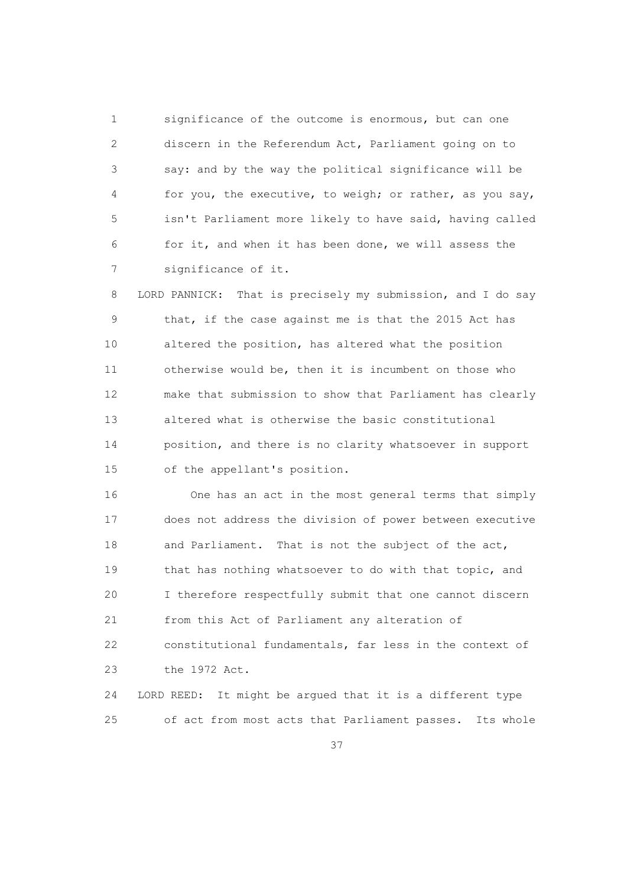1 significance of the outcome is enormous, but can one 2 discern in the Referendum Act, Parliament going on to 3 say: and by the way the political significance will be 4 for you, the executive, to weigh; or rather, as you say, 5 isn't Parliament more likely to have said, having called 6 for it, and when it has been done, we will assess the 7 significance of it.

 8 LORD PANNICK: That is precisely my submission, and I do say 9 that, if the case against me is that the 2015 Act has 10 altered the position, has altered what the position 11 otherwise would be, then it is incumbent on those who 12 make that submission to show that Parliament has clearly 13 altered what is otherwise the basic constitutional 14 position, and there is no clarity whatsoever in support 15 of the appellant's position.

 16 One has an act in the most general terms that simply 17 does not address the division of power between executive 18 and Parliament. That is not the subject of the act, 19 that has nothing whatsoever to do with that topic, and 20 I therefore respectfully submit that one cannot discern 21 from this Act of Parliament any alteration of 22 constitutional fundamentals, far less in the context of 23 the 1972 Act. 24 LORD REED: It might be argued that it is a different type

25 of act from most acts that Parliament passes. Its whole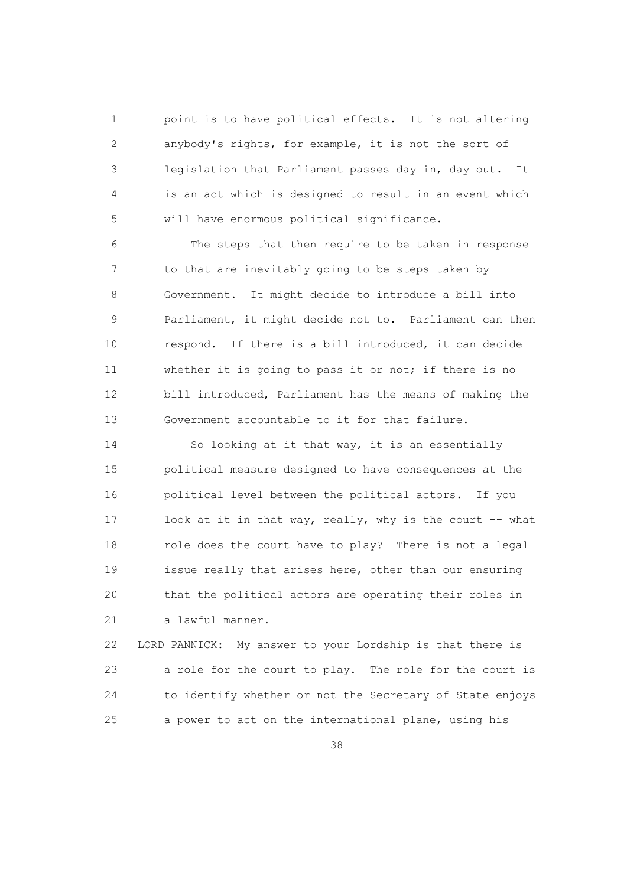1 point is to have political effects. It is not altering 2 anybody's rights, for example, it is not the sort of 3 legislation that Parliament passes day in, day out. It 4 is an act which is designed to result in an event which 5 will have enormous political significance.

 6 The steps that then require to be taken in response 7 to that are inevitably going to be steps taken by 8 Government. It might decide to introduce a bill into 9 Parliament, it might decide not to. Parliament can then 10 respond. If there is a bill introduced, it can decide 11 whether it is going to pass it or not; if there is no 12 bill introduced, Parliament has the means of making the 13 Government accountable to it for that failure.

 14 So looking at it that way, it is an essentially 15 political measure designed to have consequences at the 16 political level between the political actors. If you 17 look at it in that way, really, why is the court -- what 18 role does the court have to play? There is not a legal 19 issue really that arises here, other than our ensuring 20 that the political actors are operating their roles in 21 a lawful manner.

 22 LORD PANNICK: My answer to your Lordship is that there is 23 a role for the court to play. The role for the court is 24 to identify whether or not the Secretary of State enjoys 25 a power to act on the international plane, using his

<u>38 and 38 and 38 and 38 and 38 and 38 and 38 and 38 and 38 and 38 and 38 and 38 and 38 and 38 and 38 and 38 and 38 and 38 and 38 and 38 and 38 and 38 and 38 and 38 and 38 and 38 and 38 and 38 and 38 and 38 and 38 and 38 a</u>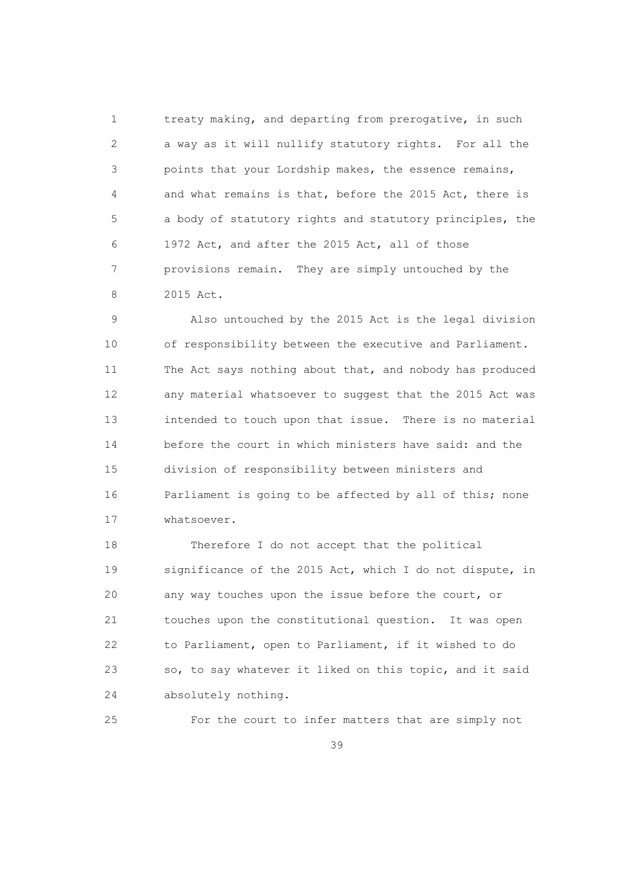1 treaty making, and departing from prerogative, in such 2 a way as it will nullify statutory rights. For all the 3 points that your Lordship makes, the essence remains, 4 and what remains is that, before the 2015 Act, there is 5 a body of statutory rights and statutory principles, the 6 1972 Act, and after the 2015 Act, all of those 7 provisions remain. They are simply untouched by the 8 2015 Act.

 9 Also untouched by the 2015 Act is the legal division 10 of responsibility between the executive and Parliament. 11 The Act says nothing about that, and nobody has produced 12 any material whatsoever to suggest that the 2015 Act was 13 intended to touch upon that issue. There is no material 14 before the court in which ministers have said: and the 15 division of responsibility between ministers and 16 Parliament is going to be affected by all of this; none 17 whatsoever.

 18 Therefore I do not accept that the political 19 significance of the 2015 Act, which I do not dispute, in 20 any way touches upon the issue before the court, or 21 touches upon the constitutional question. It was open 22 to Parliament, open to Parliament, if it wished to do 23 so, to say whatever it liked on this topic, and it said 24 absolutely nothing.

25 For the court to infer matters that are simply not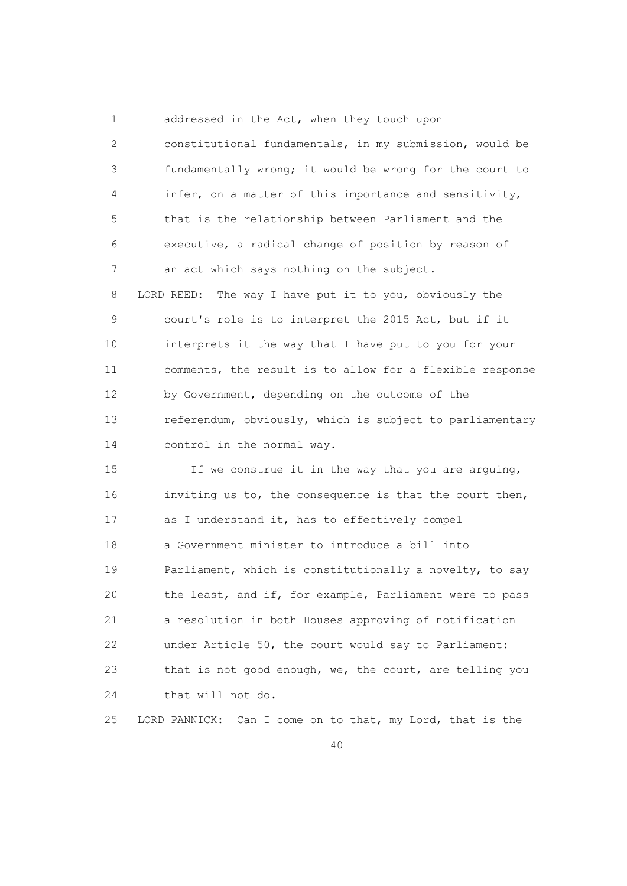1 addressed in the Act, when they touch upon 2 constitutional fundamentals, in my submission, would be 3 fundamentally wrong; it would be wrong for the court to 4 infer, on a matter of this importance and sensitivity, 5 that is the relationship between Parliament and the 6 executive, a radical change of position by reason of 7 an act which says nothing on the subject. 8 LORD REED: The way I have put it to you, obviously the 9 court's role is to interpret the 2015 Act, but if it 10 interprets it the way that I have put to you for your 11 comments, the result is to allow for a flexible response 12 by Government, depending on the outcome of the 13 referendum, obviously, which is subject to parliamentary 14 control in the normal way.

 15 If we construe it in the way that you are arguing, 16 inviting us to, the consequence is that the court then, 17 as I understand it, has to effectively compel 18 a Government minister to introduce a bill into 19 Parliament, which is constitutionally a novelty, to say 20 the least, and if, for example, Parliament were to pass 21 a resolution in both Houses approving of notification 22 under Article 50, the court would say to Parliament: 23 that is not good enough, we, the court, are telling you 24 that will not do.

25 LORD PANNICK: Can I come on to that, my Lord, that is the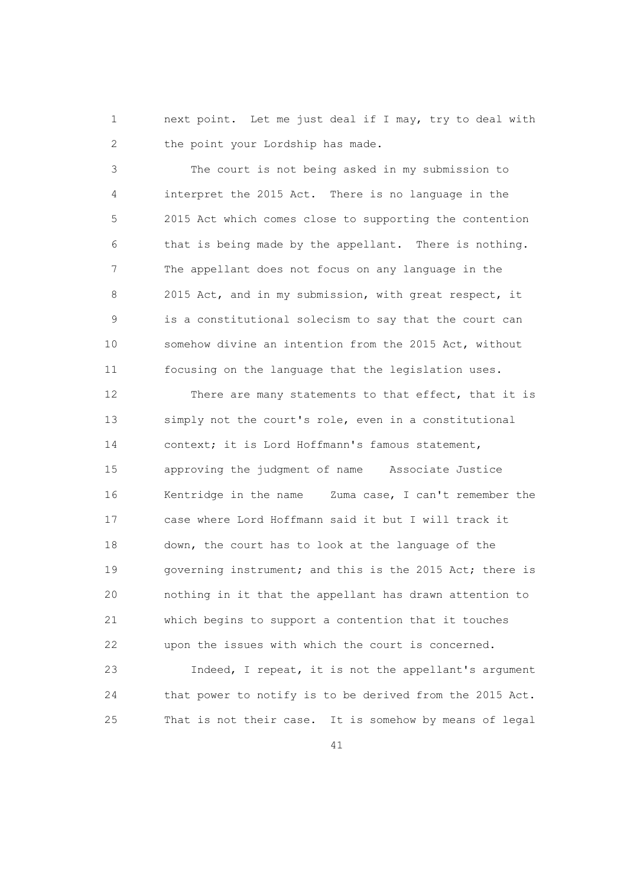1 next point. Let me just deal if I may, try to deal with 2 the point your Lordship has made.

 3 The court is not being asked in my submission to 4 interpret the 2015 Act. There is no language in the 5 2015 Act which comes close to supporting the contention 6 that is being made by the appellant. There is nothing. 7 The appellant does not focus on any language in the 8 2015 Act, and in my submission, with great respect, it 9 is a constitutional solecism to say that the court can 10 somehow divine an intention from the 2015 Act, without 11 focusing on the language that the legislation uses.

 12 There are many statements to that effect, that it is 13 simply not the court's role, even in a constitutional 14 context; it is Lord Hoffmann's famous statement, 15 approving the judgment of name Associate Justice 16 Kentridge in the name Zuma case, I can't remember the 17 case where Lord Hoffmann said it but I will track it 18 down, the court has to look at the language of the 19 governing instrument; and this is the 2015 Act; there is 20 nothing in it that the appellant has drawn attention to 21 which begins to support a contention that it touches 22 upon the issues with which the court is concerned.

 23 Indeed, I repeat, it is not the appellant's argument 24 that power to notify is to be derived from the 2015 Act. 25 That is not their case. It is somehow by means of legal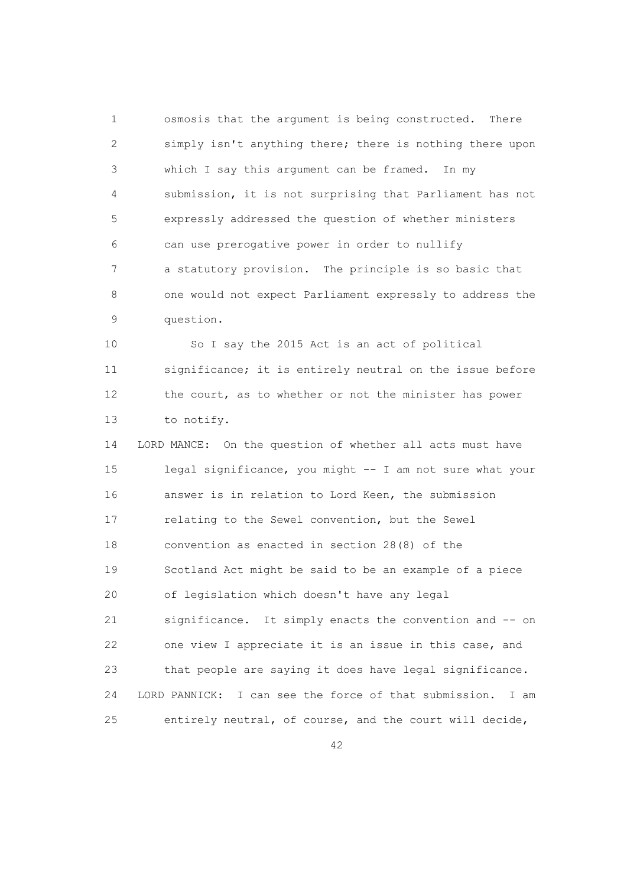1 osmosis that the argument is being constructed. There 2 simply isn't anything there; there is nothing there upon 3 which I say this argument can be framed. In my 4 submission, it is not surprising that Parliament has not 5 expressly addressed the question of whether ministers 6 can use prerogative power in order to nullify 7 a statutory provision. The principle is so basic that 8 one would not expect Parliament expressly to address the 9 question.

 10 So I say the 2015 Act is an act of political 11 significance; it is entirely neutral on the issue before 12 the court, as to whether or not the minister has power 13 to notify.

 14 LORD MANCE: On the question of whether all acts must have 15 legal significance, you might -- I am not sure what your 16 answer is in relation to Lord Keen, the submission 17 relating to the Sewel convention, but the Sewel 18 convention as enacted in section 28(8) of the 19 Scotland Act might be said to be an example of a piece 20 of legislation which doesn't have any legal 21 significance. It simply enacts the convention and -- on 22 one view I appreciate it is an issue in this case, and 23 that people are saying it does have legal significance. 24 LORD PANNICK: I can see the force of that submission. I am 25 entirely neutral, of course, and the court will decide,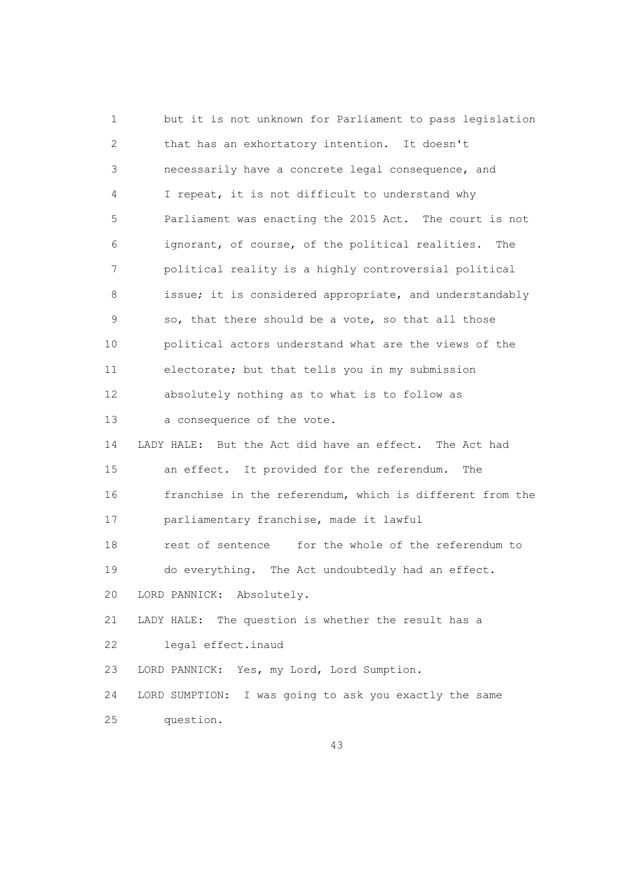1 but it is not unknown for Parliament to pass legislation 2 that has an exhortatory intention. It doesn't 3 necessarily have a concrete legal consequence, and 4 I repeat, it is not difficult to understand why 5 Parliament was enacting the 2015 Act. The court is not 6 ignorant, of course, of the political realities. The 7 political reality is a highly controversial political 8 issue; it is considered appropriate, and understandably 9 so, that there should be a vote, so that all those 10 political actors understand what are the views of the 11 electorate; but that tells you in my submission 12 absolutely nothing as to what is to follow as 13 a consequence of the vote. 14 LADY HALE: But the Act did have an effect. The Act had 15 an effect. It provided for the referendum. The 16 franchise in the referendum, which is different from the 17 parliamentary franchise, made it lawful 18 rest of sentence for the whole of the referendum to 19 do everything. The Act undoubtedly had an effect. 20 LORD PANNICK: Absolutely. 21 LADY HALE: The question is whether the result has a 22 legal effect.inaud 23 LORD PANNICK: Yes, my Lord, Lord Sumption. 24 LORD SUMPTION: I was going to ask you exactly the same 25 question.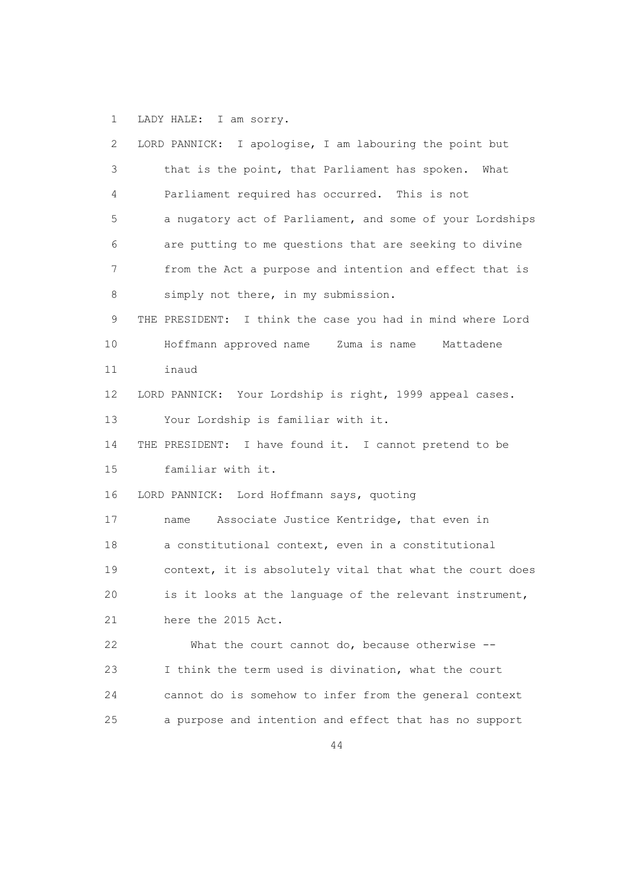1 LADY HALE: I am sorry.

| $\mathbf{2}$    | LORD PANNICK: I apologise, I am labouring the point but    |
|-----------------|------------------------------------------------------------|
| 3               | that is the point, that Parliament has spoken. What        |
| 4               | Parliament required has occurred. This is not              |
| 5               | a nugatory act of Parliament, and some of your Lordships   |
| 6               | are putting to me questions that are seeking to divine     |
| 7               | from the Act a purpose and intention and effect that is    |
| 8               | simply not there, in my submission.                        |
| 9               | THE PRESIDENT: I think the case you had in mind where Lord |
| 10 <sub>o</sub> | Hoffmann approved name Zuma is name<br>Mattadene           |
| 11              | inaud                                                      |
| 12              | LORD PANNICK: Your Lordship is right, 1999 appeal cases.   |
| 13              | Your Lordship is familiar with it.                         |
| 14              | THE PRESIDENT: I have found it. I cannot pretend to be     |
| 15              | familiar with it.                                          |
| 16              | LORD PANNICK: Lord Hoffmann says, quoting                  |
| 17              | Associate Justice Kentridge, that even in<br>name          |
| 18              | a constitutional context, even in a constitutional         |
| 19              | context, it is absolutely vital that what the court does   |
| 20              | is it looks at the language of the relevant instrument,    |
| 21              | here the 2015 Act.                                         |
| 22              | What the court cannot do, because otherwise --             |
| 23              | I think the term used is divination, what the court        |
| 24              | cannot do is somehow to infer from the general context     |
| 25              | a purpose and intention and effect that has no support     |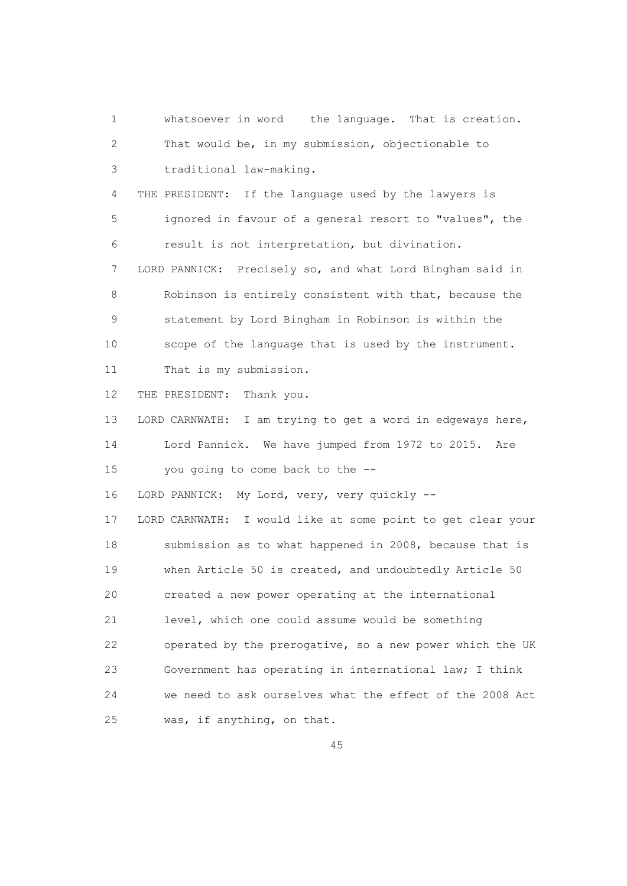1 whatsoever in word the language. That is creation. 2 That would be, in my submission, objectionable to 3 traditional law-making. 4 THE PRESIDENT: If the language used by the lawyers is 5 ignored in favour of a general resort to "values", the 6 result is not interpretation, but divination. 7 LORD PANNICK: Precisely so, and what Lord Bingham said in 8 Robinson is entirely consistent with that, because the 9 statement by Lord Bingham in Robinson is within the 10 scope of the language that is used by the instrument. 11 That is my submission. 12 THE PRESIDENT: Thank you. 13 LORD CARNWATH: I am trying to get a word in edgeways here, 14 Lord Pannick. We have jumped from 1972 to 2015. Are 15 you going to come back to the -- 16 LORD PANNICK: My Lord, very, very quickly -- 17 LORD CARNWATH: I would like at some point to get clear your 18 submission as to what happened in 2008, because that is 19 when Article 50 is created, and undoubtedly Article 50 20 created a new power operating at the international 21 level, which one could assume would be something 22 operated by the prerogative, so a new power which the UK 23 Government has operating in international law; I think 24 we need to ask ourselves what the effect of the 2008 Act 25 was, if anything, on that.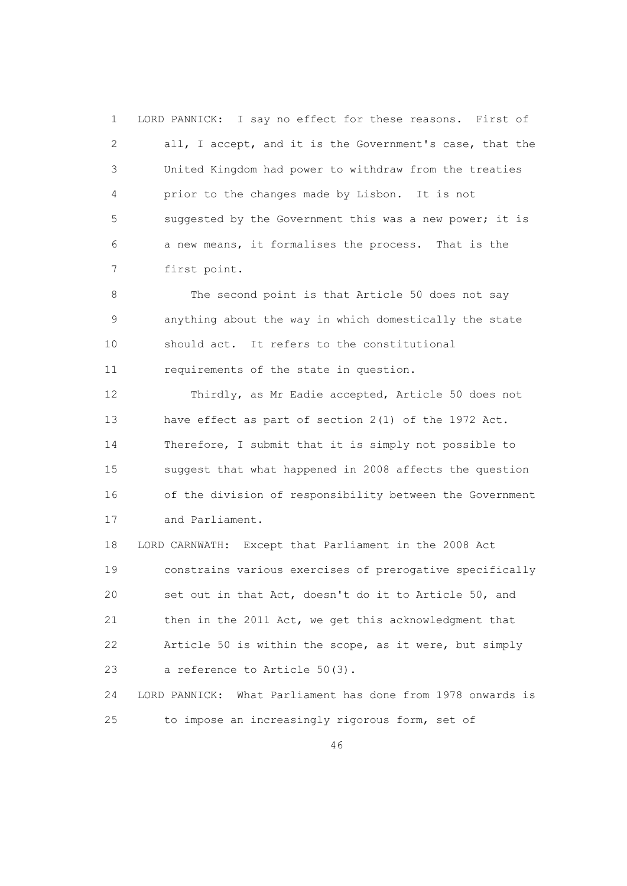1 LORD PANNICK: I say no effect for these reasons. First of 2 all, I accept, and it is the Government's case, that the 3 United Kingdom had power to withdraw from the treaties 4 prior to the changes made by Lisbon. It is not 5 suggested by the Government this was a new power; it is 6 a new means, it formalises the process. That is the 7 first point.

8 The second point is that Article 50 does not say 9 anything about the way in which domestically the state 10 should act. It refers to the constitutional 11 requirements of the state in question.

 12 Thirdly, as Mr Eadie accepted, Article 50 does not 13 have effect as part of section 2(1) of the 1972 Act. 14 Therefore, I submit that it is simply not possible to 15 suggest that what happened in 2008 affects the question 16 of the division of responsibility between the Government 17 and Parliament.

 18 LORD CARNWATH: Except that Parliament in the 2008 Act 19 constrains various exercises of prerogative specifically 20 set out in that Act, doesn't do it to Article 50, and 21 then in the 2011 Act, we get this acknowledgment that 22 Article 50 is within the scope, as it were, but simply 23 a reference to Article 50(3).

 24 LORD PANNICK: What Parliament has done from 1978 onwards is 25 to impose an increasingly rigorous form, set of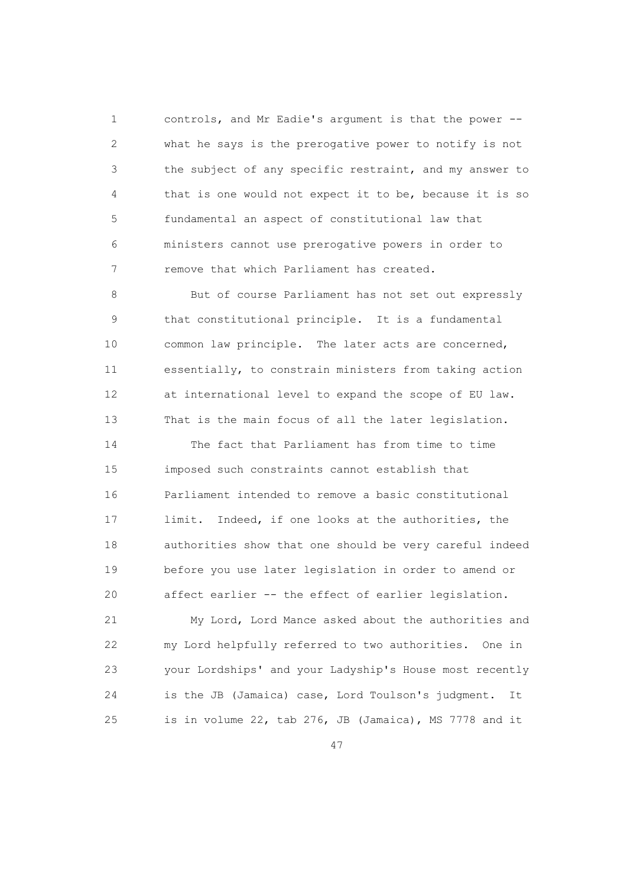1 controls, and Mr Eadie's argument is that the power -- 2 what he says is the prerogative power to notify is not 3 the subject of any specific restraint, and my answer to 4 that is one would not expect it to be, because it is so 5 fundamental an aspect of constitutional law that 6 ministers cannot use prerogative powers in order to 7 remove that which Parliament has created.

 8 But of course Parliament has not set out expressly 9 that constitutional principle. It is a fundamental 10 common law principle. The later acts are concerned, 11 essentially, to constrain ministers from taking action 12 at international level to expand the scope of EU law. 13 That is the main focus of all the later legislation.

 14 The fact that Parliament has from time to time 15 imposed such constraints cannot establish that 16 Parliament intended to remove a basic constitutional 17 limit. Indeed, if one looks at the authorities, the 18 authorities show that one should be very careful indeed 19 before you use later legislation in order to amend or 20 affect earlier -- the effect of earlier legislation.

 21 My Lord, Lord Mance asked about the authorities and 22 my Lord helpfully referred to two authorities. One in 23 your Lordships' and your Ladyship's House most recently 24 is the JB (Jamaica) case, Lord Toulson's judgment. It 25 is in volume 22, tab 276, JB (Jamaica), MS 7778 and it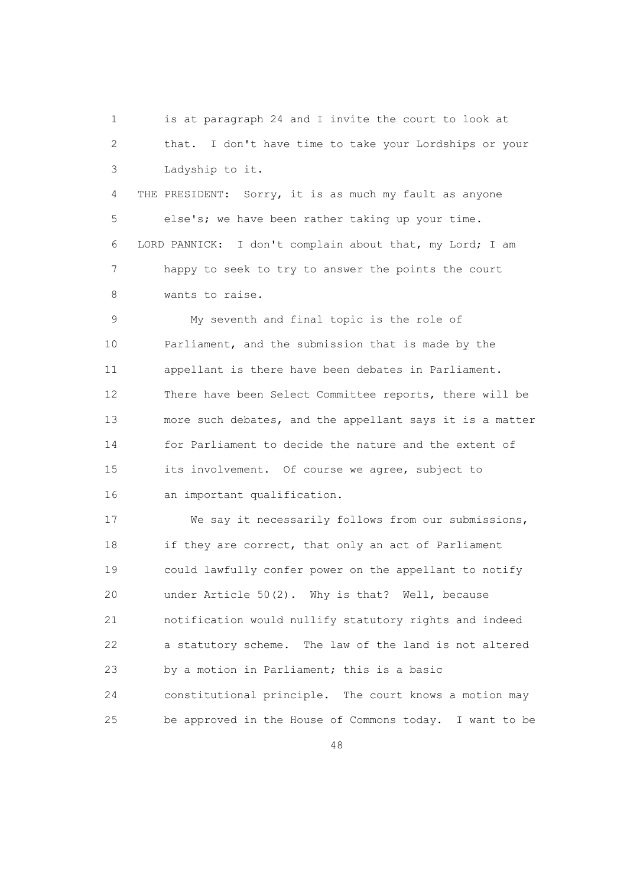1 is at paragraph 24 and I invite the court to look at 2 that. I don't have time to take your Lordships or your 3 Ladyship to it.

 4 THE PRESIDENT: Sorry, it is as much my fault as anyone 5 else's; we have been rather taking up your time. 6 LORD PANNICK: I don't complain about that, my Lord; I am 7 happy to seek to try to answer the points the court 8 wants to raise.

 9 My seventh and final topic is the role of 10 Parliament, and the submission that is made by the 11 appellant is there have been debates in Parliament. 12 There have been Select Committee reports, there will be 13 more such debates, and the appellant says it is a matter 14 for Parliament to decide the nature and the extent of 15 its involvement. Of course we agree, subject to 16 an important qualification.

 17 We say it necessarily follows from our submissions, 18 if they are correct, that only an act of Parliament 19 could lawfully confer power on the appellant to notify 20 under Article 50(2). Why is that? Well, because 21 notification would nullify statutory rights and indeed 22 a statutory scheme. The law of the land is not altered 23 by a motion in Parliament; this is a basic 24 constitutional principle. The court knows a motion may 25 be approved in the House of Commons today. I want to be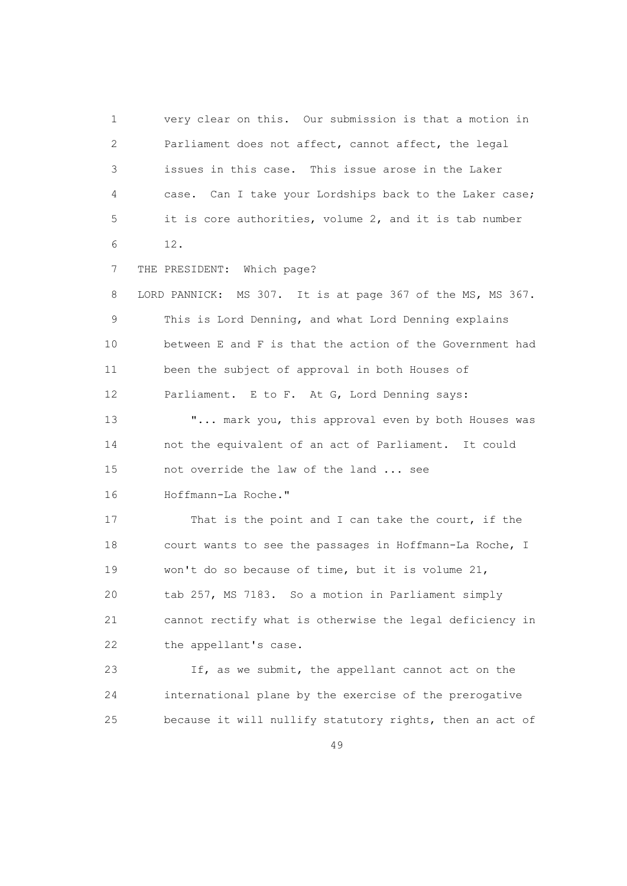1 very clear on this. Our submission is that a motion in 2 Parliament does not affect, cannot affect, the legal 3 issues in this case. This issue arose in the Laker 4 case. Can I take your Lordships back to the Laker case; 5 it is core authorities, volume 2, and it is tab number 6 12. 7 THE PRESIDENT: Which page? 8 LORD PANNICK: MS 307. It is at page 367 of the MS, MS 367. 9 This is Lord Denning, and what Lord Denning explains 10 between E and F is that the action of the Government had 11 been the subject of approval in both Houses of 12 Parliament. E to F. At G, Lord Denning says: 13 "... mark you, this approval even by both Houses was 14 not the equivalent of an act of Parliament. It could 15 not override the law of the land ... see 16 Hoffmann-La Roche." 17 That is the point and I can take the court, if the 18 court wants to see the passages in Hoffmann-La Roche, I 19 won't do so because of time, but it is volume 21, 20 tab 257, MS 7183. So a motion in Parliament simply 21 cannot rectify what is otherwise the legal deficiency in 22 the appellant's case. 23 If, as we submit, the appellant cannot act on the

 24 international plane by the exercise of the prerogative 25 because it will nullify statutory rights, then an act of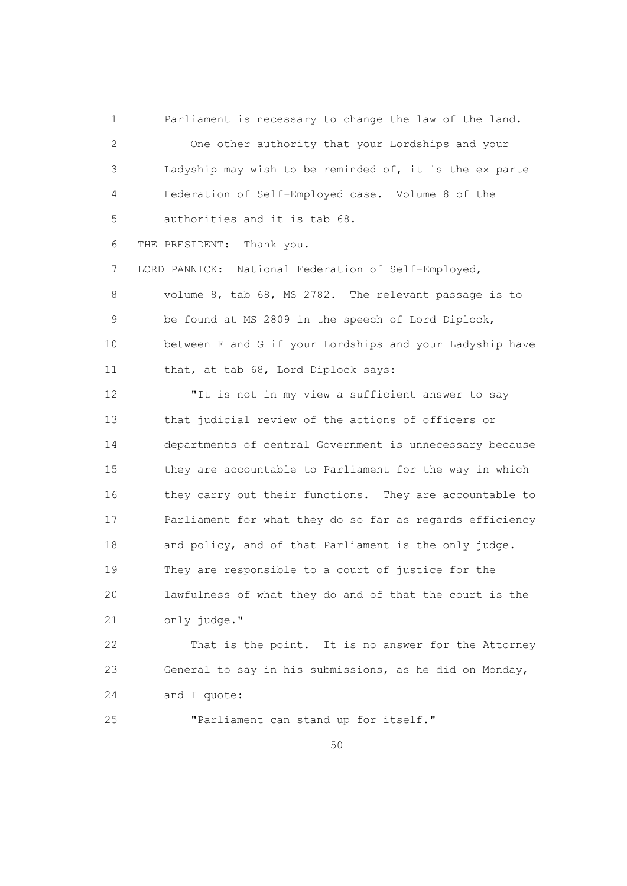1 Parliament is necessary to change the law of the land. 2 One other authority that your Lordships and your 3 Ladyship may wish to be reminded of, it is the ex parte 4 Federation of Self-Employed case. Volume 8 of the 5 authorities and it is tab 68. 6 THE PRESIDENT: Thank you. 7 LORD PANNICK: National Federation of Self-Employed, 8 volume 8, tab 68, MS 2782. The relevant passage is to 9 be found at MS 2809 in the speech of Lord Diplock, 10 between F and G if your Lordships and your Ladyship have 11 that, at tab 68, Lord Diplock says: 12 "It is not in my view a sufficient answer to say

 13 that judicial review of the actions of officers or 14 departments of central Government is unnecessary because 15 they are accountable to Parliament for the way in which 16 they carry out their functions. They are accountable to 17 Parliament for what they do so far as regards efficiency 18 and policy, and of that Parliament is the only judge. 19 They are responsible to a court of justice for the 20 lawfulness of what they do and of that the court is the 21 only judge."

 22 That is the point. It is no answer for the Attorney 23 General to say in his submissions, as he did on Monday, 24 and I quote:

25 "Parliament can stand up for itself."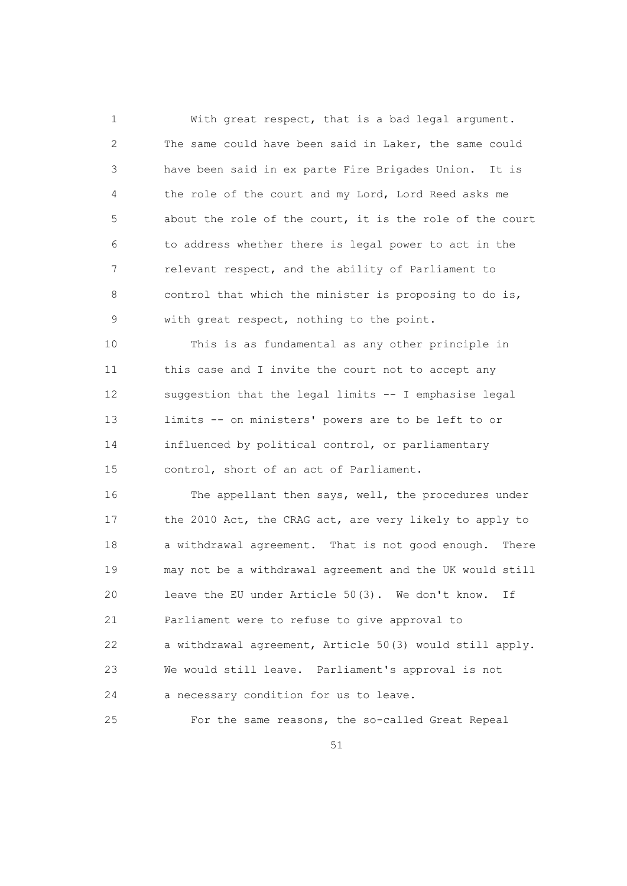1 With great respect, that is a bad legal argument. 2 The same could have been said in Laker, the same could 3 have been said in ex parte Fire Brigades Union. It is 4 the role of the court and my Lord, Lord Reed asks me 5 about the role of the court, it is the role of the court 6 to address whether there is legal power to act in the 7 relevant respect, and the ability of Parliament to 8 control that which the minister is proposing to do is, 9 with great respect, nothing to the point.

 10 This is as fundamental as any other principle in 11 this case and I invite the court not to accept any 12 suggestion that the legal limits -- I emphasise legal 13 limits -- on ministers' powers are to be left to or 14 influenced by political control, or parliamentary 15 control, short of an act of Parliament.

 16 The appellant then says, well, the procedures under 17 the 2010 Act, the CRAG act, are very likely to apply to 18 a withdrawal agreement. That is not good enough. There 19 may not be a withdrawal agreement and the UK would still 20 leave the EU under Article 50(3). We don't know. If 21 Parliament were to refuse to give approval to 22 a withdrawal agreement, Article 50(3) would still apply. 23 We would still leave. Parliament's approval is not 24 a necessary condition for us to leave.

25 For the same reasons, the so-called Great Repeal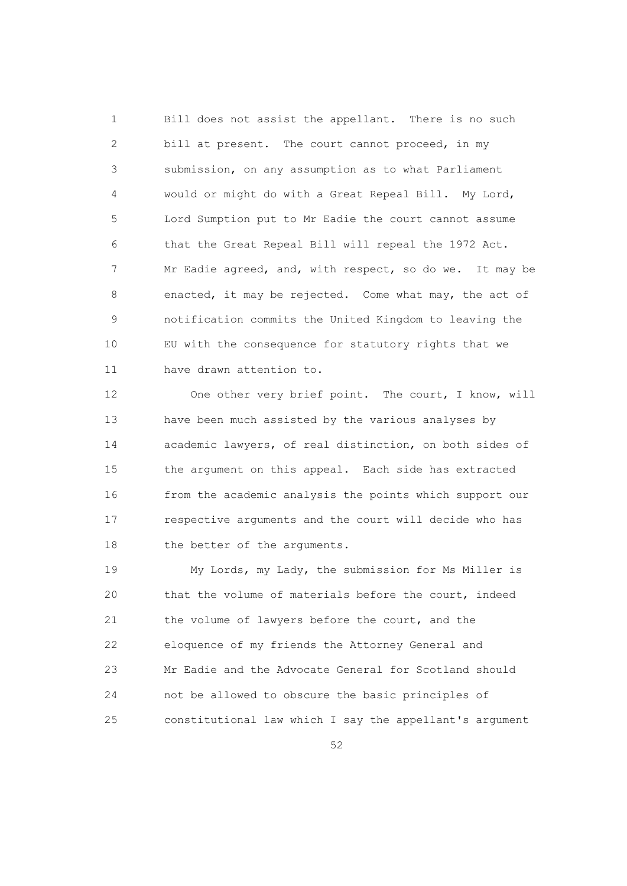1 Bill does not assist the appellant. There is no such 2 bill at present. The court cannot proceed, in my 3 submission, on any assumption as to what Parliament 4 would or might do with a Great Repeal Bill. My Lord, 5 Lord Sumption put to Mr Eadie the court cannot assume 6 that the Great Repeal Bill will repeal the 1972 Act. 7 Mr Eadie agreed, and, with respect, so do we. It may be 8 enacted, it may be rejected. Come what may, the act of 9 notification commits the United Kingdom to leaving the 10 EU with the consequence for statutory rights that we 11 have drawn attention to.

 12 One other very brief point. The court, I know, will 13 have been much assisted by the various analyses by 14 academic lawyers, of real distinction, on both sides of 15 the argument on this appeal. Each side has extracted 16 from the academic analysis the points which support our 17 respective arguments and the court will decide who has 18 the better of the arguments.

 19 My Lords, my Lady, the submission for Ms Miller is 20 that the volume of materials before the court, indeed 21 the volume of lawyers before the court, and the 22 eloquence of my friends the Attorney General and 23 Mr Eadie and the Advocate General for Scotland should 24 not be allowed to obscure the basic principles of 25 constitutional law which I say the appellant's argument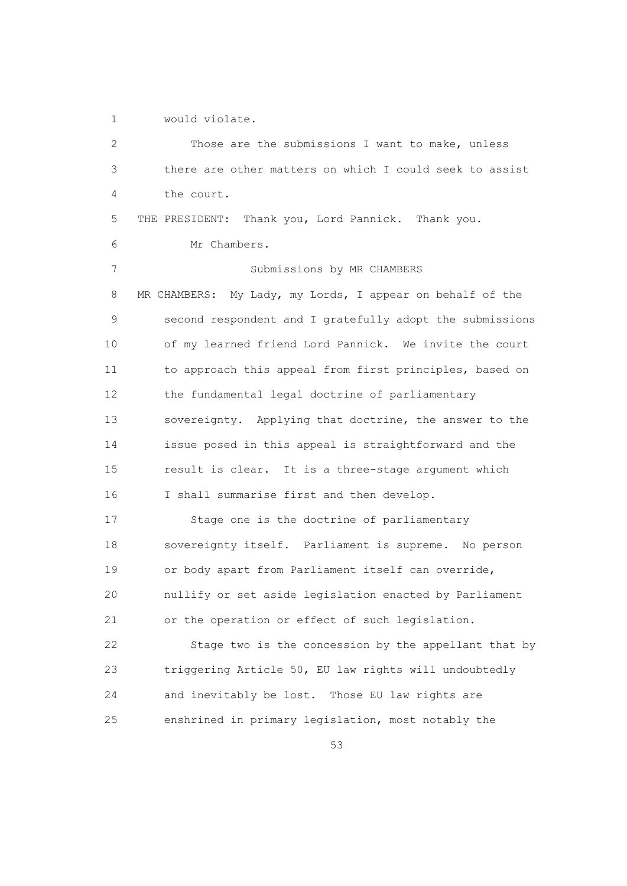1 would violate.

| $\overline{c}$ | Those are the submissions I want to make, unless             |
|----------------|--------------------------------------------------------------|
| 3              | there are other matters on which I could seek to assist      |
| 4              | the court.                                                   |
| 5              | Thank you, Lord Pannick. Thank you.<br>THE PRESIDENT:        |
| 6              | Mr Chambers.                                                 |
| 7              | Submissions by MR CHAMBERS                                   |
| 8              | My Lady, my Lords, I appear on behalf of the<br>MR CHAMBERS: |
| 9              | second respondent and I gratefully adopt the submissions     |
| 10             | of my learned friend Lord Pannick. We invite the court       |
| 11             | to approach this appeal from first principles, based on      |
| 12             | the fundamental legal doctrine of parliamentary              |
| 13             | sovereignty. Applying that doctrine, the answer to the       |
| 14             | issue posed in this appeal is straightforward and the        |
| 15             | result is clear. It is a three-stage argument which          |
| 16             | I shall summarise first and then develop.                    |
| 17             | Stage one is the doctrine of parliamentary                   |
| 18             | sovereignty itself. Parliament is supreme. No person         |
| 19             | or body apart from Parliament itself can override,           |
| 20             | nullify or set aside legislation enacted by Parliament       |
| 21             | or the operation or effect of such legislation.              |
| 22             | Stage two is the concession by the appellant that by         |
| 23             | triggering Article 50, EU law rights will undoubtedly        |
| 24             | and inevitably be lost. Those EU law rights are              |
| 25             | enshrined in primary legislation, most notably the           |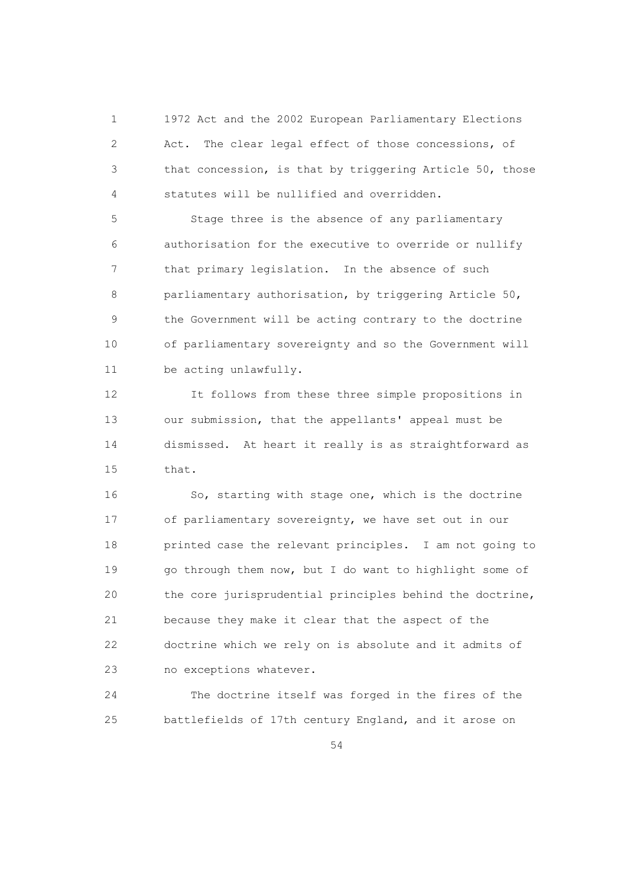1 1972 Act and the 2002 European Parliamentary Elections 2 Act. The clear legal effect of those concessions, of 3 that concession, is that by triggering Article 50, those 4 statutes will be nullified and overridden.

 5 Stage three is the absence of any parliamentary 6 authorisation for the executive to override or nullify 7 that primary legislation. In the absence of such 8 parliamentary authorisation, by triggering Article 50, 9 the Government will be acting contrary to the doctrine 10 of parliamentary sovereignty and so the Government will 11 be acting unlawfully.

 12 It follows from these three simple propositions in 13 our submission, that the appellants' appeal must be 14 dismissed. At heart it really is as straightforward as 15 that.

 16 So, starting with stage one, which is the doctrine 17 of parliamentary sovereignty, we have set out in our 18 printed case the relevant principles. I am not going to 19 go through them now, but I do want to highlight some of 20 the core jurisprudential principles behind the doctrine, 21 because they make it clear that the aspect of the 22 doctrine which we rely on is absolute and it admits of 23 no exceptions whatever.

 24 The doctrine itself was forged in the fires of the 25 battlefields of 17th century England, and it arose on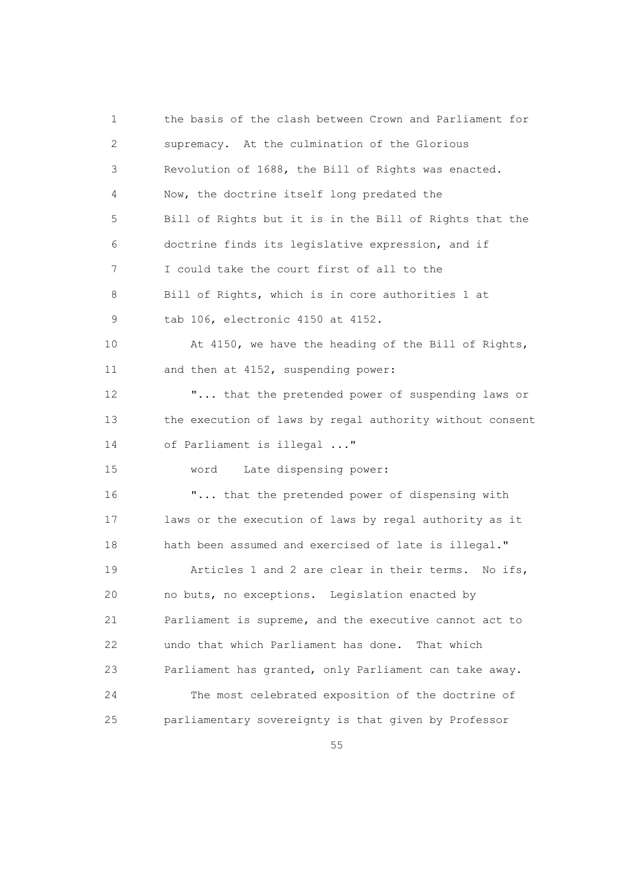1 the basis of the clash between Crown and Parliament for 2 supremacy. At the culmination of the Glorious 3 Revolution of 1688, the Bill of Rights was enacted. 4 Now, the doctrine itself long predated the 5 Bill of Rights but it is in the Bill of Rights that the 6 doctrine finds its legislative expression, and if 7 I could take the court first of all to the 8 Bill of Rights, which is in core authorities 1 at 9 tab 106, electronic 4150 at 4152. 10 At 4150, we have the heading of the Bill of Rights, 11 and then at 4152, suspending power: 12 "... that the pretended power of suspending laws or 13 the execution of laws by regal authority without consent 14 of Parliament is illegal ..." 15 word Late dispensing power: 16 "... that the pretended power of dispensing with 17 laws or the execution of laws by regal authority as it 18 hath been assumed and exercised of late is illegal." 19 Articles 1 and 2 are clear in their terms. No ifs, 20 no buts, no exceptions. Legislation enacted by 21 Parliament is supreme, and the executive cannot act to 22 undo that which Parliament has done. That which 23 Parliament has granted, only Parliament can take away. 24 The most celebrated exposition of the doctrine of 25 parliamentary sovereignty is that given by Professor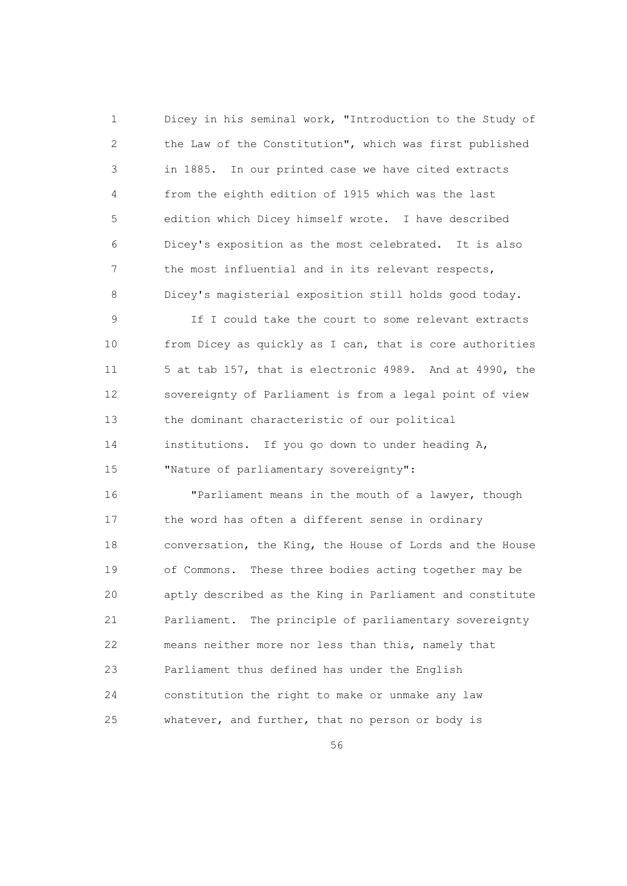1 Dicey in his seminal work, "Introduction to the Study of 2 the Law of the Constitution", which was first published 3 in 1885. In our printed case we have cited extracts 4 from the eighth edition of 1915 which was the last 5 edition which Dicey himself wrote. I have described 6 Dicey's exposition as the most celebrated. It is also 7 the most influential and in its relevant respects, 8 Dicey's magisterial exposition still holds good today.

 9 If I could take the court to some relevant extracts 10 from Dicey as quickly as I can, that is core authorities 11 5 at tab 157, that is electronic 4989. And at 4990, the 12 sovereignty of Parliament is from a legal point of view 13 the dominant characteristic of our political 14 institutions. If you go down to under heading A, 15 "Nature of parliamentary sovereignty":

 16 "Parliament means in the mouth of a lawyer, though 17 the word has often a different sense in ordinary 18 conversation, the King, the House of Lords and the House 19 of Commons. These three bodies acting together may be 20 aptly described as the King in Parliament and constitute 21 Parliament. The principle of parliamentary sovereignty 22 means neither more nor less than this, namely that 23 Parliament thus defined has under the English 24 constitution the right to make or unmake any law 25 whatever, and further, that no person or body is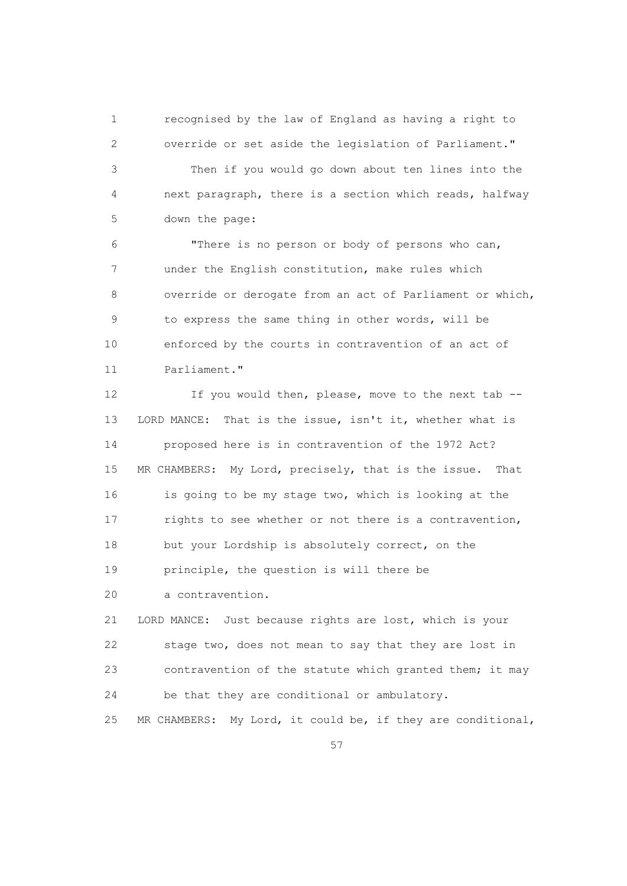1 recognised by the law of England as having a right to 2 override or set aside the legislation of Parliament."

 3 Then if you would go down about ten lines into the 4 next paragraph, there is a section which reads, halfway 5 down the page:

 6 "There is no person or body of persons who can, 7 under the English constitution, make rules which 8 override or derogate from an act of Parliament or which, 9 to express the same thing in other words, will be 10 enforced by the courts in contravention of an act of 11 Parliament."

12 If you would then, please, move to the next tab -- 13 LORD MANCE: That is the issue, isn't it, whether what is 14 proposed here is in contravention of the 1972 Act? 15 MR CHAMBERS: My Lord, precisely, that is the issue. That 16 is going to be my stage two, which is looking at the 17 rights to see whether or not there is a contravention, 18 but your Lordship is absolutely correct, on the 19 principle, the question is will there be

20 a contravention.

 21 LORD MANCE: Just because rights are lost, which is your 22 stage two, does not mean to say that they are lost in 23 contravention of the statute which granted them; it may 24 be that they are conditional or ambulatory.

25 MR CHAMBERS: My Lord, it could be, if they are conditional,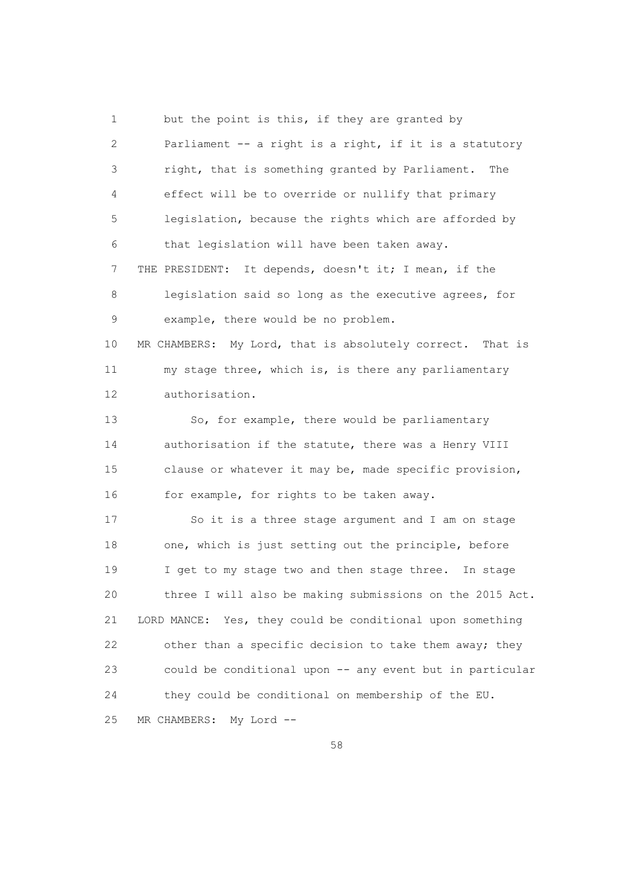1 but the point is this, if they are granted by 2 Parliament -- a right is a right, if it is a statutory 3 right, that is something granted by Parliament. The 4 effect will be to override or nullify that primary 5 legislation, because the rights which are afforded by 6 that legislation will have been taken away. 7 THE PRESIDENT: It depends, doesn't it; I mean, if the 8 legislation said so long as the executive agrees, for 9 example, there would be no problem. 10 MR CHAMBERS: My Lord, that is absolutely correct. That is 11 my stage three, which is, is there any parliamentary 12 authorisation. 13 So, for example, there would be parliamentary 14 authorisation if the statute, there was a Henry VIII 15 clause or whatever it may be, made specific provision, 16 for example, for rights to be taken away. 17 So it is a three stage argument and I am on stage 18 one, which is just setting out the principle, before 19 I get to my stage two and then stage three. In stage 20 three I will also be making submissions on the 2015 Act. 21 LORD MANCE: Yes, they could be conditional upon something 22 other than a specific decision to take them away; they 23 could be conditional upon -- any event but in particular 24 they could be conditional on membership of the EU. 25 MR CHAMBERS: My Lord --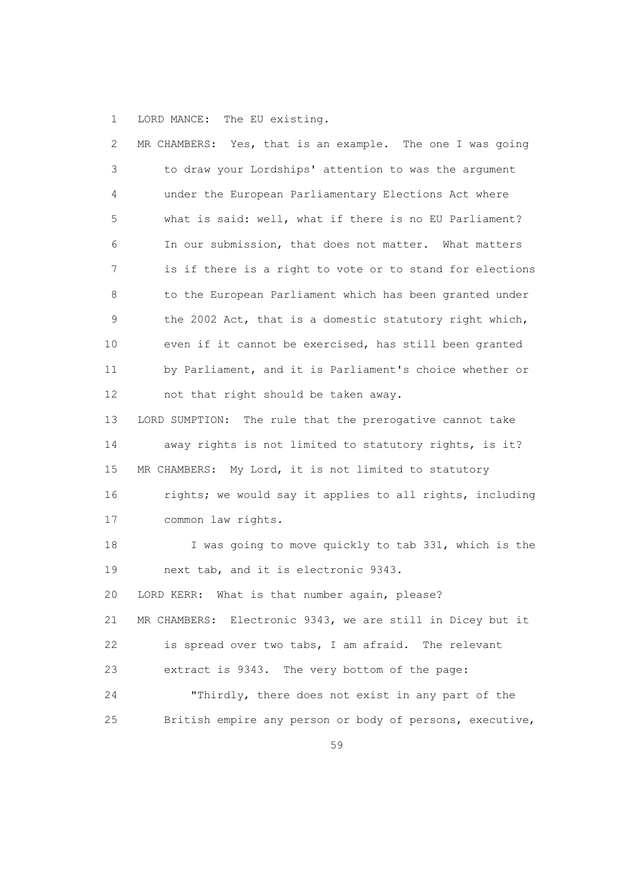1 LORD MANCE: The EU existing.

| 2  | MR CHAMBERS: Yes, that is an example. The one I was going  |
|----|------------------------------------------------------------|
| 3  | to draw your Lordships' attention to was the argument      |
| 4  | under the European Parliamentary Elections Act where       |
| 5  | what is said: well, what if there is no EU Parliament?     |
| 6  | In our submission, that does not matter. What matters      |
| 7  | is if there is a right to vote or to stand for elections   |
| 8  | to the European Parliament which has been granted under    |
| 9  | the 2002 Act, that is a domestic statutory right which,    |
| 10 | even if it cannot be exercised, has still been granted     |
| 11 | by Parliament, and it is Parliament's choice whether or    |
| 12 | not that right should be taken away.                       |
| 13 | LORD SUMPTION: The rule that the prerogative cannot take   |
| 14 | away rights is not limited to statutory rights, is it?     |
| 15 | MR CHAMBERS: My Lord, it is not limited to statutory       |
| 16 | rights; we would say it applies to all rights, including   |
| 17 | common law rights.                                         |
| 18 | I was going to move quickly to tab 331, which is the       |
| 19 | next tab, and it is electronic 9343.                       |
| 20 | LORD KERR:<br>What is that number again, please?           |
| 21 | MR CHAMBERS: Electronic 9343, we are still in Dicey but it |
| 22 | is spread over two tabs, I am afraid. The relevant         |
| 23 | extract is 9343. The very bottom of the page:              |
| 24 | "Thirdly, there does not exist in any part of the          |
| 25 | British empire any person or body of persons, executive,   |
|    |                                                            |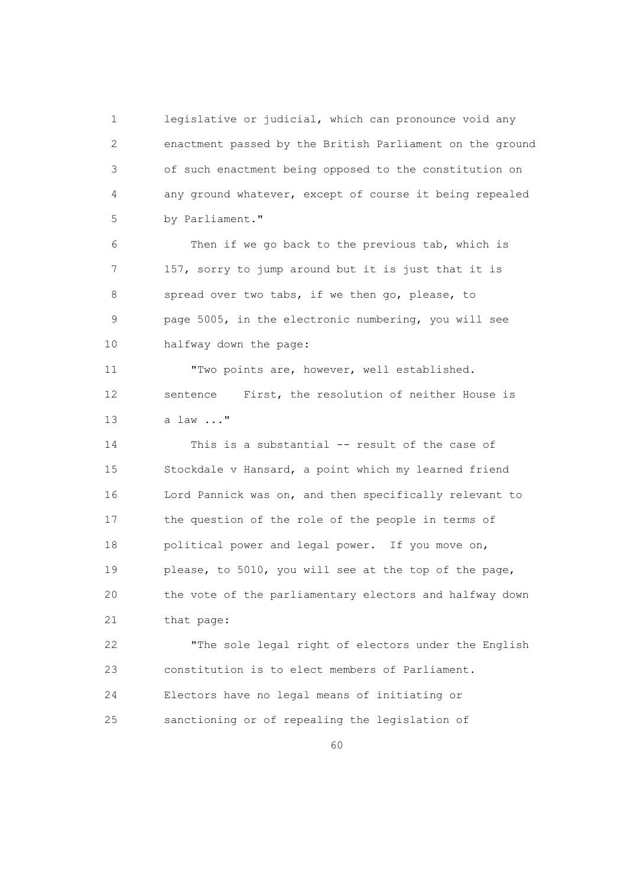1 legislative or judicial, which can pronounce void any 2 enactment passed by the British Parliament on the ground 3 of such enactment being opposed to the constitution on 4 any ground whatever, except of course it being repealed 5 by Parliament."

 6 Then if we go back to the previous tab, which is 7 157, sorry to jump around but it is just that it is 8 spread over two tabs, if we then go, please, to 9 page 5005, in the electronic numbering, you will see 10 halfway down the page:

 11 "Two points are, however, well established. 12 sentence First, the resolution of neither House is 13 a law ..."

 14 This is a substantial -- result of the case of 15 Stockdale v Hansard, a point which my learned friend 16 Lord Pannick was on, and then specifically relevant to 17 the question of the role of the people in terms of 18 political power and legal power. If you move on, 19 please, to 5010, you will see at the top of the page, 20 the vote of the parliamentary electors and halfway down 21 that page:

 22 "The sole legal right of electors under the English 23 constitution is to elect members of Parliament. 24 Electors have no legal means of initiating or 25 sanctioning or of repealing the legislation of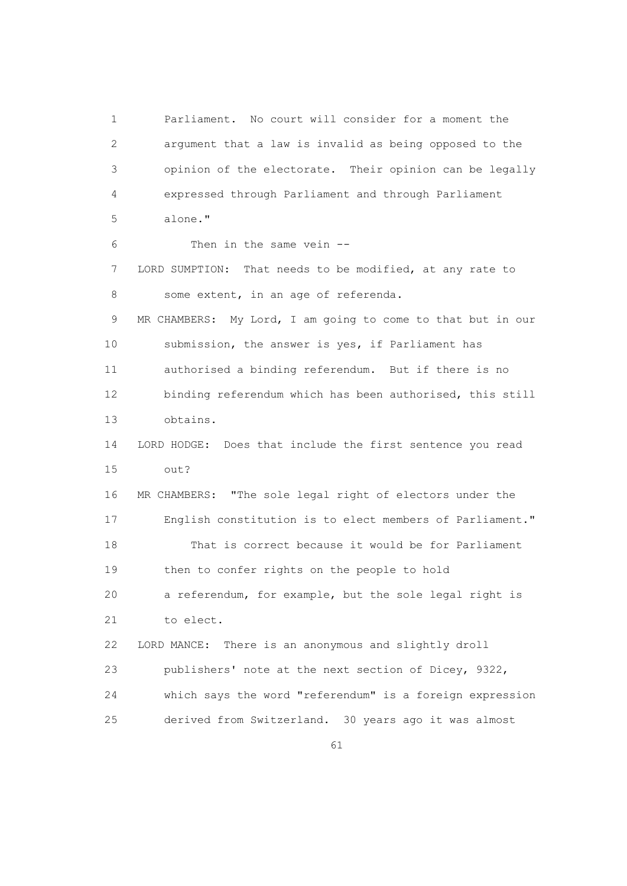1 Parliament. No court will consider for a moment the 2 argument that a law is invalid as being opposed to the 3 opinion of the electorate. Their opinion can be legally 4 expressed through Parliament and through Parliament 5 alone." 6 Then in the same vein -- 7 LORD SUMPTION: That needs to be modified, at any rate to 8 some extent, in an age of referenda. 9 MR CHAMBERS: My Lord, I am going to come to that but in our 10 submission, the answer is yes, if Parliament has 11 authorised a binding referendum. But if there is no 12 binding referendum which has been authorised, this still 13 obtains. 14 LORD HODGE: Does that include the first sentence you read 15 out? 16 MR CHAMBERS: "The sole legal right of electors under the 17 English constitution is to elect members of Parliament." 18 That is correct because it would be for Parliament 19 then to confer rights on the people to hold 20 a referendum, for example, but the sole legal right is 21 to elect. 22 LORD MANCE: There is an anonymous and slightly droll 23 publishers' note at the next section of Dicey, 9322, 24 which says the word "referendum" is a foreign expression 25 derived from Switzerland. 30 years ago it was almost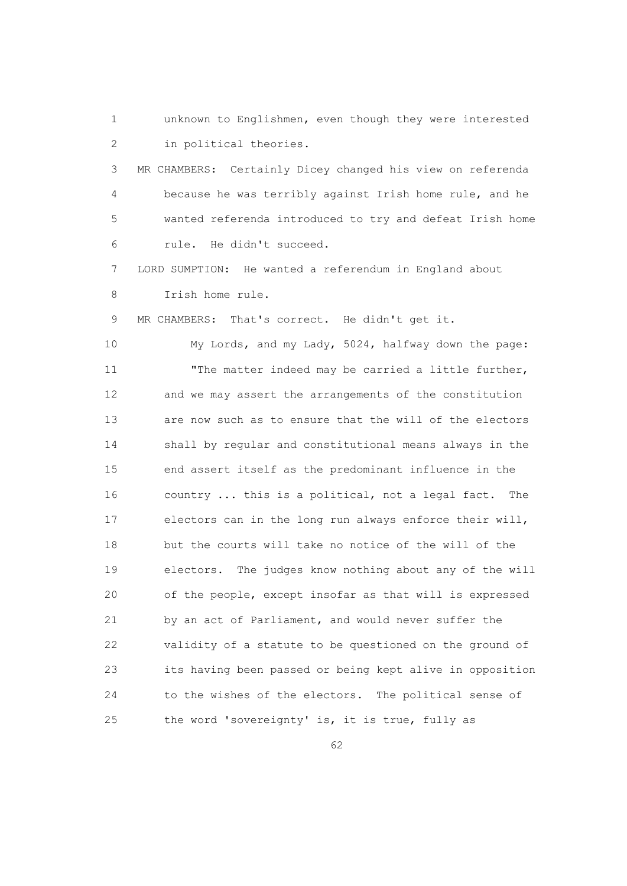1 unknown to Englishmen, even though they were interested 2 in political theories.

 3 MR CHAMBERS: Certainly Dicey changed his view on referenda 4 because he was terribly against Irish home rule, and he 5 wanted referenda introduced to try and defeat Irish home 6 rule. He didn't succeed.

 7 LORD SUMPTION: He wanted a referendum in England about 8 Irish home rule.

9 MR CHAMBERS: That's correct. He didn't get it.

 10 My Lords, and my Lady, 5024, halfway down the page: 11 The matter indeed may be carried a little further, 12 and we may assert the arrangements of the constitution 13 are now such as to ensure that the will of the electors 14 shall by regular and constitutional means always in the 15 end assert itself as the predominant influence in the 16 country ... this is a political, not a legal fact. The 17 electors can in the long run always enforce their will, 18 but the courts will take no notice of the will of the 19 electors. The judges know nothing about any of the will 20 of the people, except insofar as that will is expressed 21 by an act of Parliament, and would never suffer the 22 validity of a statute to be questioned on the ground of 23 its having been passed or being kept alive in opposition 24 to the wishes of the electors. The political sense of 25 the word 'sovereignty' is, it is true, fully as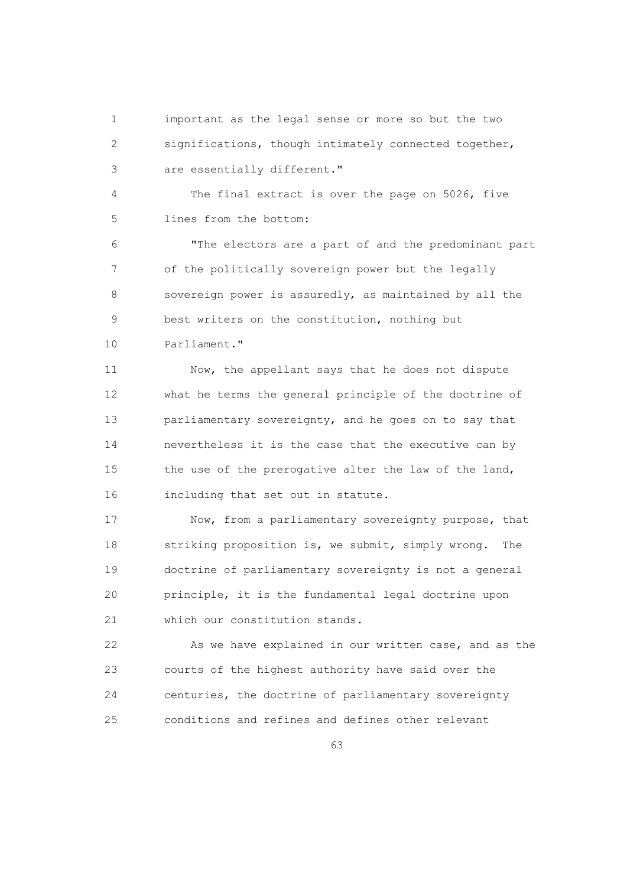1 important as the legal sense or more so but the two 2 significations, though intimately connected together, 3 are essentially different."

 4 The final extract is over the page on 5026, five 5 lines from the bottom:

 6 "The electors are a part of and the predominant part 7 of the politically sovereign power but the legally 8 sovereign power is assuredly, as maintained by all the 9 best writers on the constitution, nothing but 10 Parliament."

 11 Now, the appellant says that he does not dispute 12 what he terms the general principle of the doctrine of 13 parliamentary sovereignty, and he goes on to say that 14 nevertheless it is the case that the executive can by 15 the use of the prerogative alter the law of the land, 16 including that set out in statute.

 17 Now, from a parliamentary sovereignty purpose, that 18 striking proposition is, we submit, simply wrong. The 19 doctrine of parliamentary sovereignty is not a general 20 principle, it is the fundamental legal doctrine upon 21 which our constitution stands.

 22 As we have explained in our written case, and as the 23 courts of the highest authority have said over the 24 centuries, the doctrine of parliamentary sovereignty 25 conditions and refines and defines other relevant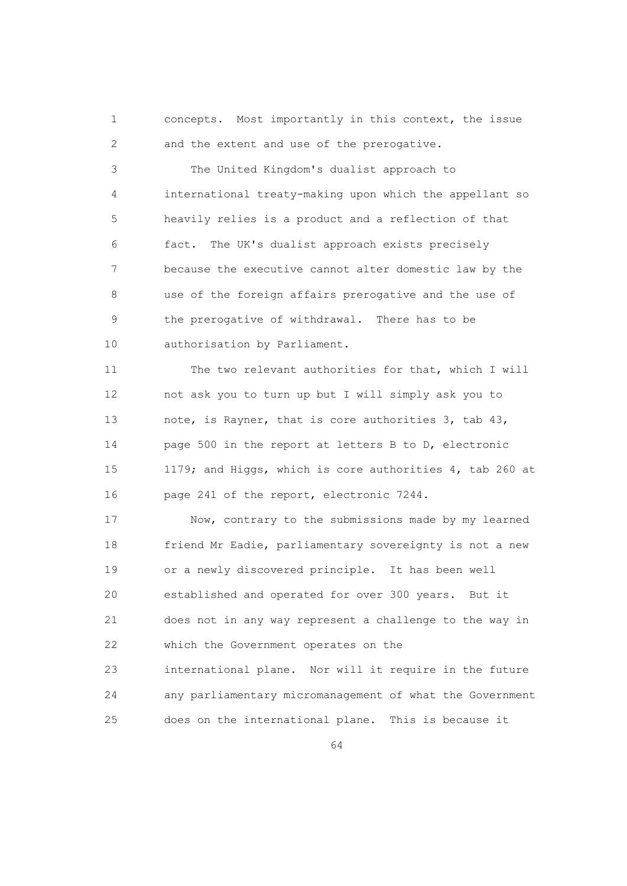1 concepts. Most importantly in this context, the issue 2 and the extent and use of the prerogative.

 3 The United Kingdom's dualist approach to 4 international treaty-making upon which the appellant so 5 heavily relies is a product and a reflection of that 6 fact. The UK's dualist approach exists precisely 7 because the executive cannot alter domestic law by the 8 use of the foreign affairs prerogative and the use of 9 the prerogative of withdrawal. There has to be 10 authorisation by Parliament.

 11 The two relevant authorities for that, which I will 12 not ask you to turn up but I will simply ask you to 13 note, is Rayner, that is core authorities 3, tab 43, 14 page 500 in the report at letters B to D, electronic 15 1179; and Higgs, which is core authorities 4, tab 260 at 16 page 241 of the report, electronic 7244.

 17 Now, contrary to the submissions made by my learned 18 friend Mr Eadie, parliamentary sovereignty is not a new 19 or a newly discovered principle. It has been well 20 established and operated for over 300 years. But it 21 does not in any way represent a challenge to the way in 22 which the Government operates on the 23 international plane. Nor will it require in the future 24 any parliamentary micromanagement of what the Government 25 does on the international plane. This is because it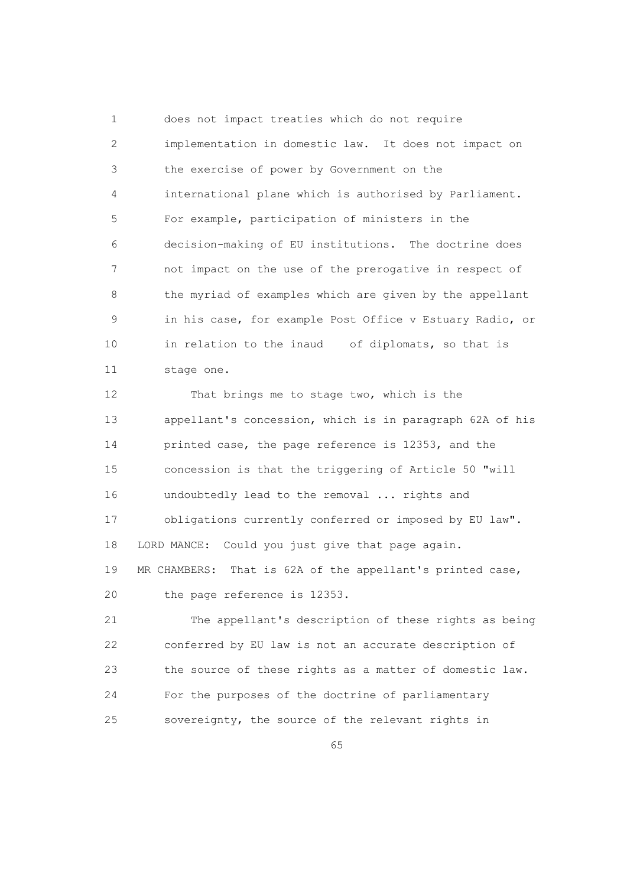1 does not impact treaties which do not require 2 implementation in domestic law. It does not impact on 3 the exercise of power by Government on the 4 international plane which is authorised by Parliament. 5 For example, participation of ministers in the 6 decision-making of EU institutions. The doctrine does 7 not impact on the use of the prerogative in respect of 8 the myriad of examples which are given by the appellant 9 in his case, for example Post Office v Estuary Radio, or 10 in relation to the inaud of diplomats, so that is 11 stage one.

 12 That brings me to stage two, which is the 13 appellant's concession, which is in paragraph 62A of his 14 printed case, the page reference is 12353, and the 15 concession is that the triggering of Article 50 "will 16 undoubtedly lead to the removal ... rights and 17 obligations currently conferred or imposed by EU law". 18 LORD MANCE: Could you just give that page again. 19 MR CHAMBERS: That is 62A of the appellant's printed case, 20 the page reference is 12353.

 21 The appellant's description of these rights as being 22 conferred by EU law is not an accurate description of 23 the source of these rights as a matter of domestic law. 24 For the purposes of the doctrine of parliamentary 25 sovereignty, the source of the relevant rights in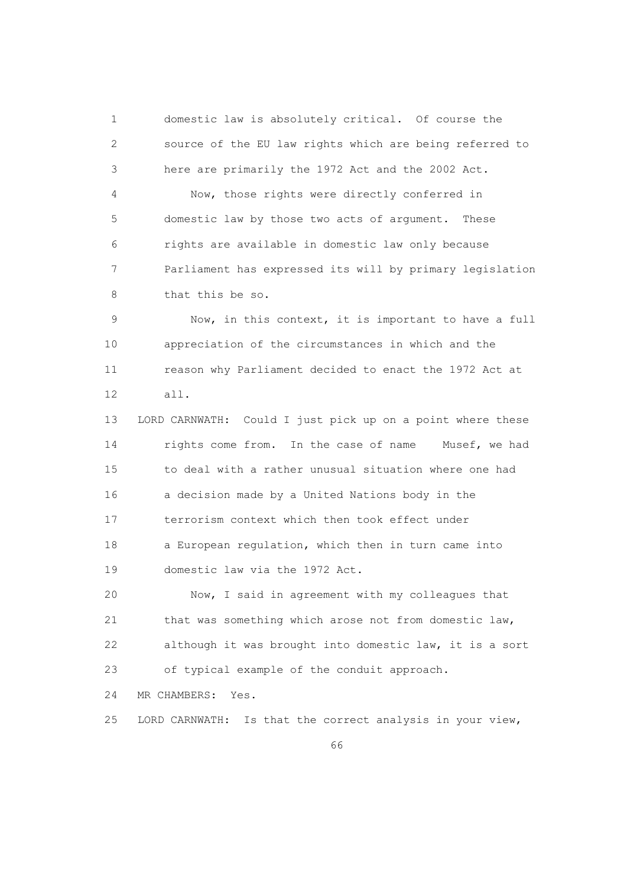1 domestic law is absolutely critical. Of course the 2 source of the EU law rights which are being referred to 3 here are primarily the 1972 Act and the 2002 Act.

 4 Now, those rights were directly conferred in 5 domestic law by those two acts of argument. These 6 rights are available in domestic law only because 7 Parliament has expressed its will by primary legislation 8 that this be so.

 9 Now, in this context, it is important to have a full 10 appreciation of the circumstances in which and the 11 reason why Parliament decided to enact the 1972 Act at 12 all.

 13 LORD CARNWATH: Could I just pick up on a point where these 14 rights come from. In the case of name Musef, we had 15 to deal with a rather unusual situation where one had 16 a decision made by a United Nations body in the 17 terrorism context which then took effect under 18 a European regulation, which then in turn came into 19 domestic law via the 1972 Act.

 20 Now, I said in agreement with my colleagues that 21 that was something which arose not from domestic law, 22 although it was brought into domestic law, it is a sort 23 of typical example of the conduit approach.

24 MR CHAMBERS: Yes.

25 LORD CARNWATH: Is that the correct analysis in your view,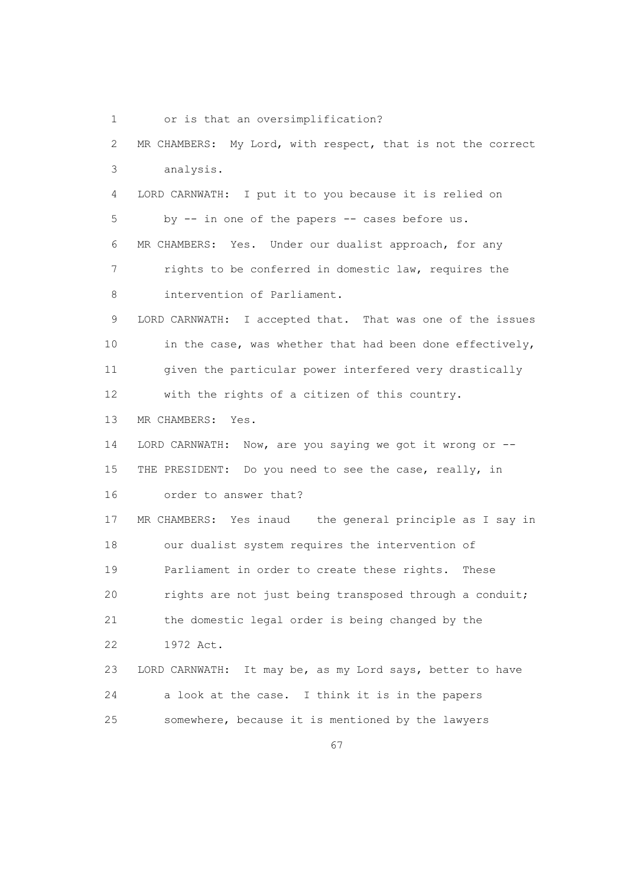1 or is that an oversimplification?

 2 MR CHAMBERS: My Lord, with respect, that is not the correct 3 analysis. 4 LORD CARNWATH: I put it to you because it is relied on 5 by -- in one of the papers -- cases before us. 6 MR CHAMBERS: Yes. Under our dualist approach, for any 7 rights to be conferred in domestic law, requires the 8 intervention of Parliament. 9 LORD CARNWATH: I accepted that. That was one of the issues 10 in the case, was whether that had been done effectively, 11 given the particular power interfered very drastically 12 with the rights of a citizen of this country. 13 MR CHAMBERS: Yes. 14 LORD CARNWATH: Now, are you saying we got it wrong or -- 15 THE PRESIDENT: Do you need to see the case, really, in 16 order to answer that? 17 MR CHAMBERS: Yes inaud the general principle as I say in 18 our dualist system requires the intervention of 19 Parliament in order to create these rights. These 20 rights are not just being transposed through a conduit; 21 the domestic legal order is being changed by the 22 1972 Act. 23 LORD CARNWATH: It may be, as my Lord says, better to have 24 a look at the case. I think it is in the papers 25 somewhere, because it is mentioned by the lawyers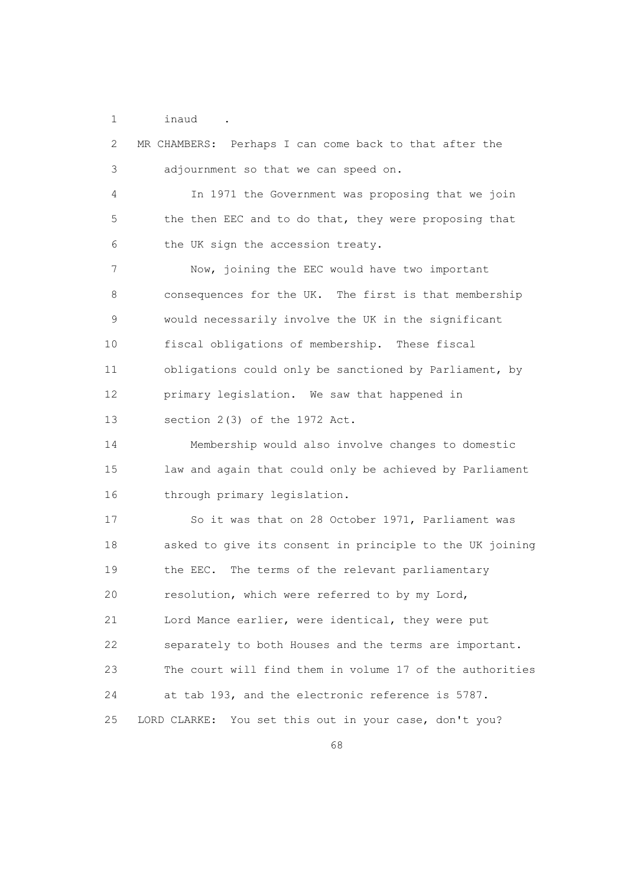1 inaud .

| 2                 | MR CHAMBERS: Perhaps I can come back to that after the    |
|-------------------|-----------------------------------------------------------|
| 3                 | adjournment so that we can speed on.                      |
| 4                 | In 1971 the Government was proposing that we join         |
| 5                 | the then EEC and to do that, they were proposing that     |
| 6                 | the UK sign the accession treaty.                         |
| 7                 | Now, joining the EEC would have two important             |
| 8                 | consequences for the UK. The first is that membership     |
| $\mathsf 9$       | would necessarily involve the UK in the significant       |
| 10                | fiscal obligations of membership. These fiscal            |
| 11                | obligations could only be sanctioned by Parliament, by    |
| $12 \overline{ }$ | primary legislation. We saw that happened in              |
| 13                | section 2(3) of the 1972 Act.                             |
| 14                | Membership would also involve changes to domestic         |
| 15                | law and again that could only be achieved by Parliament   |
| 16                | through primary legislation.                              |
| 17                | So it was that on 28 October 1971, Parliament was         |
| 18                | asked to give its consent in principle to the UK joining  |
| 19                | the EEC. The terms of the relevant parliamentary          |
| 20                | resolution, which were referred to by my Lord,            |
| 21                | Lord Mance earlier, were identical, they were put         |
| 22                | separately to both Houses and the terms are important.    |
| 23                | The court will find them in volume 17 of the authorities  |
| 24                | at tab 193, and the electronic reference is 5787.         |
| 25                | You set this out in your case, don't you?<br>LORD CLARKE: |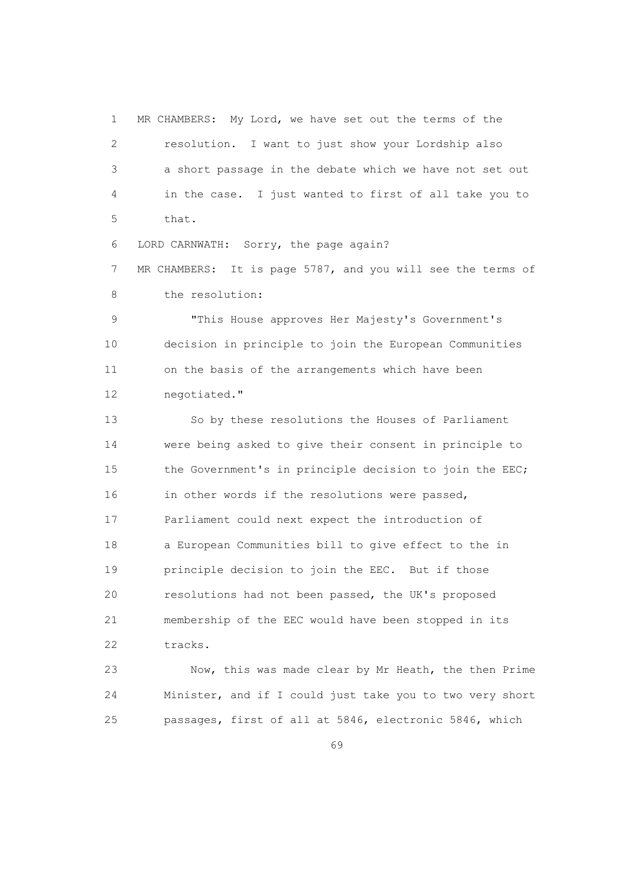1 MR CHAMBERS: My Lord, we have set out the terms of the 2 resolution. I want to just show your Lordship also 3 a short passage in the debate which we have not set out 4 in the case. I just wanted to first of all take you to 5 that.

6 LORD CARNWATH: Sorry, the page again?

 7 MR CHAMBERS: It is page 5787, and you will see the terms of 8 the resolution:

 9 "This House approves Her Majesty's Government's 10 decision in principle to join the European Communities 11 on the basis of the arrangements which have been 12 negotiated."

 13 So by these resolutions the Houses of Parliament 14 were being asked to give their consent in principle to 15 the Government's in principle decision to join the EEC; 16 in other words if the resolutions were passed, 17 Parliament could next expect the introduction of 18 a European Communities bill to give effect to the in 19 principle decision to join the EEC. But if those 20 resolutions had not been passed, the UK's proposed 21 membership of the EEC would have been stopped in its 22 tracks.

 23 Now, this was made clear by Mr Heath, the then Prime 24 Minister, and if I could just take you to two very short 25 passages, first of all at 5846, electronic 5846, which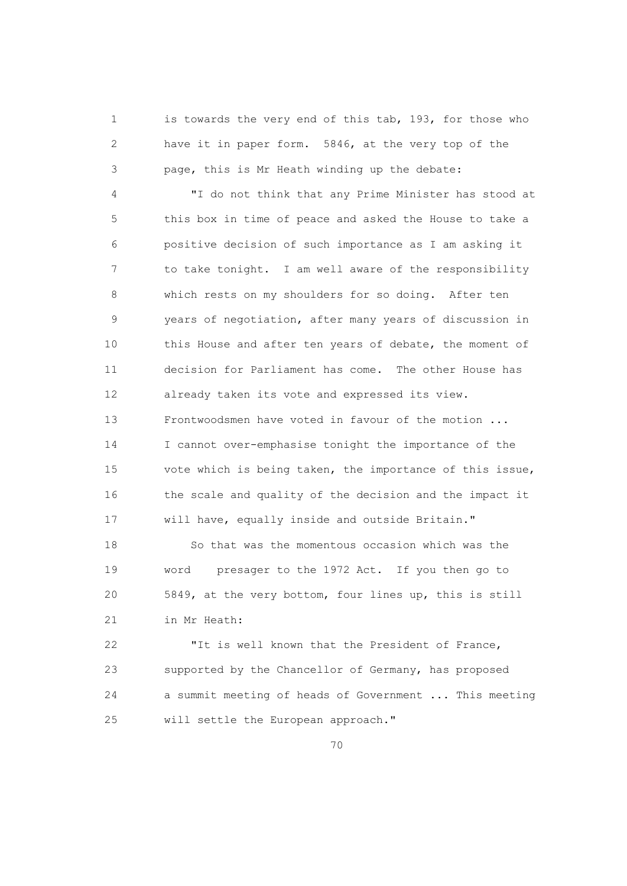1 is towards the very end of this tab, 193, for those who 2 have it in paper form. 5846, at the very top of the 3 page, this is Mr Heath winding up the debate:

 4 "I do not think that any Prime Minister has stood at 5 this box in time of peace and asked the House to take a 6 positive decision of such importance as I am asking it 7 to take tonight. I am well aware of the responsibility 8 which rests on my shoulders for so doing. After ten 9 years of negotiation, after many years of discussion in 10 this House and after ten years of debate, the moment of 11 decision for Parliament has come. The other House has 12 already taken its vote and expressed its view. 13 Frontwoodsmen have voted in favour of the motion ... 14 I cannot over-emphasise tonight the importance of the 15 vote which is being taken, the importance of this issue, 16 the scale and quality of the decision and the impact it 17 will have, equally inside and outside Britain."

 18 So that was the momentous occasion which was the 19 word presager to the 1972 Act. If you then go to 20 5849, at the very bottom, four lines up, this is still 21 in Mr Heath:

 22 "It is well known that the President of France, 23 supported by the Chancellor of Germany, has proposed 24 a summit meeting of heads of Government ... This meeting 25 will settle the European approach."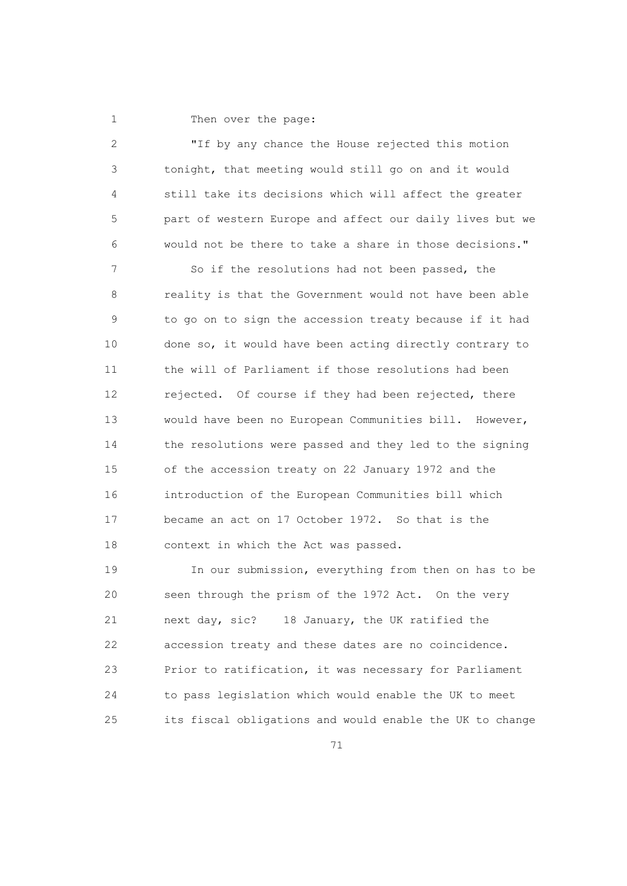1 Then over the page:

| 2             | "If by any chance the House rejected this motion         |
|---------------|----------------------------------------------------------|
| 3             | tonight, that meeting would still go on and it would     |
| 4             | still take its decisions which will affect the greater   |
| 5             | part of western Europe and affect our daily lives but we |
| 6             | would not be there to take a share in those decisions."  |
| 7             | So if the resolutions had not been passed, the           |
| 8             | reality is that the Government would not have been able  |
| $\mathcal{G}$ | to go on to sign the accession treaty because if it had  |
| 10            | done so, it would have been acting directly contrary to  |
| 11            | the will of Parliament if those resolutions had been     |
| 12            | rejected. Of course if they had been rejected, there     |
| 13            | would have been no European Communities bill. However,   |
| 14            | the resolutions were passed and they led to the signing  |
| 15            | of the accession treaty on 22 January 1972 and the       |
| 16            | introduction of the European Communities bill which      |
| 17            | became an act on 17 October 1972. So that is the         |
| 18            | context in which the Act was passed.                     |
| 19            | In our submission, everything from then on has to be     |
| 20            | seen through the prism of the 1972 Act. On the very      |
| 21            | next day, sic?<br>18 January, the UK ratified the        |
| 22            | accession treaty and these dates are no coincidence.     |

 23 Prior to ratification, it was necessary for Parliament 24 to pass legislation which would enable the UK to meet 25 its fiscal obligations and would enable the UK to change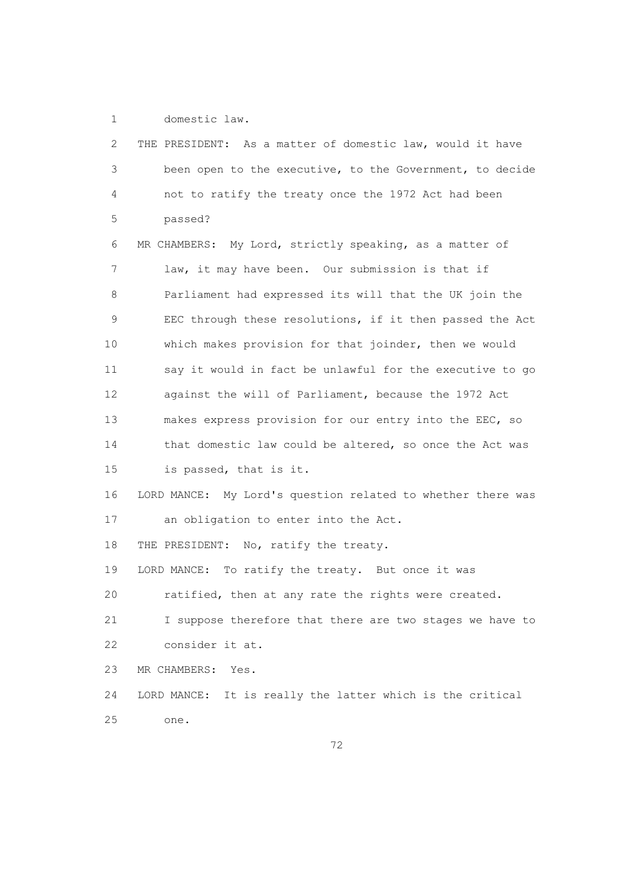1 domestic law.

| 2  | THE PRESIDENT: As a matter of domestic law, would it have    |
|----|--------------------------------------------------------------|
| 3  | been open to the executive, to the Government, to decide     |
| 4  | not to ratify the treaty once the 1972 Act had been          |
| 5  | passed?                                                      |
| 6  | MR CHAMBERS: My Lord, strictly speaking, as a matter of      |
| 7  | law, it may have been. Our submission is that if             |
| 8  | Parliament had expressed its will that the UK join the       |
| 9  | EEC through these resolutions, if it then passed the Act     |
| 10 | which makes provision for that joinder, then we would        |
| 11 | say it would in fact be unlawful for the executive to go     |
| 12 | against the will of Parliament, because the 1972 Act         |
| 13 | makes express provision for our entry into the EEC, so       |
| 14 | that domestic law could be altered, so once the Act was      |
| 15 | is passed, that is it.                                       |
| 16 | LORD MANCE: My Lord's question related to whether there was  |
| 17 | an obligation to enter into the Act.                         |
| 18 | THE PRESIDENT: No, ratify the treaty.                        |
| 19 | LORD MANCE: To ratify the treaty. But once it was            |
| 20 | ratified, then at any rate the rights were created.          |
| 21 | I suppose therefore that there are two stages we have to     |
| 22 | consider it at.                                              |
| 23 | MR CHAMBERS:<br>Yes.                                         |
| 24 | It is really the latter which is the critical<br>LORD MANCE: |
| 25 | one.                                                         |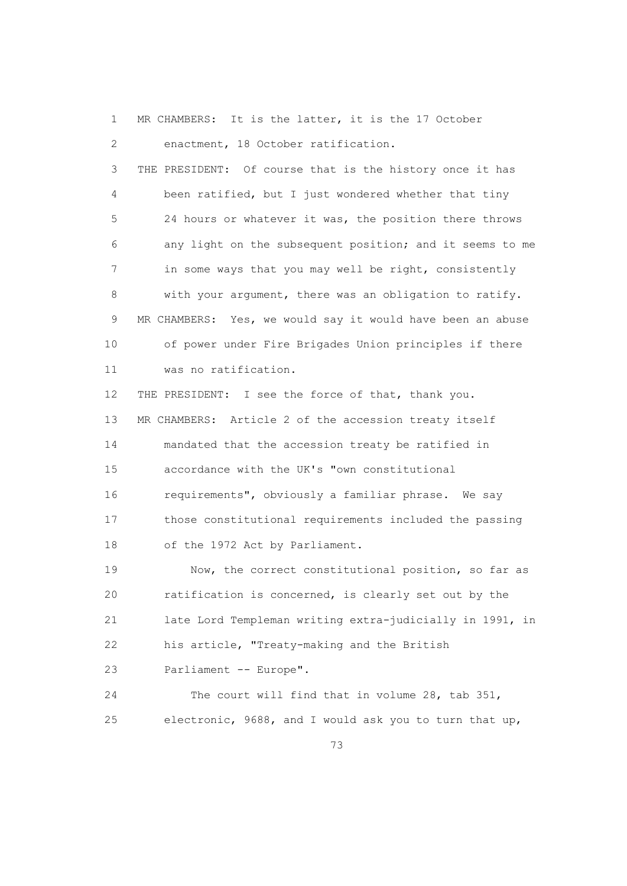1 MR CHAMBERS: It is the latter, it is the 17 October 2 enactment, 18 October ratification. 3 THE PRESIDENT: Of course that is the history once it has 4 been ratified, but I just wondered whether that tiny 5 24 hours or whatever it was, the position there throws 6 any light on the subsequent position; and it seems to me 7 in some ways that you may well be right, consistently 8 with your argument, there was an obligation to ratify. 9 MR CHAMBERS: Yes, we would say it would have been an abuse 10 of power under Fire Brigades Union principles if there 11 was no ratification. 12 THE PRESIDENT: I see the force of that, thank you. 13 MR CHAMBERS: Article 2 of the accession treaty itself 14 mandated that the accession treaty be ratified in 15 accordance with the UK's "own constitutional 16 requirements", obviously a familiar phrase. We say

 17 those constitutional requirements included the passing 18 of the 1972 Act by Parliament.

19 Now, the correct constitutional position, so far as 20 ratification is concerned, is clearly set out by the 21 late Lord Templeman writing extra-judicially in 1991, in 22 his article, "Treaty-making and the British 23 Parliament -- Europe".

 24 The court will find that in volume 28, tab 351, 25 electronic, 9688, and I would ask you to turn that up,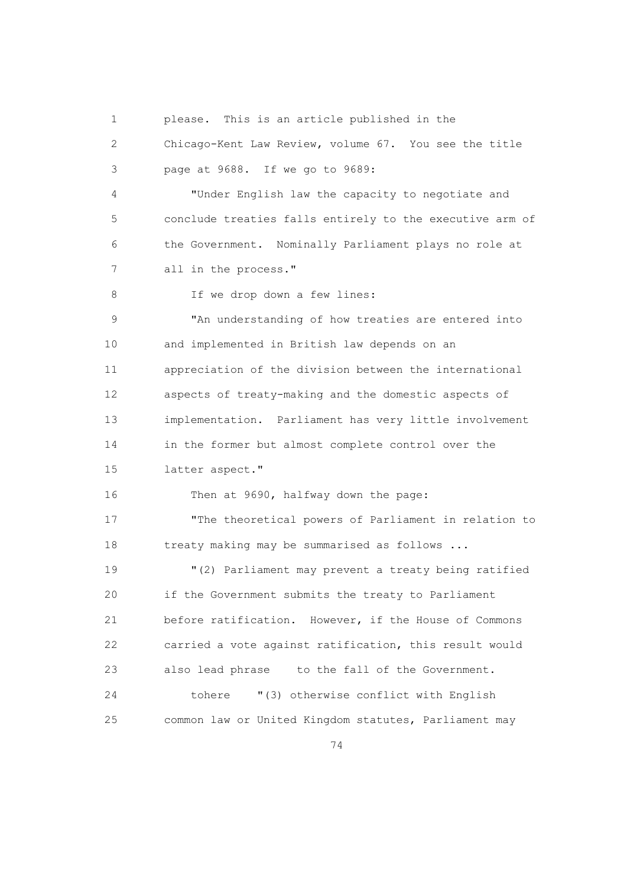1 please. This is an article published in the

 2 Chicago-Kent Law Review, volume 67. You see the title 3 page at 9688. If we go to 9689:

 4 "Under English law the capacity to negotiate and 5 conclude treaties falls entirely to the executive arm of 6 the Government. Nominally Parliament plays no role at 7 all in the process."

8 If we drop down a few lines:

 9 "An understanding of how treaties are entered into 10 and implemented in British law depends on an 11 appreciation of the division between the international 12 aspects of treaty-making and the domestic aspects of 13 implementation. Parliament has very little involvement 14 in the former but almost complete control over the 15 latter aspect."

16 Then at 9690, halfway down the page:

 17 "The theoretical powers of Parliament in relation to 18 treaty making may be summarised as follows ...

 19 "(2) Parliament may prevent a treaty being ratified 20 if the Government submits the treaty to Parliament 21 before ratification. However, if the House of Commons 22 carried a vote against ratification, this result would 23 also lead phrase to the fall of the Government. 24 tohere "(3) otherwise conflict with English 25 common law or United Kingdom statutes, Parliament may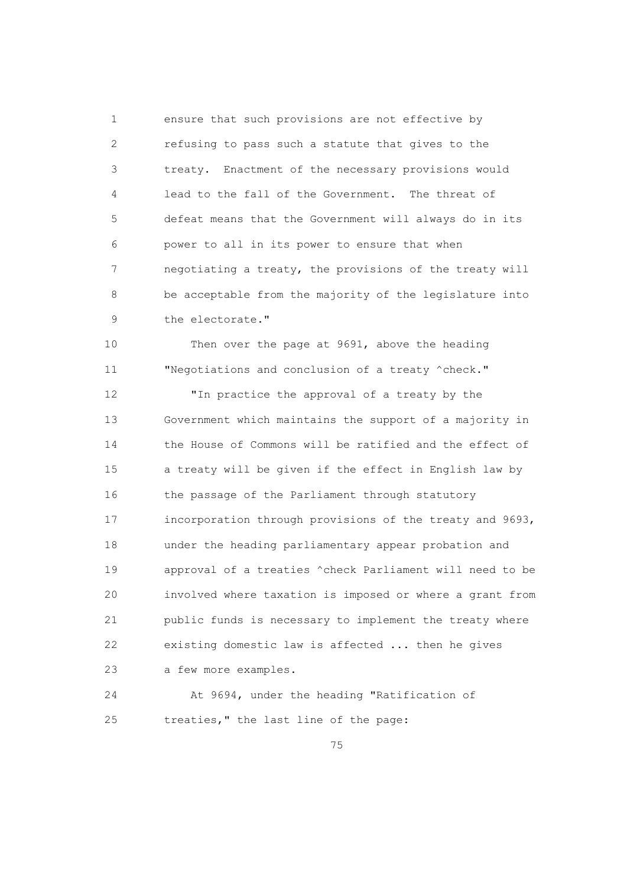1 ensure that such provisions are not effective by 2 refusing to pass such a statute that gives to the 3 treaty. Enactment of the necessary provisions would 4 lead to the fall of the Government. The threat of 5 defeat means that the Government will always do in its 6 power to all in its power to ensure that when 7 negotiating a treaty, the provisions of the treaty will 8 be acceptable from the majority of the legislature into 9 the electorate."

 10 Then over the page at 9691, above the heading 11 "Negotiations and conclusion of a treaty ^check."

 12 "In practice the approval of a treaty by the 13 Government which maintains the support of a majority in 14 the House of Commons will be ratified and the effect of 15 a treaty will be given if the effect in English law by 16 the passage of the Parliament through statutory 17 incorporation through provisions of the treaty and 9693, 18 under the heading parliamentary appear probation and 19 approval of a treaties ^check Parliament will need to be 20 involved where taxation is imposed or where a grant from 21 public funds is necessary to implement the treaty where 22 existing domestic law is affected ... then he gives 23 a few more examples.

 24 At 9694, under the heading "Ratification of 25 treaties," the last line of the page: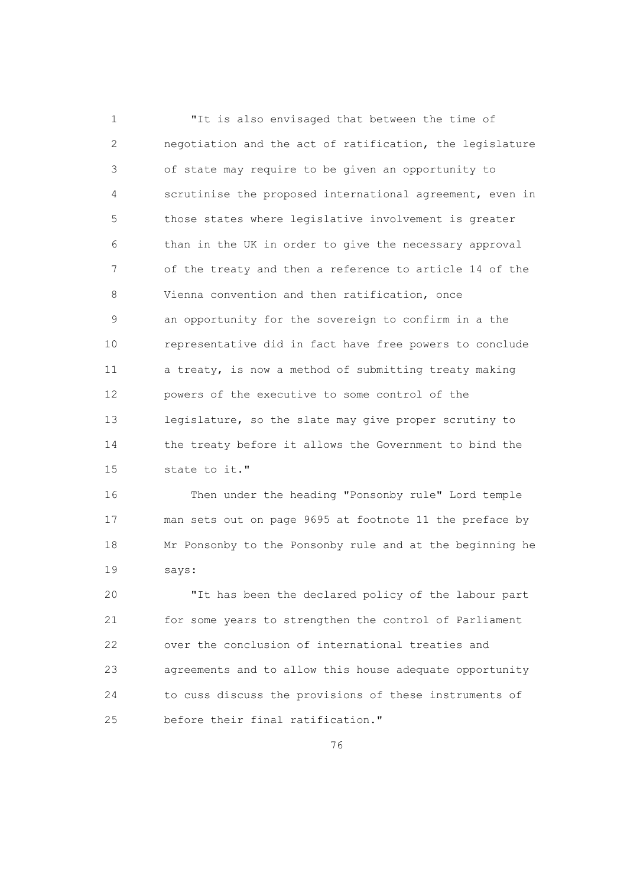1 "It is also envisaged that between the time of 2 negotiation and the act of ratification, the legislature 3 of state may require to be given an opportunity to 4 scrutinise the proposed international agreement, even in 5 those states where legislative involvement is greater 6 than in the UK in order to give the necessary approval 7 of the treaty and then a reference to article 14 of the 8 Vienna convention and then ratification, once 9 an opportunity for the sovereign to confirm in a the 10 representative did in fact have free powers to conclude 11 a treaty, is now a method of submitting treaty making 12 powers of the executive to some control of the 13 legislature, so the slate may give proper scrutiny to 14 the treaty before it allows the Government to bind the 15 state to it."

 16 Then under the heading "Ponsonby rule" Lord temple 17 man sets out on page 9695 at footnote 11 the preface by 18 Mr Ponsonby to the Ponsonby rule and at the beginning he 19 says:

 20 "It has been the declared policy of the labour part 21 for some years to strengthen the control of Parliament 22 over the conclusion of international treaties and 23 agreements and to allow this house adequate opportunity 24 to cuss discuss the provisions of these instruments of 25 before their final ratification."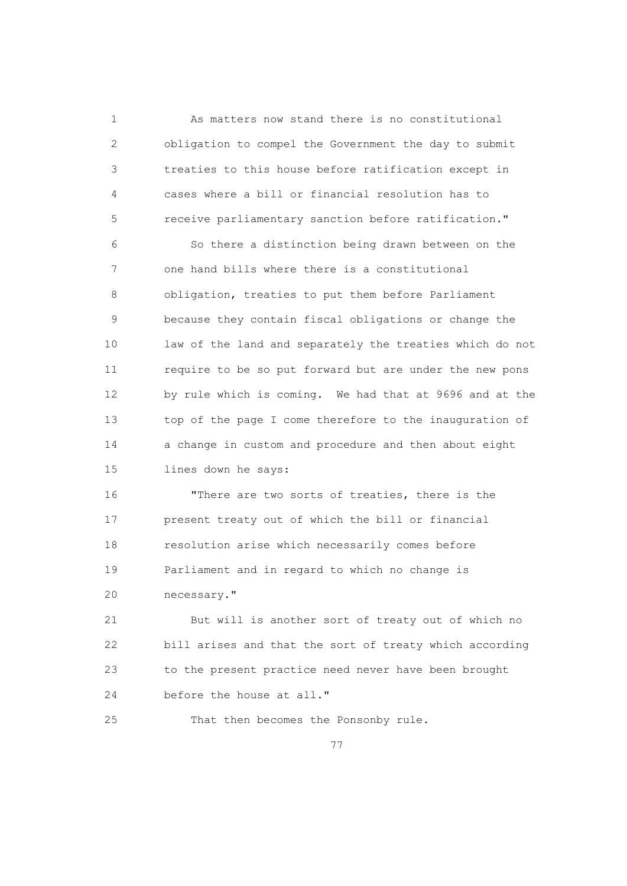1 As matters now stand there is no constitutional 2 obligation to compel the Government the day to submit 3 treaties to this house before ratification except in 4 cases where a bill or financial resolution has to 5 receive parliamentary sanction before ratification."

 6 So there a distinction being drawn between on the 7 one hand bills where there is a constitutional 8 obligation, treaties to put them before Parliament 9 because they contain fiscal obligations or change the 10 law of the land and separately the treaties which do not 11 require to be so put forward but are under the new pons 12 by rule which is coming. We had that at 9696 and at the 13 top of the page I come therefore to the inauguration of 14 a change in custom and procedure and then about eight 15 lines down he says:

 16 "There are two sorts of treaties, there is the 17 present treaty out of which the bill or financial 18 resolution arise which necessarily comes before 19 Parliament and in regard to which no change is 20 necessary."

 21 But will is another sort of treaty out of which no 22 bill arises and that the sort of treaty which according 23 to the present practice need never have been brought 24 before the house at all."

25 That then becomes the Ponsonby rule.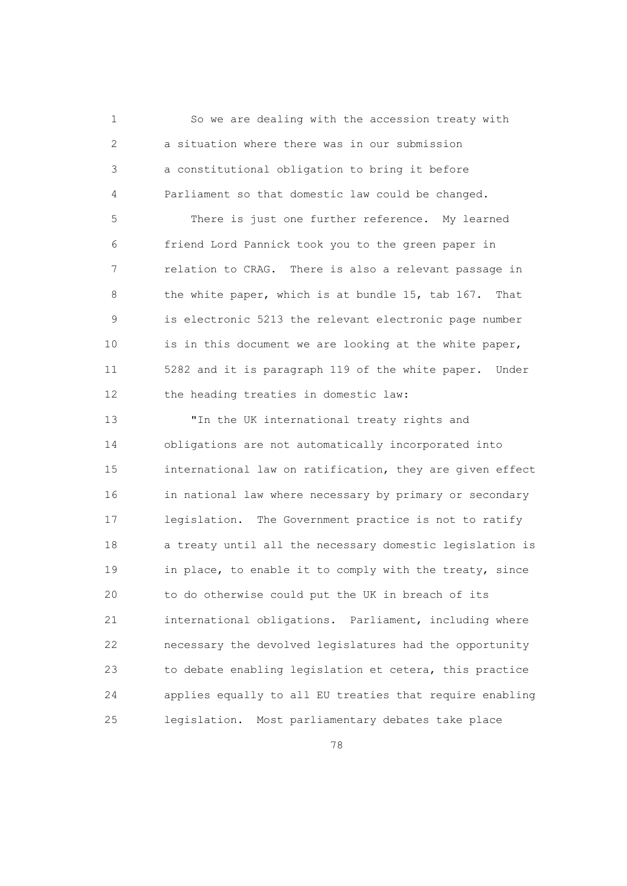1 So we are dealing with the accession treaty with 2 a situation where there was in our submission 3 a constitutional obligation to bring it before 4 Parliament so that domestic law could be changed.

 5 There is just one further reference. My learned 6 friend Lord Pannick took you to the green paper in 7 relation to CRAG. There is also a relevant passage in 8 the white paper, which is at bundle 15, tab 167. That 9 is electronic 5213 the relevant electronic page number 10 is in this document we are looking at the white paper, 11 5282 and it is paragraph 119 of the white paper. Under 12 the heading treaties in domestic law:

 13 "In the UK international treaty rights and 14 obligations are not automatically incorporated into 15 international law on ratification, they are given effect 16 in national law where necessary by primary or secondary 17 legislation. The Government practice is not to ratify 18 a treaty until all the necessary domestic legislation is 19 in place, to enable it to comply with the treaty, since 20 to do otherwise could put the UK in breach of its 21 international obligations. Parliament, including where 22 necessary the devolved legislatures had the opportunity 23 to debate enabling legislation et cetera, this practice 24 applies equally to all EU treaties that require enabling 25 legislation. Most parliamentary debates take place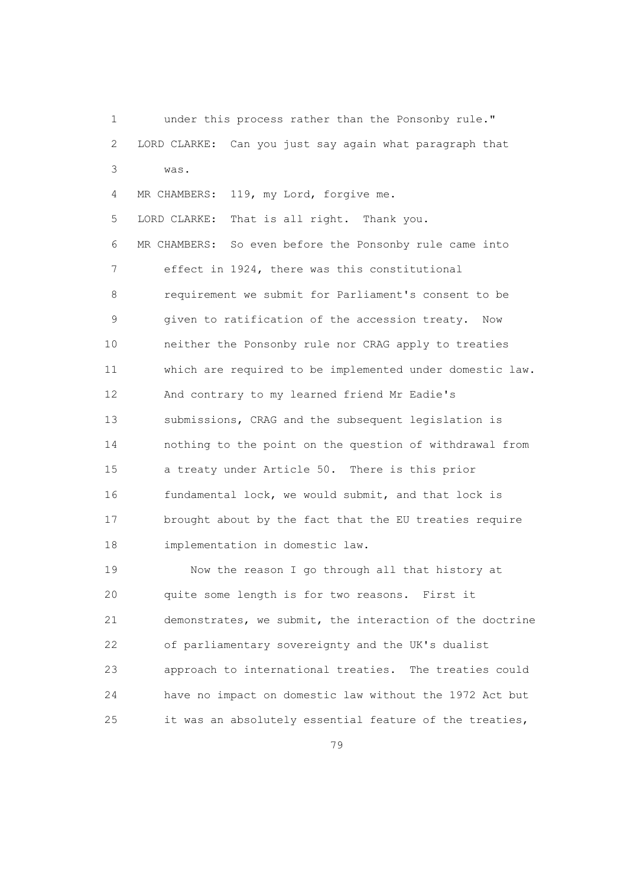1 under this process rather than the Ponsonby rule." 2 LORD CLARKE: Can you just say again what paragraph that 3 was. 4 MR CHAMBERS: 119, my Lord, forgive me. 5 LORD CLARKE: That is all right. Thank you. 6 MR CHAMBERS: So even before the Ponsonby rule came into 7 effect in 1924, there was this constitutional 8 requirement we submit for Parliament's consent to be 9 given to ratification of the accession treaty. Now 10 neither the Ponsonby rule nor CRAG apply to treaties 11 which are required to be implemented under domestic law. 12 And contrary to my learned friend Mr Eadie's 13 submissions, CRAG and the subsequent legislation is 14 nothing to the point on the question of withdrawal from 15 a treaty under Article 50. There is this prior 16 fundamental lock, we would submit, and that lock is 17 brought about by the fact that the EU treaties require 18 implementation in domestic law. 19 Now the reason I go through all that history at 20 quite some length is for two reasons. First it

 21 demonstrates, we submit, the interaction of the doctrine 22 of parliamentary sovereignty and the UK's dualist 23 approach to international treaties. The treaties could 24 have no impact on domestic law without the 1972 Act but 25 it was an absolutely essential feature of the treaties,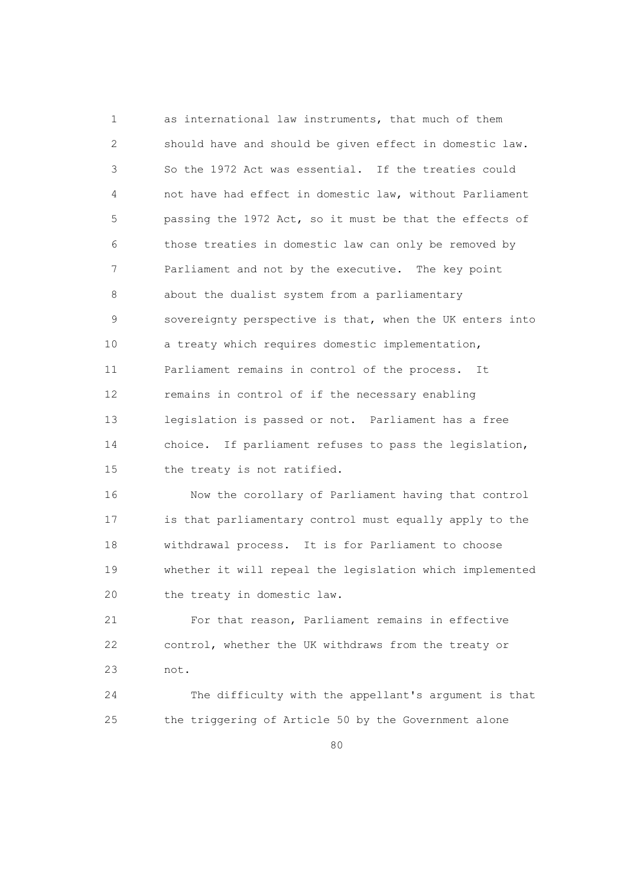1 as international law instruments, that much of them 2 should have and should be given effect in domestic law. 3 So the 1972 Act was essential. If the treaties could 4 not have had effect in domestic law, without Parliament 5 passing the 1972 Act, so it must be that the effects of 6 those treaties in domestic law can only be removed by 7 Parliament and not by the executive. The key point 8 about the dualist system from a parliamentary 9 sovereignty perspective is that, when the UK enters into 10 a treaty which requires domestic implementation, 11 Parliament remains in control of the process. It 12 remains in control of if the necessary enabling 13 legislation is passed or not. Parliament has a free 14 choice. If parliament refuses to pass the legislation, 15 the treaty is not ratified.

 16 Now the corollary of Parliament having that control 17 is that parliamentary control must equally apply to the 18 withdrawal process. It is for Parliament to choose 19 whether it will repeal the legislation which implemented 20 the treaty in domestic law.

 21 For that reason, Parliament remains in effective 22 control, whether the UK withdraws from the treaty or 23 not.

 24 The difficulty with the appellant's argument is that 25 the triggering of Article 50 by the Government alone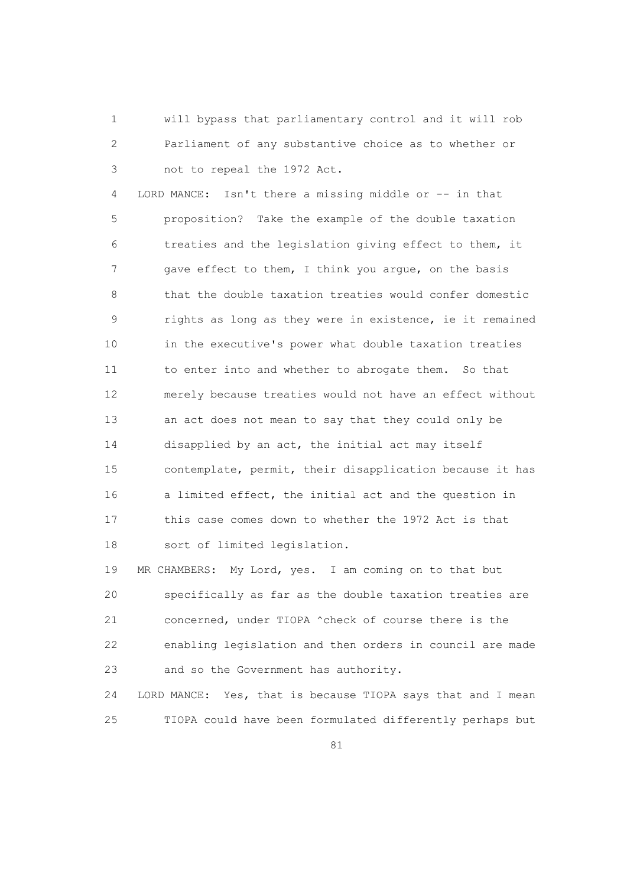1 will bypass that parliamentary control and it will rob 2 Parliament of any substantive choice as to whether or 3 not to repeal the 1972 Act.

 4 LORD MANCE: Isn't there a missing middle or -- in that 5 proposition? Take the example of the double taxation 6 treaties and the legislation giving effect to them, it 7 gave effect to them, I think you argue, on the basis 8 that the double taxation treaties would confer domestic 9 rights as long as they were in existence, ie it remained 10 in the executive's power what double taxation treaties 11 to enter into and whether to abrogate them. So that 12 merely because treaties would not have an effect without 13 an act does not mean to say that they could only be 14 disapplied by an act, the initial act may itself 15 contemplate, permit, their disapplication because it has 16 a limited effect, the initial act and the question in 17 this case comes down to whether the 1972 Act is that 18 sort of limited legislation.

19 MR CHAMBERS: My Lord, yes. I am coming on to that but 20 specifically as far as the double taxation treaties are 21 concerned, under TIOPA ^check of course there is the 22 enabling legislation and then orders in council are made 23 and so the Government has authority.

 24 LORD MANCE: Yes, that is because TIOPA says that and I mean 25 TIOPA could have been formulated differently perhaps but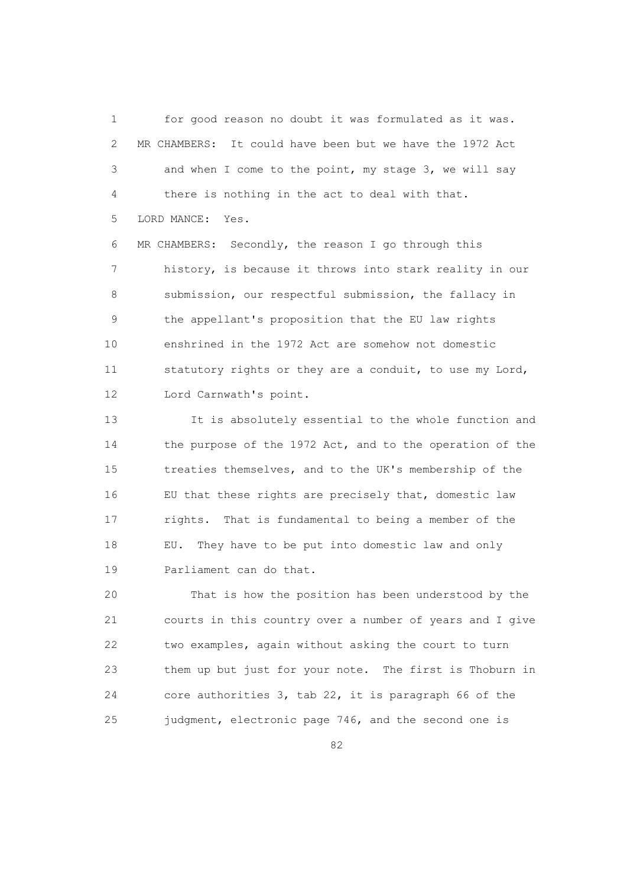1 for good reason no doubt it was formulated as it was. 2 MR CHAMBERS: It could have been but we have the 1972 Act 3 and when I come to the point, my stage 3, we will say 4 there is nothing in the act to deal with that. 5 LORD MANCE: Yes.

 6 MR CHAMBERS: Secondly, the reason I go through this 7 history, is because it throws into stark reality in our 8 submission, our respectful submission, the fallacy in 9 the appellant's proposition that the EU law rights 10 enshrined in the 1972 Act are somehow not domestic 11 statutory rights or they are a conduit, to use my Lord, 12 Lord Carnwath's point.

 13 It is absolutely essential to the whole function and 14 the purpose of the 1972 Act, and to the operation of the 15 treaties themselves, and to the UK's membership of the 16 EU that these rights are precisely that, domestic law 17 rights. That is fundamental to being a member of the 18 EU. They have to be put into domestic law and only 19 Parliament can do that.

 20 That is how the position has been understood by the 21 courts in this country over a number of years and I give 22 two examples, again without asking the court to turn 23 them up but just for your note. The first is Thoburn in 24 core authorities 3, tab 22, it is paragraph 66 of the 25 judgment, electronic page 746, and the second one is

<u>82</u>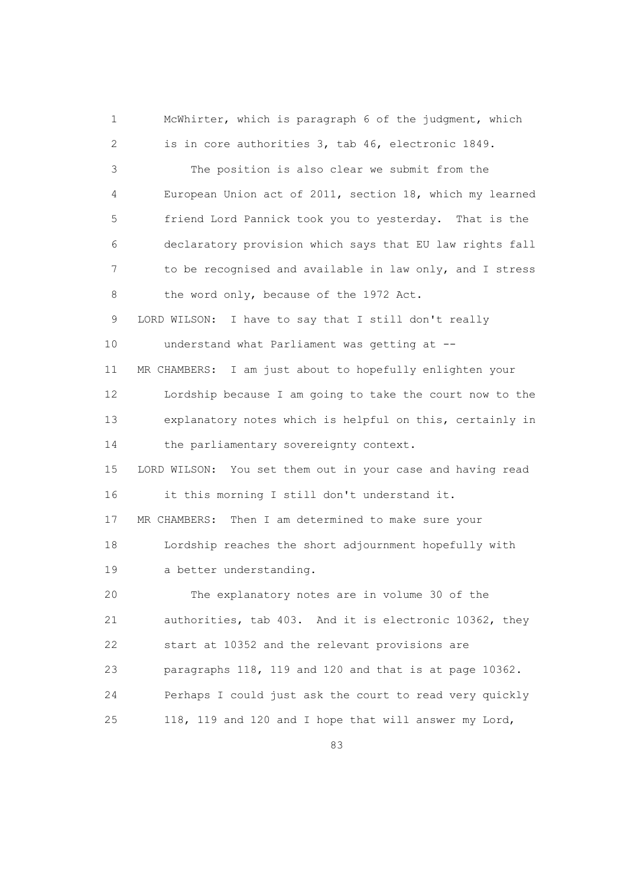1 McWhirter, which is paragraph 6 of the judgment, which 2 is in core authorities 3, tab 46, electronic 1849. 3 The position is also clear we submit from the 4 European Union act of 2011, section 18, which my learned 5 friend Lord Pannick took you to yesterday. That is the 6 declaratory provision which says that EU law rights fall 7 to be recognised and available in law only, and I stress 8 the word only, because of the 1972 Act. 9 LORD WILSON: I have to say that I still don't really 10 understand what Parliament was getting at -- 11 MR CHAMBERS: I am just about to hopefully enlighten your 12 Lordship because I am going to take the court now to the 13 explanatory notes which is helpful on this, certainly in 14 the parliamentary sovereignty context. 15 LORD WILSON: You set them out in your case and having read 16 it this morning I still don't understand it. 17 MR CHAMBERS: Then I am determined to make sure your 18 Lordship reaches the short adjournment hopefully with 19 a better understanding. 20 The explanatory notes are in volume 30 of the 21 authorities, tab 403. And it is electronic 10362, they 22 start at 10352 and the relevant provisions are 23 paragraphs 118, 119 and 120 and that is at page 10362. 24 Perhaps I could just ask the court to read very quickly 25 118, 119 and 120 and I hope that will answer my Lord,

<u>83 and 2001 and 2002 and 2003 and 2003 and 2004 and 2004 and 2004 and 2004 and 2004 and 2004 and 2004 and 200</u>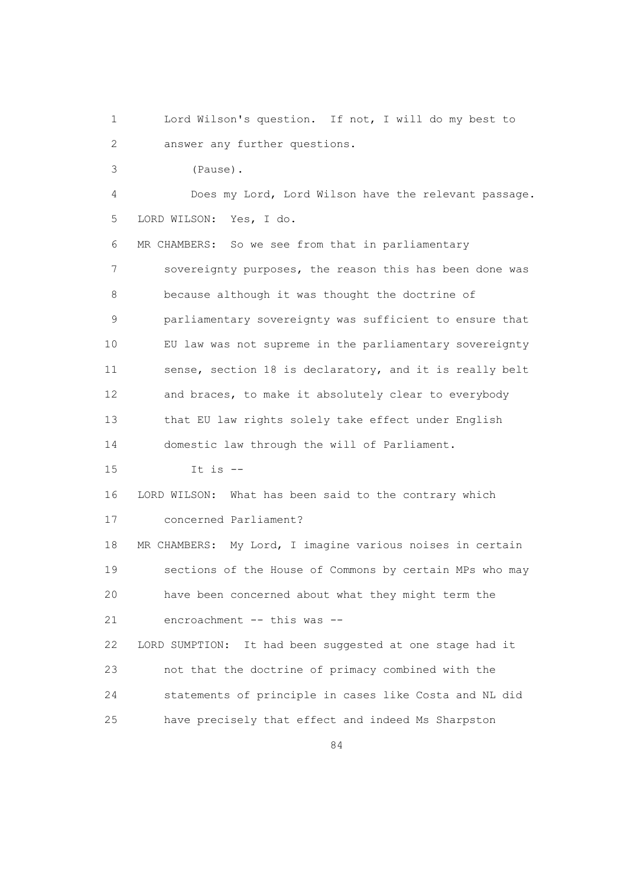1 Lord Wilson's question. If not, I will do my best to 2 answer any further questions.

3 (Pause).

 4 Does my Lord, Lord Wilson have the relevant passage. 5 LORD WILSON: Yes, I do.

 6 MR CHAMBERS: So we see from that in parliamentary 7 sovereignty purposes, the reason this has been done was 8 because although it was thought the doctrine of 9 parliamentary sovereignty was sufficient to ensure that 10 EU law was not supreme in the parliamentary sovereignty 11 sense, section 18 is declaratory, and it is really belt 12 and braces, to make it absolutely clear to everybody 13 that EU law rights solely take effect under English 14 domestic law through the will of Parliament.

15 It is --

16 LORD WILSON: What has been said to the contrary which

17 concerned Parliament?

 18 MR CHAMBERS: My Lord, I imagine various noises in certain 19 sections of the House of Commons by certain MPs who may 20 have been concerned about what they might term the 21 encroachment -- this was --

 22 LORD SUMPTION: It had been suggested at one stage had it 23 not that the doctrine of primacy combined with the 24 statements of principle in cases like Costa and NL did 25 have precisely that effect and indeed Ms Sharpston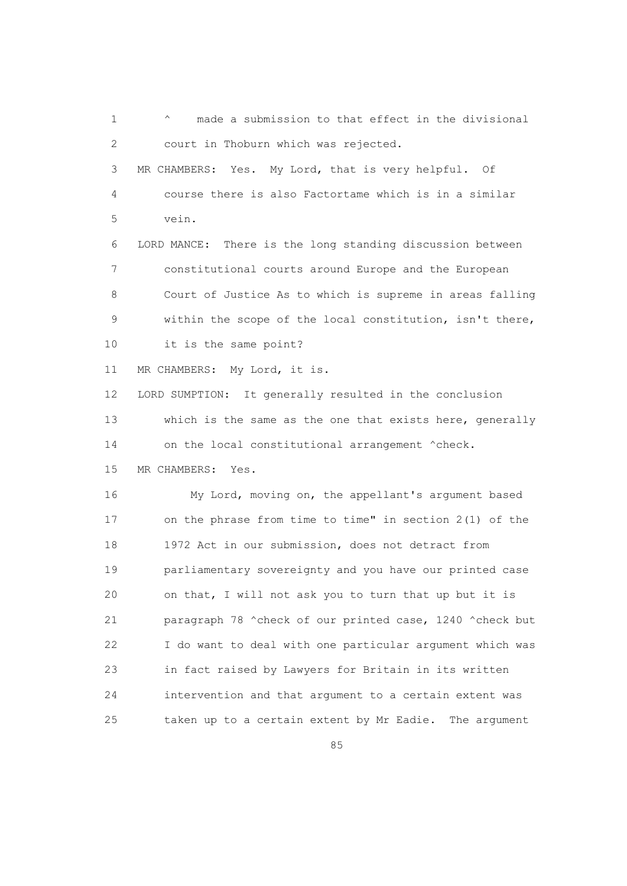1  $\gamma$  made a submission to that effect in the divisional 2 court in Thoburn which was rejected. 3 MR CHAMBERS: Yes. My Lord, that is very helpful. Of 4 course there is also Factortame which is in a similar 5 vein. 6 LORD MANCE: There is the long standing discussion between 7 constitutional courts around Europe and the European 8 Court of Justice As to which is supreme in areas falling 9 within the scope of the local constitution, isn't there, 10 it is the same point? 11 MR CHAMBERS: My Lord, it is. 12 LORD SUMPTION: It generally resulted in the conclusion 13 which is the same as the one that exists here, generally 14 on the local constitutional arrangement  $\text{`check}.$  15 MR CHAMBERS: Yes. 16 My Lord, moving on, the appellant's argument based 17 on the phrase from time to time" in section 2(1) of the 18 1972 Act in our submission, does not detract from 19 parliamentary sovereignty and you have our printed case 20 on that, I will not ask you to turn that up but it is 21 paragraph 78 ^check of our printed case, 1240 ^check but 22 I do want to deal with one particular argument which was 23 in fact raised by Lawyers for Britain in its written 24 intervention and that argument to a certain extent was 25 taken up to a certain extent by Mr Eadie. The argument

<u>85 and 2001 and 2001 and 2001 and 2001 and 2001 and 2001 and 2001 and 2001 and 2001 and 2001 and 2001 and 200</u>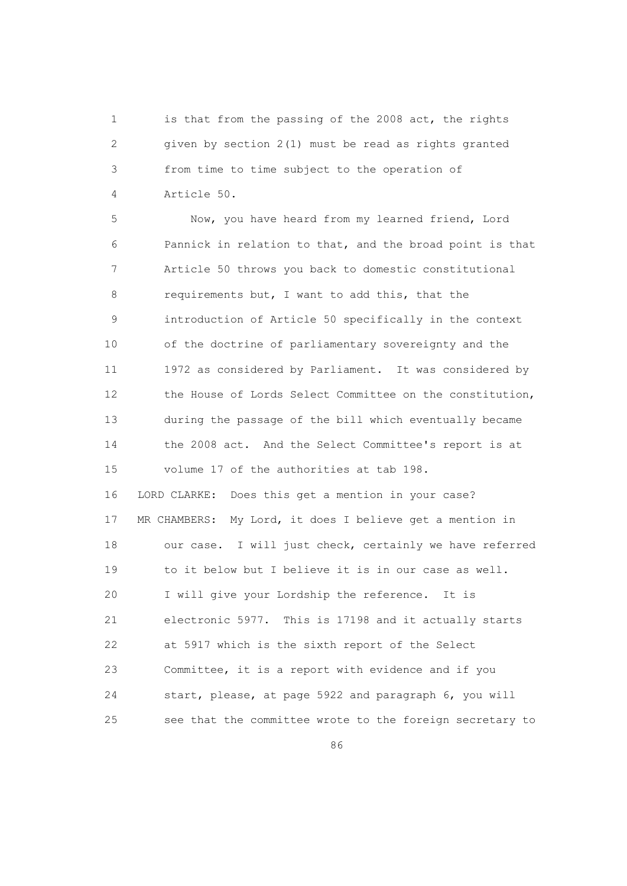1 is that from the passing of the 2008 act, the rights 2 given by section 2(1) must be read as rights granted 3 from time to time subject to the operation of 4 Article 50.

 5 Now, you have heard from my learned friend, Lord 6 Pannick in relation to that, and the broad point is that 7 Article 50 throws you back to domestic constitutional 8 requirements but, I want to add this, that the 9 introduction of Article 50 specifically in the context 10 of the doctrine of parliamentary sovereignty and the 11 1972 as considered by Parliament. It was considered by 12 the House of Lords Select Committee on the constitution, 13 during the passage of the bill which eventually became 14 the 2008 act. And the Select Committee's report is at 15 volume 17 of the authorities at tab 198. 16 LORD CLARKE: Does this get a mention in your case? 17 MR CHAMBERS: My Lord, it does I believe get a mention in 18 our case. I will just check, certainly we have referred 19 to it below but I believe it is in our case as well. 20 I will give your Lordship the reference. It is 21 electronic 5977. This is 17198 and it actually starts 22 at 5917 which is the sixth report of the Select 23 Committee, it is a report with evidence and if you

<u>86 and 2001 and 2002 and 2003 and 2003 and 2004 and 2004 and 2005 and 2006 and 2006 and 2006 and 2006 and 200</u>

24 start, please, at page 5922 and paragraph 6, you will

25 see that the committee wrote to the foreign secretary to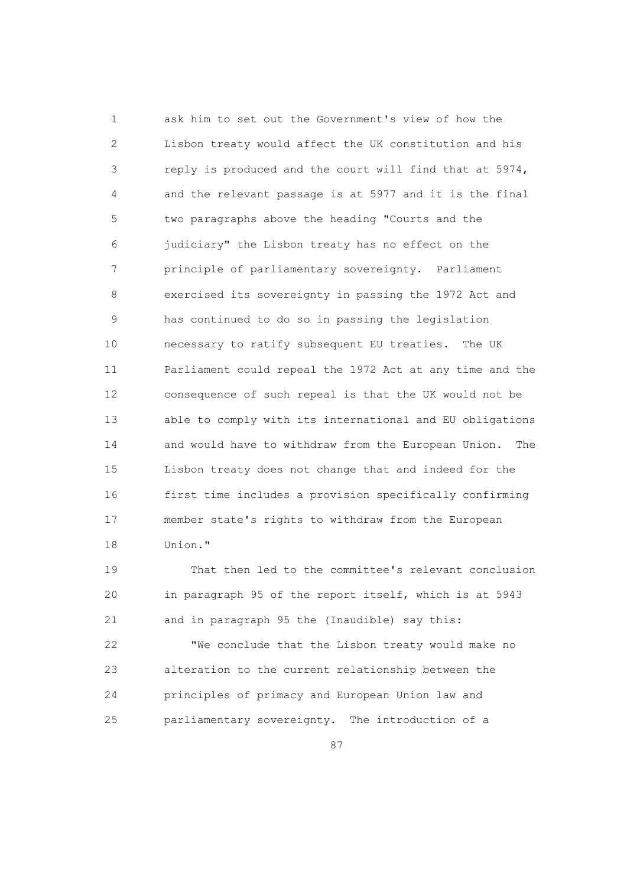1 ask him to set out the Government's view of how the 2 Lisbon treaty would affect the UK constitution and his 3 reply is produced and the court will find that at 5974, 4 and the relevant passage is at 5977 and it is the final 5 two paragraphs above the heading "Courts and the 6 judiciary" the Lisbon treaty has no effect on the 7 principle of parliamentary sovereignty. Parliament 8 exercised its sovereignty in passing the 1972 Act and 9 has continued to do so in passing the legislation 10 necessary to ratify subsequent EU treaties. The UK 11 Parliament could repeal the 1972 Act at any time and the 12 consequence of such repeal is that the UK would not be 13 able to comply with its international and EU obligations 14 and would have to withdraw from the European Union. The 15 Lisbon treaty does not change that and indeed for the 16 first time includes a provision specifically confirming 17 member state's rights to withdraw from the European 18 Union."

 19 That then led to the committee's relevant conclusion 20 in paragraph 95 of the report itself, which is at 5943 21 and in paragraph 95 the (Inaudible) say this:

 22 "We conclude that the Lisbon treaty would make no 23 alteration to the current relationship between the 24 principles of primacy and European Union law and 25 parliamentary sovereignty. The introduction of a

<u>87 setember - Amerikaans States States States States States States States States States States States States S</u>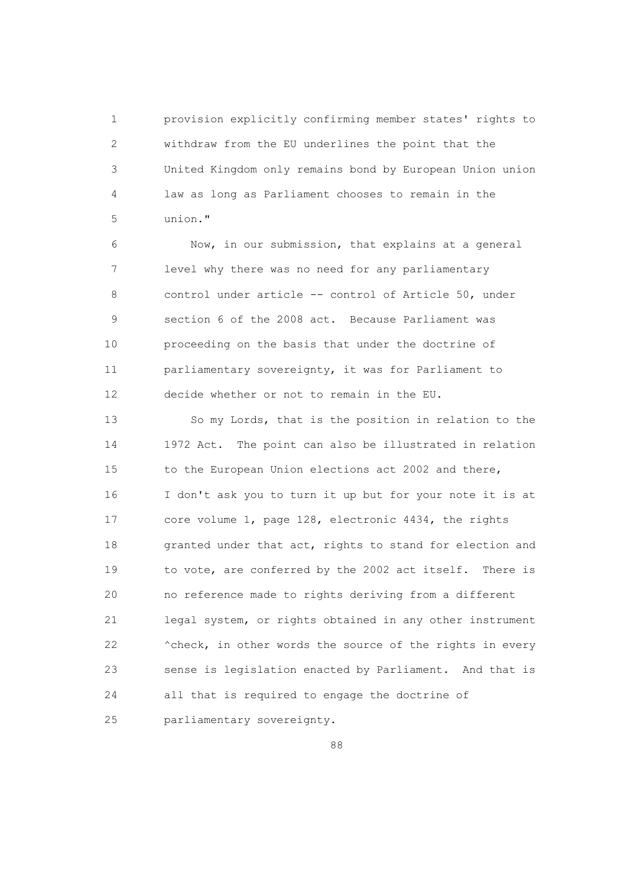1 provision explicitly confirming member states' rights to 2 withdraw from the EU underlines the point that the 3 United Kingdom only remains bond by European Union union 4 law as long as Parliament chooses to remain in the 5 union."

 6 Now, in our submission, that explains at a general 7 level why there was no need for any parliamentary 8 control under article -- control of Article 50, under 9 section 6 of the 2008 act. Because Parliament was 10 proceeding on the basis that under the doctrine of 11 parliamentary sovereignty, it was for Parliament to 12 decide whether or not to remain in the EU.

 13 So my Lords, that is the position in relation to the 14 1972 Act. The point can also be illustrated in relation 15 to the European Union elections act 2002 and there, 16 I don't ask you to turn it up but for your note it is at 17 core volume 1, page 128, electronic 4434, the rights 18 granted under that act, rights to stand for election and 19 to vote, are conferred by the 2002 act itself. There is 20 no reference made to rights deriving from a different 21 legal system, or rights obtained in any other instrument 22 ^check, in other words the source of the rights in every 23 sense is legislation enacted by Parliament. And that is 24 all that is required to engage the doctrine of 25 parliamentary sovereignty.

en and the state of the state of the state of the state of the state of the state of the state of the state of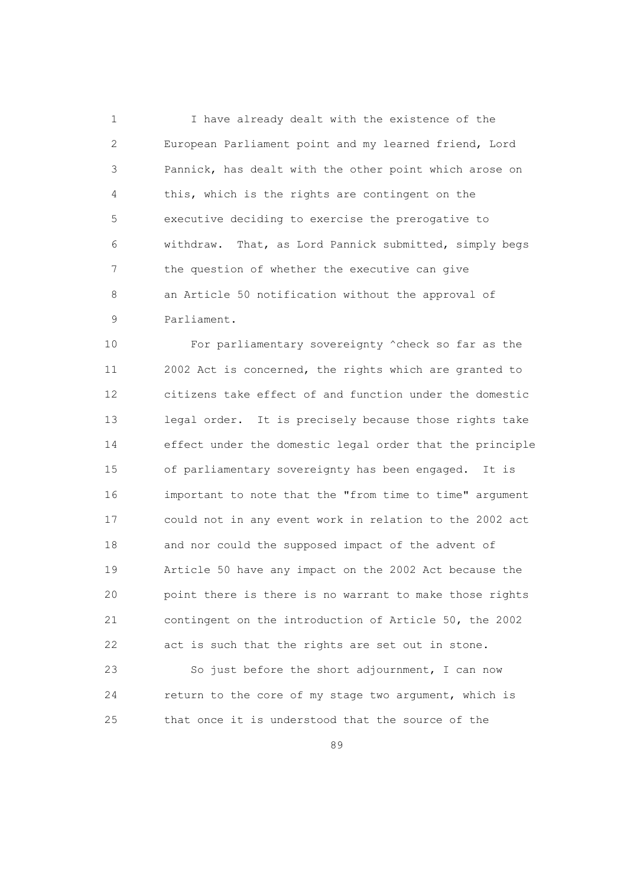1 I have already dealt with the existence of the 2 European Parliament point and my learned friend, Lord 3 Pannick, has dealt with the other point which arose on 4 this, which is the rights are contingent on the 5 executive deciding to exercise the prerogative to 6 withdraw. That, as Lord Pannick submitted, simply begs 7 the question of whether the executive can give 8 an Article 50 notification without the approval of 9 Parliament.

 10 For parliamentary sovereignty ^check so far as the 11 2002 Act is concerned, the rights which are granted to 12 citizens take effect of and function under the domestic 13 legal order. It is precisely because those rights take 14 effect under the domestic legal order that the principle 15 of parliamentary sovereignty has been engaged. It is 16 important to note that the "from time to time" argument 17 could not in any event work in relation to the 2002 act 18 and nor could the supposed impact of the advent of 19 Article 50 have any impact on the 2002 Act because the 20 point there is there is no warrant to make those rights 21 contingent on the introduction of Article 50, the 2002 22 act is such that the rights are set out in stone.

 23 So just before the short adjournment, I can now 24 return to the core of my stage two argument, which is 25 that once it is understood that the source of the

<u>89 and 200 and 200 and 200 and 200 and 200 and 200 and 200 and 200 and 200 and 200 and 200 and 200 and 200 and 200 and 200 and 200 and 200 and 200 and 200 and 200 and 200 and 200 and 200 and 200 and 200 and 200 and 200 an</u>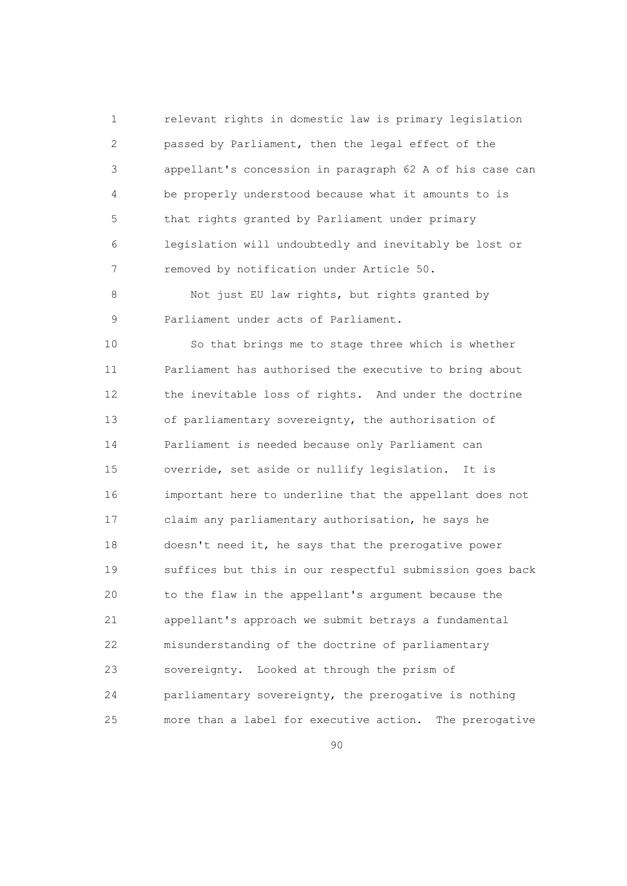1 relevant rights in domestic law is primary legislation 2 passed by Parliament, then the legal effect of the 3 appellant's concession in paragraph 62 A of his case can 4 be properly understood because what it amounts to is 5 that rights granted by Parliament under primary 6 legislation will undoubtedly and inevitably be lost or 7 removed by notification under Article 50.

8 Not just EU law rights, but rights granted by 9 Parliament under acts of Parliament.

 10 So that brings me to stage three which is whether 11 Parliament has authorised the executive to bring about 12 the inevitable loss of rights. And under the doctrine 13 of parliamentary sovereignty, the authorisation of 14 Parliament is needed because only Parliament can 15 override, set aside or nullify legislation. It is 16 important here to underline that the appellant does not 17 claim any parliamentary authorisation, he says he 18 doesn't need it, he says that the prerogative power 19 suffices but this in our respectful submission goes back 20 to the flaw in the appellant's argument because the 21 appellant's approach we submit betrays a fundamental 22 misunderstanding of the doctrine of parliamentary 23 sovereignty. Looked at through the prism of 24 parliamentary sovereignty, the prerogative is nothing 25 more than a label for executive action. The prerogative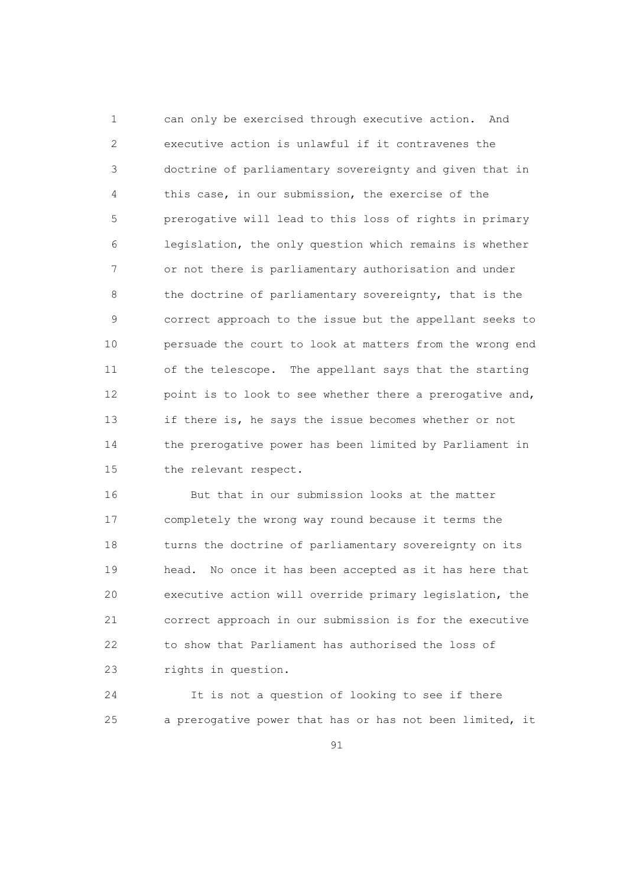1 can only be exercised through executive action. And 2 executive action is unlawful if it contravenes the 3 doctrine of parliamentary sovereignty and given that in 4 this case, in our submission, the exercise of the 5 prerogative will lead to this loss of rights in primary 6 legislation, the only question which remains is whether 7 or not there is parliamentary authorisation and under 8 the doctrine of parliamentary sovereignty, that is the 9 correct approach to the issue but the appellant seeks to 10 persuade the court to look at matters from the wrong end 11 of the telescope. The appellant says that the starting 12 point is to look to see whether there a prerogative and, 13 if there is, he says the issue becomes whether or not 14 the prerogative power has been limited by Parliament in 15 the relevant respect.

 16 But that in our submission looks at the matter 17 completely the wrong way round because it terms the 18 turns the doctrine of parliamentary sovereignty on its 19 head. No once it has been accepted as it has here that 20 executive action will override primary legislation, the 21 correct approach in our submission is for the executive 22 to show that Parliament has authorised the loss of 23 rights in question.

 24 It is not a question of looking to see if there 25 a prerogative power that has or has not been limited, it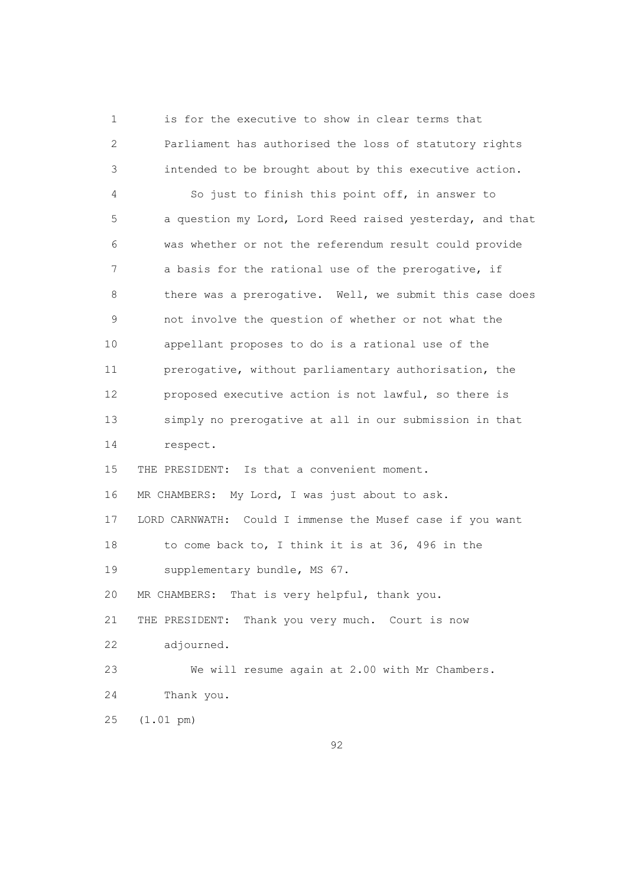1 is for the executive to show in clear terms that 2 Parliament has authorised the loss of statutory rights 3 intended to be brought about by this executive action.

 4 So just to finish this point off, in answer to 5 a question my Lord, Lord Reed raised yesterday, and that 6 was whether or not the referendum result could provide 7 a basis for the rational use of the prerogative, if 8 there was a prerogative. Well, we submit this case does 9 not involve the question of whether or not what the 10 appellant proposes to do is a rational use of the 11 prerogative, without parliamentary authorisation, the 12 proposed executive action is not lawful, so there is 13 simply no prerogative at all in our submission in that 14 respect.

15 THE PRESIDENT: Is that a convenient moment.

16 MR CHAMBERS: My Lord, I was just about to ask.

 17 LORD CARNWATH: Could I immense the Musef case if you want 18 to come back to, I think it is at 36, 496 in the

19 supplementary bundle, MS 67.

20 MR CHAMBERS: That is very helpful, thank you.

21 THE PRESIDENT: Thank you very much. Court is now

22 adjourned.

 23 We will resume again at 2.00 with Mr Chambers. 24 Thank you.

25 (1.01 pm)

<u>92</u>